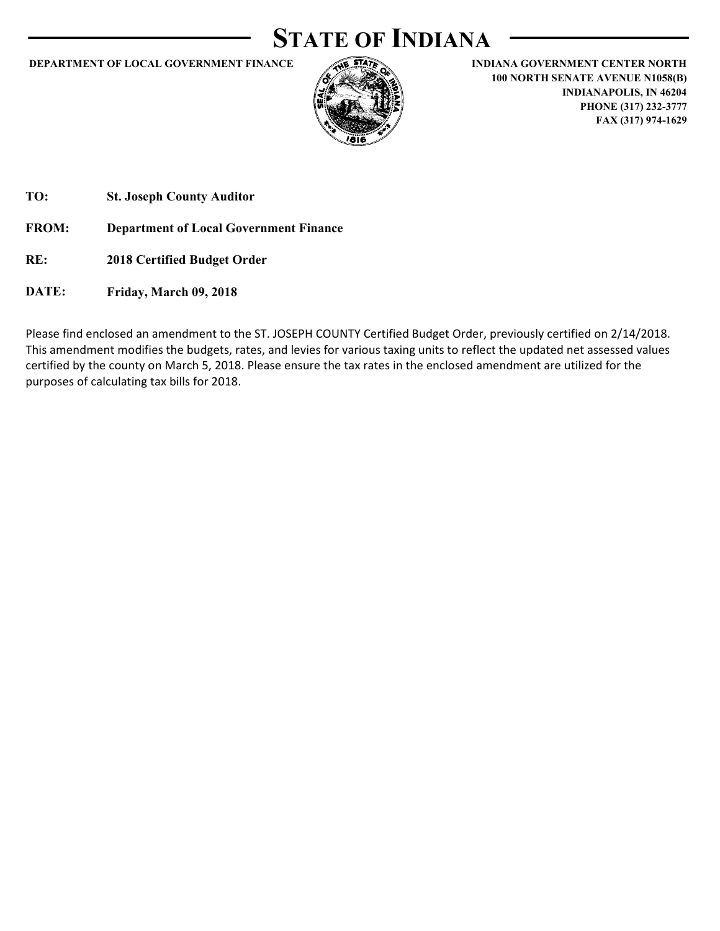# **STATE OF INDIANA**

**DEPARTMENT OF LOCAL GOVERNMENT FINANCE INDIANA GOVERNMENT CENTER NORTH** 



**100 NORTH SENATE AVENUE N1058(B) INDIANAPOLIS, IN 46204 PHONE (317) 232-3777 FAX (317) 974-1629**

**TO: St. Joseph County Auditor**

**FROM: Department of Local Government Finance**

- **RE: 2018 Certified Budget Order**
- **DATE: Friday, March 09, 2018**

Please find enclosed an amendment to the ST. JOSEPH COUNTY Certified Budget Order, previously certified on 2/14/2018. This amendment modifies the budgets, rates, and levies for various taxing units to reflect the updated net assessed values certified by the county on March 5, 2018. Please ensure the tax rates in the enclosed amendment are utilized for the purposes of calculating tax bills for 2018.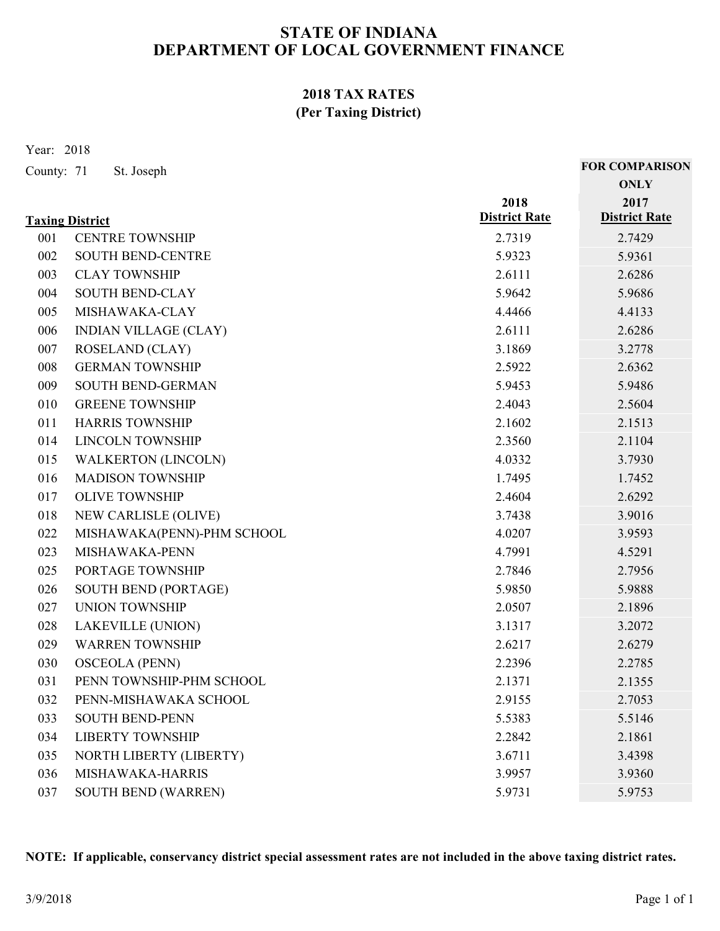### **2018 TAX RATES (Per Taxing District)**

Year: 2018

| County: 71             | St. Joseph                   |                              | <b>FOR COMPARISON</b>        |
|------------------------|------------------------------|------------------------------|------------------------------|
|                        |                              |                              | <b>ONLY</b>                  |
|                        |                              | 2018<br><b>District Rate</b> | 2017<br><b>District Rate</b> |
| <b>Taxing District</b> |                              |                              |                              |
| 001                    | <b>CENTRE TOWNSHIP</b>       | 2.7319                       | 2.7429                       |
| 002                    | <b>SOUTH BEND-CENTRE</b>     | 5.9323                       | 5.9361                       |
| 003                    | <b>CLAY TOWNSHIP</b>         | 2.6111                       | 2.6286                       |
| 004                    | <b>SOUTH BEND-CLAY</b>       | 5.9642                       | 5.9686                       |
| 005                    | MISHAWAKA-CLAY               | 4.4466                       | 4.4133                       |
| 006                    | <b>INDIAN VILLAGE (CLAY)</b> | 2.6111                       | 2.6286                       |
| 007                    | <b>ROSELAND</b> (CLAY)       | 3.1869                       | 3.2778                       |
| 008                    | <b>GERMAN TOWNSHIP</b>       | 2.5922                       | 2.6362                       |
| 009                    | SOUTH BEND-GERMAN            | 5.9453                       | 5.9486                       |
| 010                    | <b>GREENE TOWNSHIP</b>       | 2.4043                       | 2.5604                       |
| 011                    | <b>HARRIS TOWNSHIP</b>       | 2.1602                       | 2.1513                       |
| 014                    | <b>LINCOLN TOWNSHIP</b>      | 2.3560                       | 2.1104                       |
| 015                    | <b>WALKERTON (LINCOLN)</b>   | 4.0332                       | 3.7930                       |
| 016                    | <b>MADISON TOWNSHIP</b>      | 1.7495                       | 1.7452                       |
| 017                    | <b>OLIVE TOWNSHIP</b>        | 2.4604                       | 2.6292                       |
| 018                    | NEW CARLISLE (OLIVE)         | 3.7438                       | 3.9016                       |
| 022                    | MISHAWAKA(PENN)-PHM SCHOOL   | 4.0207                       | 3.9593                       |
| 023                    | MISHAWAKA-PENN               | 4.7991                       | 4.5291                       |
| 025                    | PORTAGE TOWNSHIP             | 2.7846                       | 2.7956                       |
| 026                    | <b>SOUTH BEND (PORTAGE)</b>  | 5.9850                       | 5.9888                       |
| 027                    | <b>UNION TOWNSHIP</b>        | 2.0507                       | 2.1896                       |
| 028                    | LAKEVILLE (UNION)            | 3.1317                       | 3.2072                       |
| 029                    | <b>WARREN TOWNSHIP</b>       | 2.6217                       | 2.6279                       |
| 030                    | <b>OSCEOLA (PENN)</b>        | 2.2396                       | 2.2785                       |
| 031                    | PENN TOWNSHIP-PHM SCHOOL     | 2.1371                       | 2.1355                       |
| 032                    | PENN-MISHAWAKA SCHOOL        | 2.9155                       | 2.7053                       |
| 033                    | <b>SOUTH BEND-PENN</b>       | 5.5383                       | 5.5146                       |
| 034                    | <b>LIBERTY TOWNSHIP</b>      | 2.2842                       | 2.1861                       |
| 035                    | NORTH LIBERTY (LIBERTY)      | 3.6711                       | 3.4398                       |
| 036                    | MISHAWAKA-HARRIS             | 3.9957                       | 3.9360                       |
|                        |                              |                              |                              |

**NOTE: If applicable, conservancy district special assessment rates are not included in the above taxing district rates.**

037 SOUTH BEND (WARREN) 5.9731 5.9753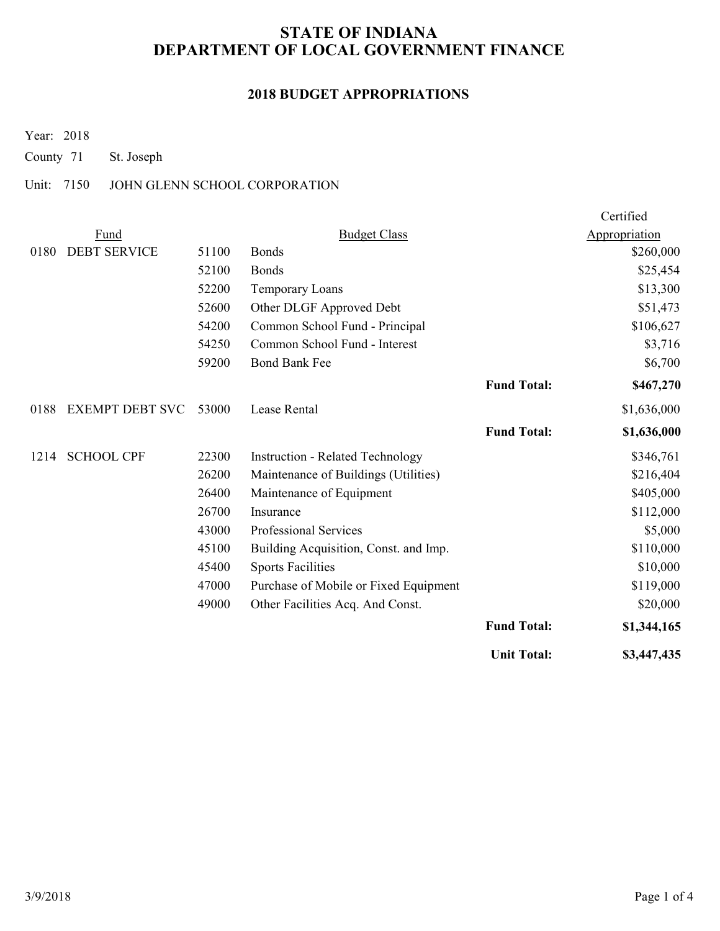### **2018 BUDGET APPROPRIATIONS**

Year: 2018

County 71 St. Joseph

### Unit: 7150 JOHN GLENN SCHOOL CORPORATION

|      |                        |       |                                         |                    | Certified     |
|------|------------------------|-------|-----------------------------------------|--------------------|---------------|
|      | Fund                   |       | <b>Budget Class</b>                     |                    | Appropriation |
| 0180 | <b>DEBT SERVICE</b>    | 51100 | <b>Bonds</b>                            |                    | \$260,000     |
|      |                        | 52100 | <b>Bonds</b>                            |                    | \$25,454      |
|      |                        | 52200 | <b>Temporary Loans</b>                  |                    | \$13,300      |
|      |                        | 52600 | Other DLGF Approved Debt                |                    | \$51,473      |
|      |                        | 54200 | Common School Fund - Principal          |                    | \$106,627     |
|      |                        | 54250 | Common School Fund - Interest           |                    | \$3,716       |
|      |                        | 59200 | <b>Bond Bank Fee</b>                    |                    | \$6,700       |
|      |                        |       |                                         | <b>Fund Total:</b> | \$467,270     |
| 0188 | <b>EXEMPT DEBT SVC</b> | 53000 | Lease Rental                            |                    | \$1,636,000   |
|      |                        |       |                                         | <b>Fund Total:</b> | \$1,636,000   |
| 1214 | <b>SCHOOL CPF</b>      | 22300 | <b>Instruction - Related Technology</b> |                    | \$346,761     |
|      |                        | 26200 | Maintenance of Buildings (Utilities)    |                    | \$216,404     |
|      |                        | 26400 | Maintenance of Equipment                |                    | \$405,000     |
|      |                        | 26700 | Insurance                               |                    | \$112,000     |
|      |                        | 43000 | Professional Services                   |                    | \$5,000       |
|      |                        | 45100 | Building Acquisition, Const. and Imp.   |                    | \$110,000     |
|      |                        | 45400 | <b>Sports Facilities</b>                |                    | \$10,000      |
|      |                        | 47000 | Purchase of Mobile or Fixed Equipment   |                    | \$119,000     |
|      |                        | 49000 | Other Facilities Acq. And Const.        |                    | \$20,000      |
|      |                        |       |                                         | <b>Fund Total:</b> | \$1,344,165   |
|      |                        |       |                                         | <b>Unit Total:</b> | \$3,447,435   |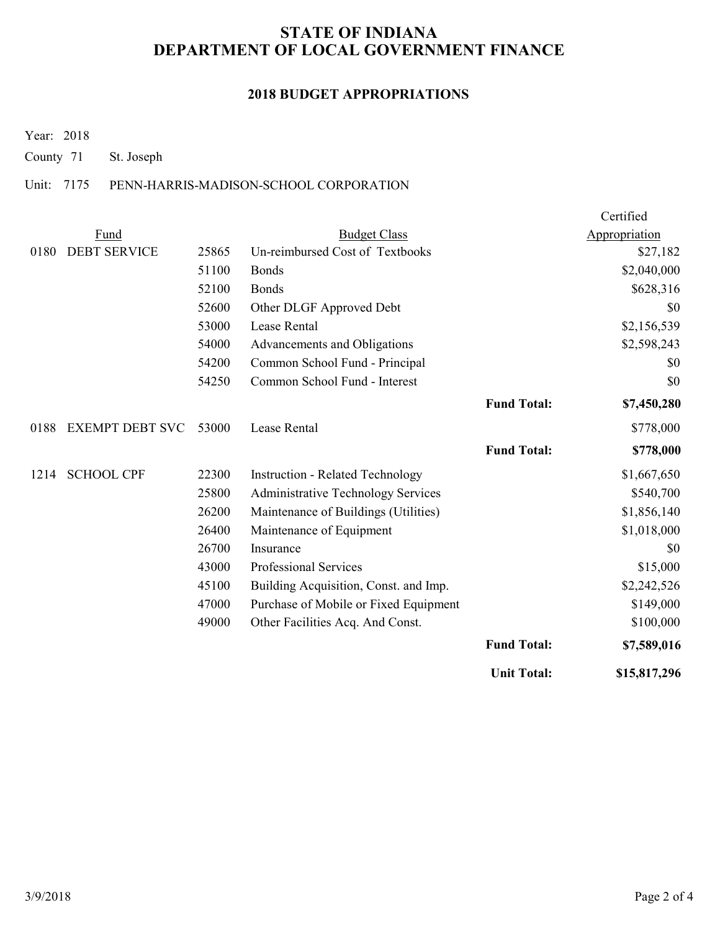#### **2018 BUDGET APPROPRIATIONS**

Year: 2018

County 71 St. Joseph

### Unit: 7175 PENN-HARRIS-MADISON-SCHOOL CORPORATION

|      |                        |       |                                           |                    | Certified     |
|------|------------------------|-------|-------------------------------------------|--------------------|---------------|
|      | Fund                   |       | <b>Budget Class</b>                       |                    | Appropriation |
| 0180 | <b>DEBT SERVICE</b>    | 25865 | Un-reimbursed Cost of Textbooks           |                    | \$27,182      |
|      |                        | 51100 | <b>Bonds</b>                              |                    | \$2,040,000   |
|      |                        | 52100 | Bonds                                     |                    | \$628,316     |
|      |                        | 52600 | Other DLGF Approved Debt                  |                    | \$0           |
|      |                        | 53000 | Lease Rental                              |                    | \$2,156,539   |
|      |                        | 54000 | Advancements and Obligations              |                    | \$2,598,243   |
|      |                        | 54200 | Common School Fund - Principal            |                    | \$0           |
|      |                        | 54250 | Common School Fund - Interest             |                    | \$0           |
|      |                        |       |                                           | <b>Fund Total:</b> | \$7,450,280   |
| 0188 | <b>EXEMPT DEBT SVC</b> | 53000 | Lease Rental                              |                    | \$778,000     |
|      |                        |       |                                           | <b>Fund Total:</b> | \$778,000     |
| 1214 | <b>SCHOOL CPF</b>      | 22300 | <b>Instruction - Related Technology</b>   |                    | \$1,667,650   |
|      |                        | 25800 | <b>Administrative Technology Services</b> |                    | \$540,700     |
|      |                        | 26200 | Maintenance of Buildings (Utilities)      |                    | \$1,856,140   |
|      |                        | 26400 | Maintenance of Equipment                  |                    | \$1,018,000   |
|      |                        | 26700 | Insurance                                 |                    | \$0           |
|      |                        | 43000 | Professional Services                     |                    | \$15,000      |
|      |                        | 45100 | Building Acquisition, Const. and Imp.     |                    | \$2,242,526   |
|      |                        | 47000 | Purchase of Mobile or Fixed Equipment     |                    | \$149,000     |
|      |                        | 49000 | Other Facilities Acq. And Const.          |                    | \$100,000     |
|      |                        |       |                                           | <b>Fund Total:</b> | \$7,589,016   |
|      |                        |       |                                           | <b>Unit Total:</b> | \$15,817,296  |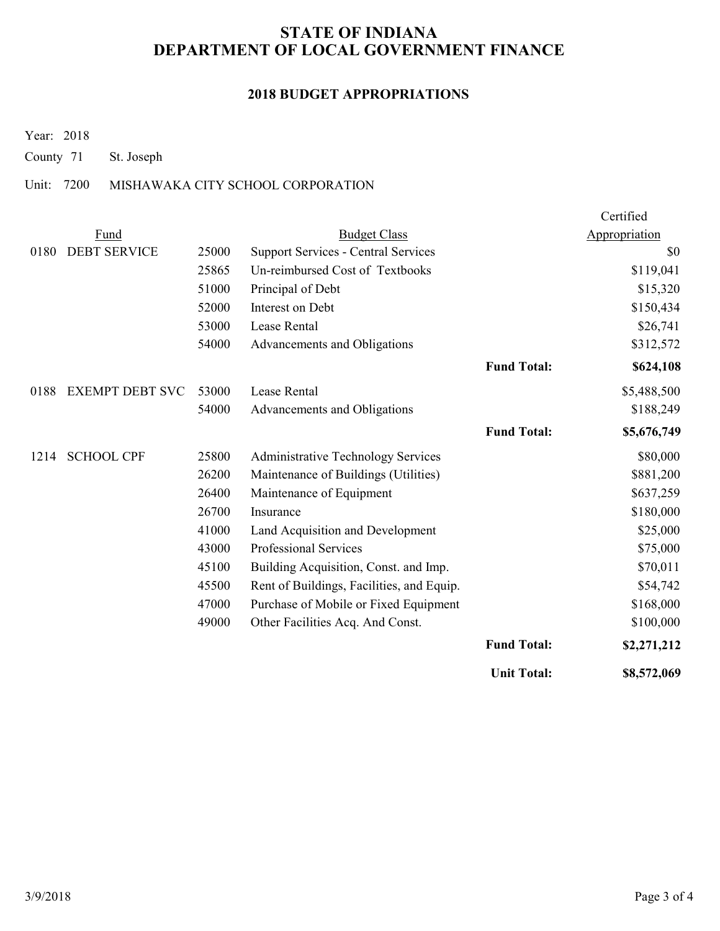### **2018 BUDGET APPROPRIATIONS**

Year: 2018

County 71 St. Joseph

### Unit: 7200 MISHAWAKA CITY SCHOOL CORPORATION

|      |                        |       |                                            |                    | Certified     |
|------|------------------------|-------|--------------------------------------------|--------------------|---------------|
|      | Fund                   |       | <b>Budget Class</b>                        |                    | Appropriation |
| 0180 | <b>DEBT SERVICE</b>    | 25000 | <b>Support Services - Central Services</b> |                    | \$0           |
|      |                        | 25865 | Un-reimbursed Cost of Textbooks            |                    | \$119,041     |
|      |                        | 51000 | Principal of Debt                          |                    | \$15,320      |
|      |                        | 52000 | Interest on Debt                           |                    | \$150,434     |
|      |                        | 53000 | Lease Rental                               |                    | \$26,741      |
|      |                        | 54000 | Advancements and Obligations               |                    | \$312,572     |
|      |                        |       |                                            | <b>Fund Total:</b> | \$624,108     |
| 0188 | <b>EXEMPT DEBT SVC</b> | 53000 | Lease Rental                               |                    | \$5,488,500   |
|      |                        | 54000 | Advancements and Obligations               |                    | \$188,249     |
|      |                        |       |                                            | <b>Fund Total:</b> | \$5,676,749   |
| 1214 | <b>SCHOOL CPF</b>      | 25800 | <b>Administrative Technology Services</b>  |                    | \$80,000      |
|      |                        | 26200 | Maintenance of Buildings (Utilities)       |                    | \$881,200     |
|      |                        | 26400 | Maintenance of Equipment                   |                    | \$637,259     |
|      |                        | 26700 | Insurance                                  |                    | \$180,000     |
|      |                        | 41000 | Land Acquisition and Development           |                    | \$25,000      |
|      |                        | 43000 | Professional Services                      |                    | \$75,000      |
|      |                        | 45100 | Building Acquisition, Const. and Imp.      |                    | \$70,011      |
|      |                        | 45500 | Rent of Buildings, Facilities, and Equip.  |                    | \$54,742      |
|      |                        | 47000 | Purchase of Mobile or Fixed Equipment      |                    | \$168,000     |
|      |                        | 49000 | Other Facilities Acq. And Const.           |                    | \$100,000     |
|      |                        |       |                                            | <b>Fund Total:</b> | \$2,271,212   |
|      |                        |       |                                            | <b>Unit Total:</b> | \$8,572,069   |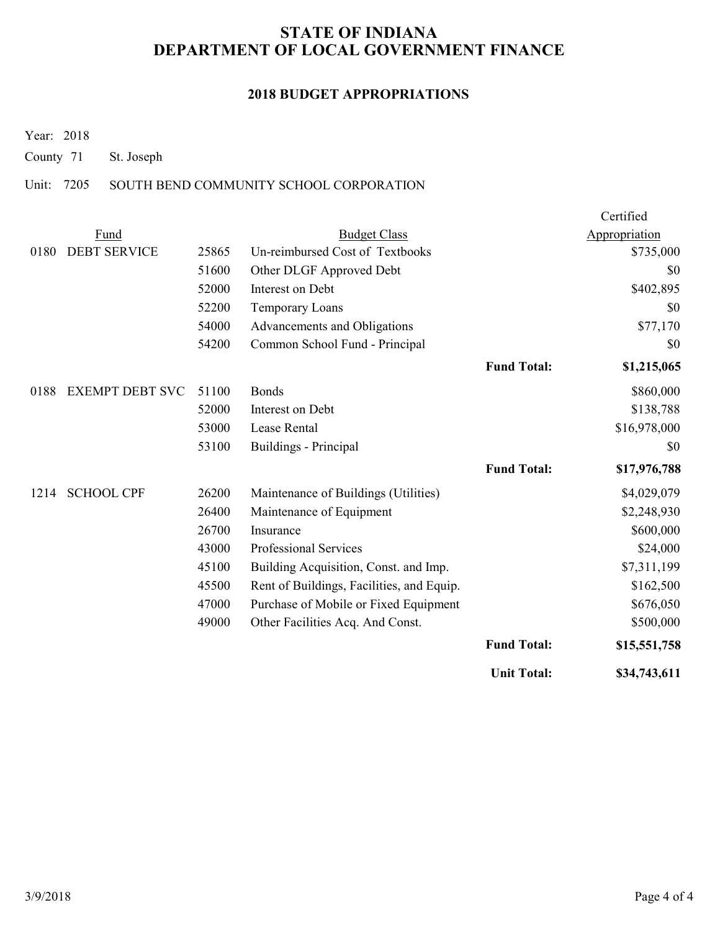### **2018 BUDGET APPROPRIATIONS**

Year: 2018

County 71 St. Joseph

### Unit: 7205 SOUTH BEND COMMUNITY SCHOOL CORPORATION

|      |                        |       |                                           |                    | Certified     |
|------|------------------------|-------|-------------------------------------------|--------------------|---------------|
|      | Fund                   |       | <b>Budget Class</b>                       |                    | Appropriation |
| 0180 | <b>DEBT SERVICE</b>    | 25865 | Un-reimbursed Cost of Textbooks           |                    | \$735,000     |
|      |                        | 51600 | Other DLGF Approved Debt                  |                    | \$0           |
|      |                        | 52000 | Interest on Debt                          |                    | \$402,895     |
|      |                        | 52200 | Temporary Loans                           |                    | \$0           |
|      |                        | 54000 | Advancements and Obligations              |                    | \$77,170      |
|      |                        | 54200 | Common School Fund - Principal            |                    | \$0           |
|      |                        |       |                                           | <b>Fund Total:</b> | \$1,215,065   |
| 0188 | <b>EXEMPT DEBT SVC</b> | 51100 | Bonds                                     |                    | \$860,000     |
|      |                        | 52000 | Interest on Debt                          |                    | \$138,788     |
|      |                        | 53000 | Lease Rental                              |                    | \$16,978,000  |
|      |                        | 53100 | Buildings - Principal                     |                    | \$0           |
|      |                        |       |                                           | <b>Fund Total:</b> | \$17,976,788  |
| 1214 | <b>SCHOOL CPF</b>      | 26200 | Maintenance of Buildings (Utilities)      |                    | \$4,029,079   |
|      |                        | 26400 | Maintenance of Equipment                  |                    | \$2,248,930   |
|      |                        | 26700 | Insurance                                 |                    | \$600,000     |
|      |                        | 43000 | Professional Services                     |                    | \$24,000      |
|      |                        | 45100 | Building Acquisition, Const. and Imp.     |                    | \$7,311,199   |
|      |                        | 45500 | Rent of Buildings, Facilities, and Equip. |                    | \$162,500     |
|      |                        | 47000 | Purchase of Mobile or Fixed Equipment     |                    | \$676,050     |
|      |                        | 49000 | Other Facilities Acq. And Const.          |                    | \$500,000     |
|      |                        |       |                                           | <b>Fund Total:</b> | \$15,551,758  |
|      |                        |       |                                           | <b>Unit Total:</b> | \$34,743,611  |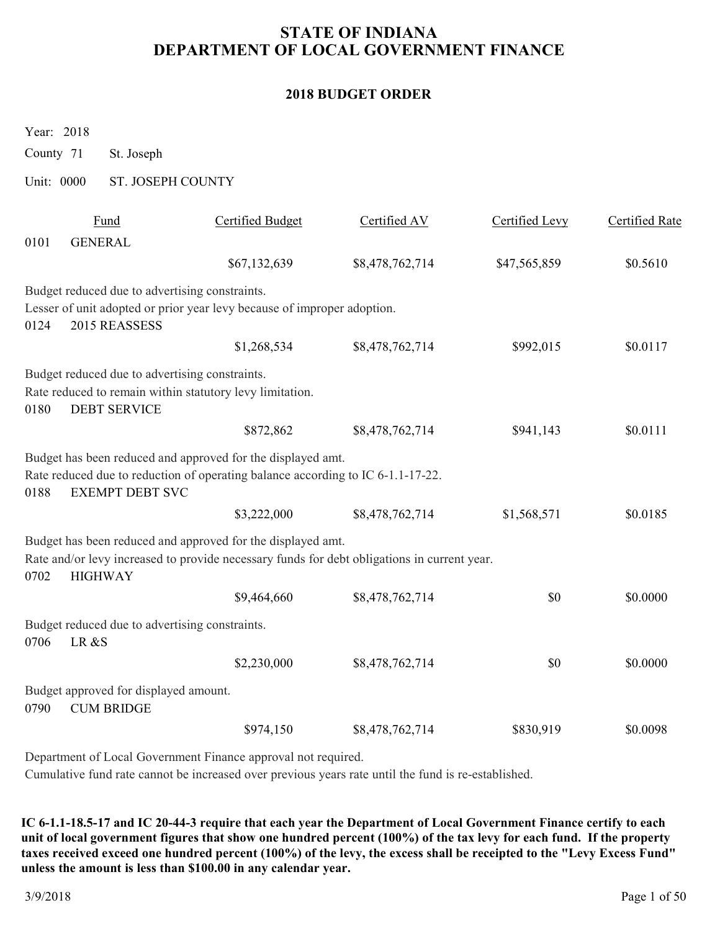#### **2018 BUDGET ORDER**

Year: 2018

County 71 St. Joseph

Unit: 0000 ST. JOSEPH COUNTY

|      | Fund                                                                  | <b>Certified Budget</b>                                                                                                                                       | Certified AV    | Certified Levy | <b>Certified Rate</b> |
|------|-----------------------------------------------------------------------|---------------------------------------------------------------------------------------------------------------------------------------------------------------|-----------------|----------------|-----------------------|
| 0101 | <b>GENERAL</b>                                                        |                                                                                                                                                               |                 |                |                       |
|      |                                                                       | \$67,132,639                                                                                                                                                  | \$8,478,762,714 | \$47,565,859   | \$0.5610              |
|      | Budget reduced due to advertising constraints.                        |                                                                                                                                                               |                 |                |                       |
| 0124 | 2015 REASSESS                                                         | Lesser of unit adopted or prior year levy because of improper adoption.                                                                                       |                 |                |                       |
|      |                                                                       | \$1,268,534                                                                                                                                                   | \$8,478,762,714 | \$992,015      | \$0.0117              |
| 0180 | Budget reduced due to advertising constraints.<br><b>DEBT SERVICE</b> | Rate reduced to remain within statutory levy limitation.                                                                                                      |                 |                |                       |
|      |                                                                       | \$872,862                                                                                                                                                     | \$8,478,762,714 | \$941,143      | \$0.0111              |
| 0188 | <b>EXEMPT DEBT SVC</b>                                                | Budget has been reduced and approved for the displayed amt.<br>Rate reduced due to reduction of operating balance according to IC 6-1.1-17-22.<br>\$3,222,000 | \$8,478,762,714 | \$1,568,571    | \$0.0185              |
| 0702 | <b>HIGHWAY</b>                                                        | Budget has been reduced and approved for the displayed amt.<br>Rate and/or levy increased to provide necessary funds for debt obligations in current year.    |                 |                |                       |
|      |                                                                       | \$9,464,660                                                                                                                                                   | \$8,478,762,714 | \$0            | \$0.0000              |
| 0706 | Budget reduced due to advertising constraints.<br>LR &S               |                                                                                                                                                               |                 |                |                       |
|      |                                                                       | \$2,230,000                                                                                                                                                   | \$8,478,762,714 | \$0            | \$0.0000              |
| 0790 | Budget approved for displayed amount.<br><b>CUM BRIDGE</b>            |                                                                                                                                                               |                 |                |                       |
|      |                                                                       | \$974,150                                                                                                                                                     | \$8,478,762,714 | \$830,919      | \$0.0098              |
|      |                                                                       |                                                                                                                                                               |                 |                |                       |

Department of Local Government Finance approval not required.

Cumulative fund rate cannot be increased over previous years rate until the fund is re-established.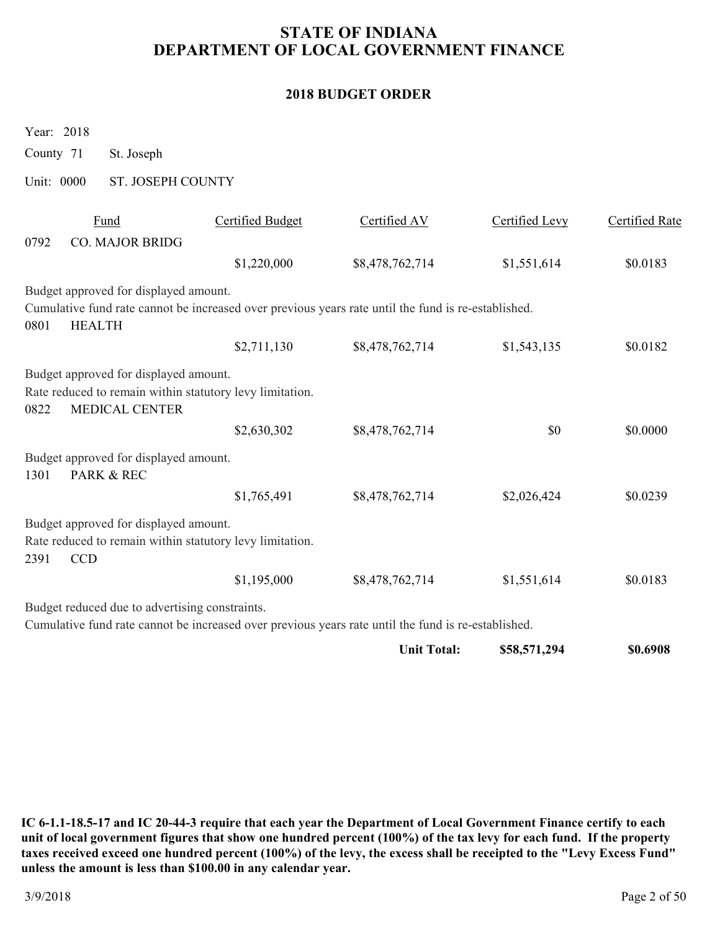### **2018 BUDGET ORDER**

Year: 2018

County 71 St. Joseph

Unit: 0000 ST. JOSEPH COUNTY

|      | Fund                                                                                                | <b>Certified Budget</b> | Certified AV    | Certified Levy | <b>Certified Rate</b> |
|------|-----------------------------------------------------------------------------------------------------|-------------------------|-----------------|----------------|-----------------------|
| 0792 | <b>CO. MAJOR BRIDG</b>                                                                              |                         |                 |                |                       |
|      |                                                                                                     | \$1,220,000             | \$8,478,762,714 | \$1,551,614    | \$0.0183              |
|      | Budget approved for displayed amount.                                                               |                         |                 |                |                       |
|      | Cumulative fund rate cannot be increased over previous years rate until the fund is re-established. |                         |                 |                |                       |
| 0801 | <b>HEALTH</b>                                                                                       |                         |                 |                |                       |
|      |                                                                                                     | \$2,711,130             | \$8,478,762,714 | \$1,543,135    | \$0.0182              |
|      | Budget approved for displayed amount.                                                               |                         |                 |                |                       |
|      | Rate reduced to remain within statutory levy limitation.                                            |                         |                 |                |                       |
| 0822 | <b>MEDICAL CENTER</b>                                                                               |                         |                 |                |                       |
|      |                                                                                                     | \$2,630,302             | \$8,478,762,714 | \$0            | \$0.0000              |
|      | Budget approved for displayed amount.                                                               |                         |                 |                |                       |
| 1301 | PARK & REC                                                                                          |                         |                 |                |                       |
|      |                                                                                                     | \$1,765,491             | \$8,478,762,714 | \$2,026,424    | \$0.0239              |
|      | Budget approved for displayed amount.                                                               |                         |                 |                |                       |
|      | Rate reduced to remain within statutory levy limitation.                                            |                         |                 |                |                       |
| 2391 | <b>CCD</b>                                                                                          |                         |                 |                |                       |
|      |                                                                                                     | \$1,195,000             | \$8,478,762,714 | \$1,551,614    | \$0.0183              |
|      | Budget reduced due to advertising constraints.                                                      |                         |                 |                |                       |
|      | Cumulative fund rate cannot be increased over previous years rate until the fund is re-established. |                         |                 |                |                       |
|      |                                                                                                     |                         |                 |                |                       |

**Unit Total: \$58,571,294 \$0.6908**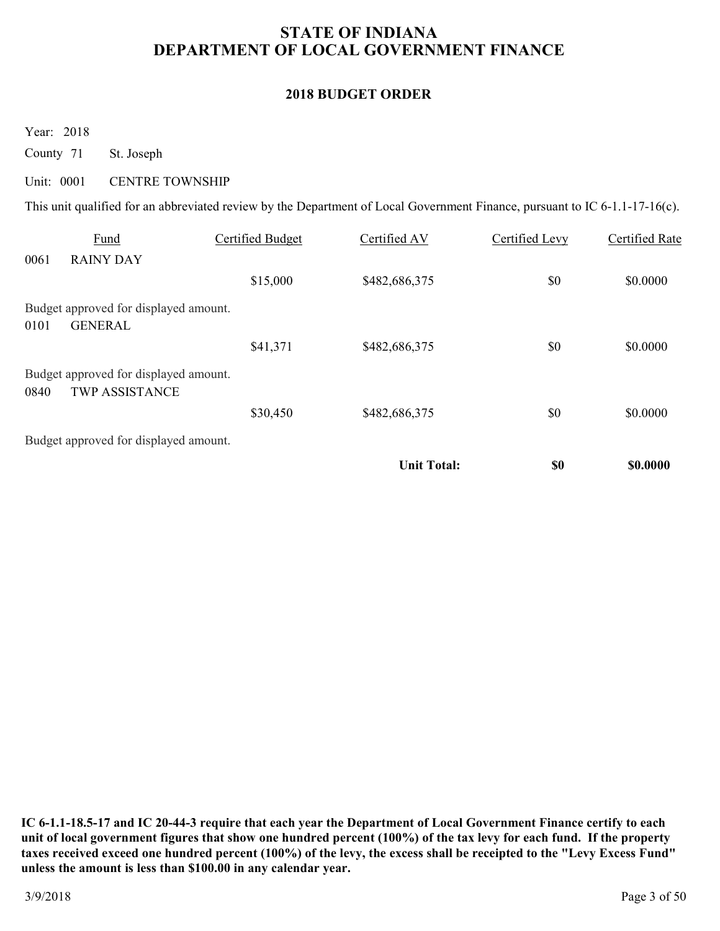### **2018 BUDGET ORDER**

Year: 2018

County 71 St. Joseph

#### Unit: 0001 CENTRE TOWNSHIP

This unit qualified for an abbreviated review by the Department of Local Government Finance, pursuant to IC 6-1.1-17-16(c).

|      | Fund                                                           | Certified Budget | Certified AV       | Certified Levy | Certified Rate |
|------|----------------------------------------------------------------|------------------|--------------------|----------------|----------------|
| 0061 | <b>RAINY DAY</b>                                               |                  |                    |                |                |
|      |                                                                | \$15,000         | \$482,686,375      | \$0            | \$0.0000       |
|      | Budget approved for displayed amount.                          |                  |                    |                |                |
| 0101 | <b>GENERAL</b>                                                 |                  |                    |                |                |
|      |                                                                | \$41,371         | \$482,686,375      | \$0            | \$0.0000       |
| 0840 | Budget approved for displayed amount.<br><b>TWP ASSISTANCE</b> |                  |                    |                |                |
|      |                                                                | \$30,450         | \$482,686,375      | \$0            | \$0.0000       |
|      | Budget approved for displayed amount.                          |                  |                    |                |                |
|      |                                                                |                  | <b>Unit Total:</b> | \$0            | \$0.0000       |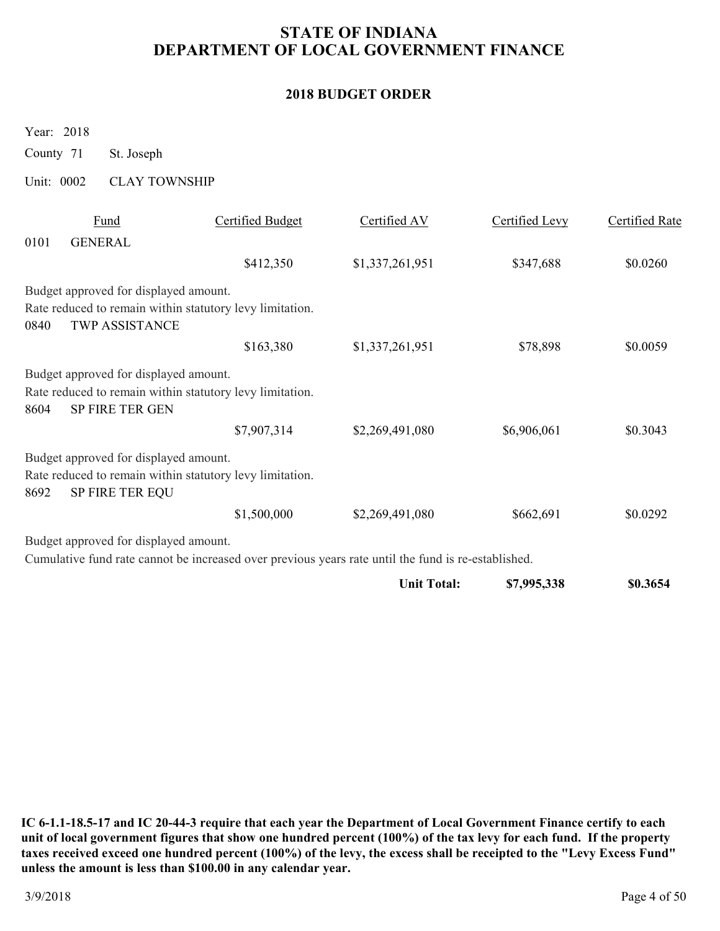### **2018 BUDGET ORDER**

Year: 2018

County 71 St. Joseph

#### Unit: 0002 CLAY TOWNSHIP

|      | Fund                                                     | <b>Certified Budget</b> | Certified AV                                                                                        | Certified Levy | Certified Rate |
|------|----------------------------------------------------------|-------------------------|-----------------------------------------------------------------------------------------------------|----------------|----------------|
| 0101 | <b>GENERAL</b>                                           |                         |                                                                                                     |                |                |
|      |                                                          | \$412,350               | \$1,337,261,951                                                                                     | \$347,688      | \$0.0260       |
|      | Budget approved for displayed amount.                    |                         |                                                                                                     |                |                |
|      | Rate reduced to remain within statutory levy limitation. |                         |                                                                                                     |                |                |
| 0840 | <b>TWP ASSISTANCE</b>                                    |                         |                                                                                                     |                |                |
|      |                                                          | \$163,380               | \$1,337,261,951                                                                                     | \$78,898       | \$0.0059       |
|      | Budget approved for displayed amount.                    |                         |                                                                                                     |                |                |
|      | Rate reduced to remain within statutory levy limitation. |                         |                                                                                                     |                |                |
| 8604 | <b>SP FIRE TER GEN</b>                                   |                         |                                                                                                     |                |                |
|      |                                                          | \$7,907,314             | \$2,269,491,080                                                                                     | \$6,906,061    | \$0.3043       |
|      | Budget approved for displayed amount.                    |                         |                                                                                                     |                |                |
|      | Rate reduced to remain within statutory levy limitation. |                         |                                                                                                     |                |                |
| 8692 | SP FIRE TER EQU                                          |                         |                                                                                                     |                |                |
|      |                                                          | \$1,500,000             | \$2,269,491,080                                                                                     | \$662,691      | \$0.0292       |
|      | Budget approved for displayed amount.                    |                         |                                                                                                     |                |                |
|      |                                                          |                         | Cumulative fund rate cannot be increased over previous years rate until the fund is re-established. |                |                |
|      |                                                          |                         | <b>Unit Total:</b>                                                                                  | \$7,995,338    | \$0.3654       |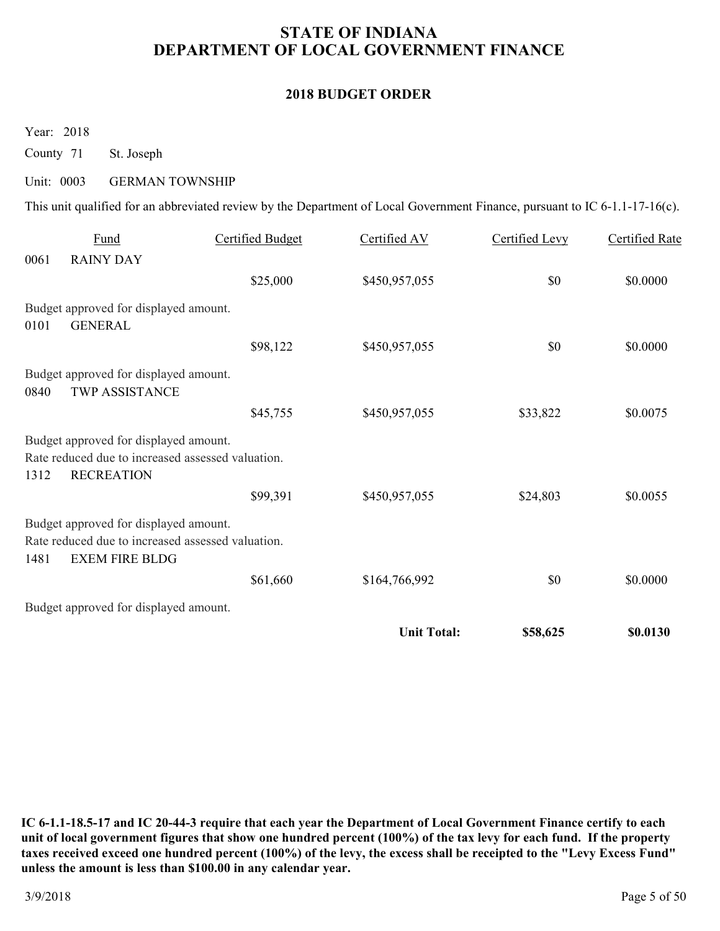#### **2018 BUDGET ORDER**

Year: 2018

County 71 St. Joseph

#### Unit: 0003 GERMAN TOWNSHIP

This unit qualified for an abbreviated review by the Department of Local Government Finance, pursuant to IC 6-1.1-17-16(c).

|      | Fund                                              | Certified Budget | Certified AV       | Certified Levy | <b>Certified Rate</b> |
|------|---------------------------------------------------|------------------|--------------------|----------------|-----------------------|
| 0061 | <b>RAINY DAY</b>                                  |                  |                    |                |                       |
|      |                                                   | \$25,000         | \$450,957,055      | \$0            | \$0.0000              |
|      | Budget approved for displayed amount.             |                  |                    |                |                       |
| 0101 | <b>GENERAL</b>                                    |                  |                    |                |                       |
|      |                                                   | \$98,122         | \$450,957,055      | \$0            | \$0.0000              |
|      | Budget approved for displayed amount.             |                  |                    |                |                       |
| 0840 | <b>TWP ASSISTANCE</b>                             |                  |                    |                |                       |
|      |                                                   | \$45,755         | \$450,957,055      | \$33,822       | \$0.0075              |
|      | Budget approved for displayed amount.             |                  |                    |                |                       |
|      | Rate reduced due to increased assessed valuation. |                  |                    |                |                       |
| 1312 | <b>RECREATION</b>                                 |                  |                    |                |                       |
|      |                                                   | \$99,391         | \$450,957,055      | \$24,803       | \$0.0055              |
|      | Budget approved for displayed amount.             |                  |                    |                |                       |
|      | Rate reduced due to increased assessed valuation. |                  |                    |                |                       |
| 1481 | <b>EXEM FIRE BLDG</b>                             |                  |                    |                |                       |
|      |                                                   | \$61,660         | \$164,766,992      | \$0            | \$0.0000              |
|      | Budget approved for displayed amount.             |                  |                    |                |                       |
|      |                                                   |                  | <b>Unit Total:</b> | \$58,625       | \$0.0130              |
|      |                                                   |                  |                    |                |                       |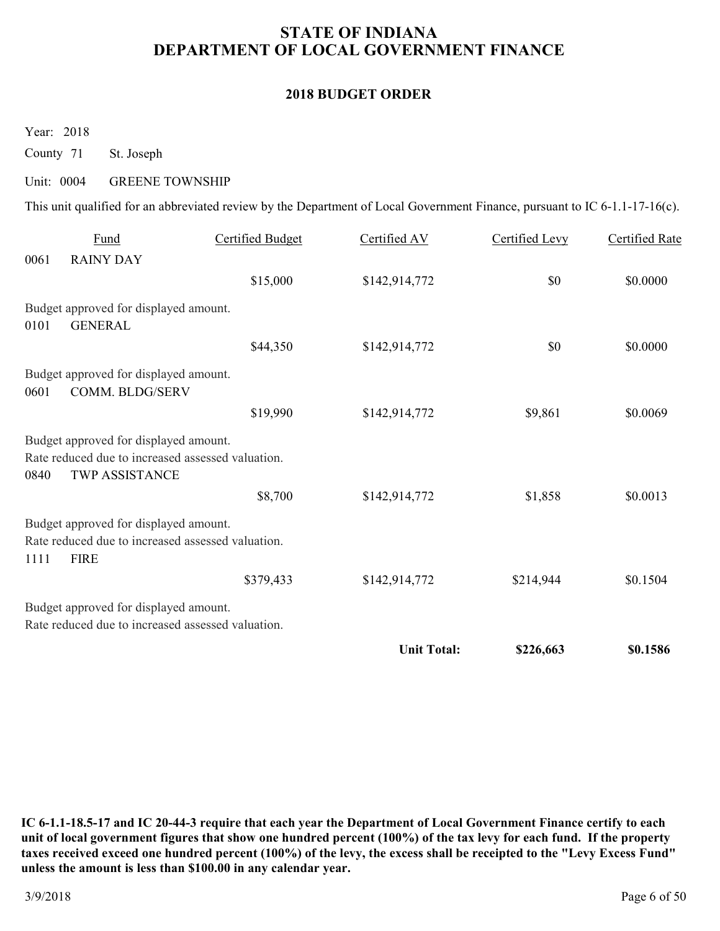#### **2018 BUDGET ORDER**

Year: 2018

County 71 St. Joseph

#### Unit: 0004 GREENE TOWNSHIP

This unit qualified for an abbreviated review by the Department of Local Government Finance, pursuant to IC 6-1.1-17-16(c).

|      | Fund                                                                                                                | <b>Certified Budget</b> | Certified AV       | Certified Levy | <b>Certified Rate</b> |
|------|---------------------------------------------------------------------------------------------------------------------|-------------------------|--------------------|----------------|-----------------------|
| 0061 | <b>RAINY DAY</b>                                                                                                    |                         |                    |                |                       |
|      |                                                                                                                     | \$15,000                | \$142,914,772      | \$0            | \$0.0000              |
| 0101 | Budget approved for displayed amount.<br><b>GENERAL</b>                                                             |                         |                    |                |                       |
|      |                                                                                                                     | \$44,350                | \$142,914,772      | \$0            | \$0.0000              |
| 0601 | Budget approved for displayed amount.<br>COMM. BLDG/SERV                                                            |                         |                    |                |                       |
|      |                                                                                                                     | \$19,990                | \$142,914,772      | \$9,861        | \$0.0069              |
| 0840 | Budget approved for displayed amount.<br>Rate reduced due to increased assessed valuation.<br><b>TWP ASSISTANCE</b> |                         |                    |                |                       |
|      |                                                                                                                     | \$8,700                 | \$142,914,772      | \$1,858        | \$0.0013              |
| 1111 | Budget approved for displayed amount.<br>Rate reduced due to increased assessed valuation.<br><b>FIRE</b>           |                         |                    |                |                       |
|      |                                                                                                                     | \$379,433               | \$142,914,772      | \$214,944      | \$0.1504              |
|      | Budget approved for displayed amount.<br>Rate reduced due to increased assessed valuation.                          |                         |                    |                |                       |
|      |                                                                                                                     |                         | <b>Unit Total:</b> | \$226,663      | \$0.1586              |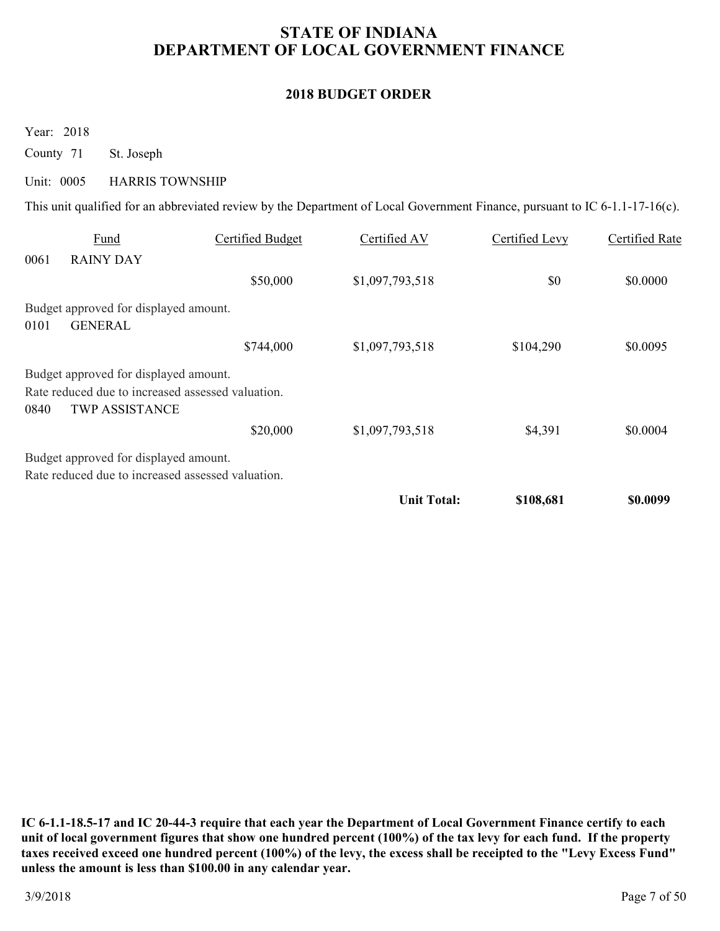### **2018 BUDGET ORDER**

Year: 2018

County 71 St. Joseph

#### Unit: 0005 HARRIS TOWNSHIP

This unit qualified for an abbreviated review by the Department of Local Government Finance, pursuant to IC 6-1.1-17-16(c).

|      | Fund                                              | Certified Budget | Certified AV       | Certified Levy | Certified Rate |
|------|---------------------------------------------------|------------------|--------------------|----------------|----------------|
| 0061 | <b>RAINY DAY</b>                                  |                  |                    |                |                |
|      |                                                   | \$50,000         | \$1,097,793,518    | \$0            | \$0.0000       |
|      | Budget approved for displayed amount.             |                  |                    |                |                |
| 0101 | <b>GENERAL</b>                                    |                  |                    |                |                |
|      |                                                   | \$744,000        | \$1,097,793,518    | \$104,290      | \$0.0095       |
|      | Budget approved for displayed amount.             |                  |                    |                |                |
|      | Rate reduced due to increased assessed valuation. |                  |                    |                |                |
| 0840 | <b>TWP ASSISTANCE</b>                             |                  |                    |                |                |
|      |                                                   | \$20,000         | \$1,097,793,518    | \$4,391        | \$0.0004       |
|      | Budget approved for displayed amount.             |                  |                    |                |                |
|      | Rate reduced due to increased assessed valuation. |                  |                    |                |                |
|      |                                                   |                  | <b>Unit Total:</b> | \$108,681      | \$0.0099       |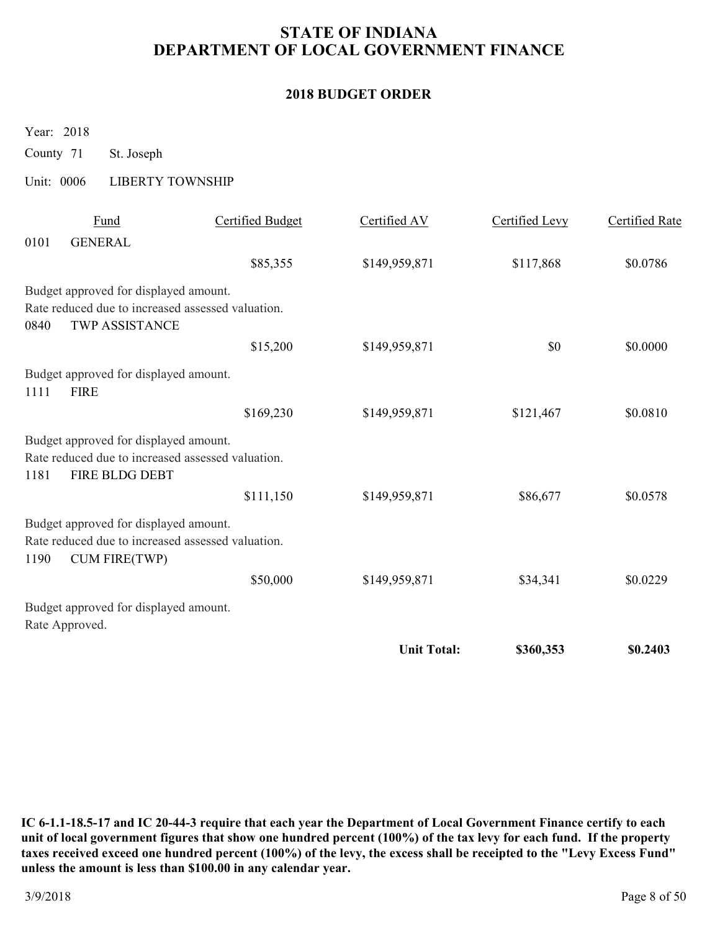### **2018 BUDGET ORDER**

Year: 2018

County 71 St. Joseph

### Unit: 0006 LIBERTY TOWNSHIP

|      | Fund                                                                                                               | <b>Certified Budget</b> | Certified AV       | Certified Levy | <b>Certified Rate</b> |
|------|--------------------------------------------------------------------------------------------------------------------|-------------------------|--------------------|----------------|-----------------------|
| 0101 | <b>GENERAL</b>                                                                                                     |                         |                    |                |                       |
|      |                                                                                                                    | \$85,355                | \$149,959,871      | \$117,868      | \$0.0786              |
|      | Budget approved for displayed amount.                                                                              |                         |                    |                |                       |
|      | Rate reduced due to increased assessed valuation.                                                                  |                         |                    |                |                       |
| 0840 | <b>TWP ASSISTANCE</b>                                                                                              |                         |                    |                |                       |
|      |                                                                                                                    | \$15,200                | \$149,959,871      | \$0            | \$0.0000              |
| 1111 | Budget approved for displayed amount.<br><b>FIRE</b>                                                               |                         |                    |                |                       |
|      |                                                                                                                    | \$169,230               | \$149,959,871      | \$121,467      | \$0.0810              |
|      | Budget approved for displayed amount.                                                                              |                         |                    |                |                       |
| 1181 | Rate reduced due to increased assessed valuation.<br>FIRE BLDG DEBT                                                |                         |                    |                |                       |
|      |                                                                                                                    | \$111,150               | \$149,959,871      | \$86,677       | \$0.0578              |
| 1190 | Budget approved for displayed amount.<br>Rate reduced due to increased assessed valuation.<br><b>CUM FIRE(TWP)</b> |                         |                    |                |                       |
|      |                                                                                                                    | \$50,000                | \$149,959,871      | \$34,341       | \$0.0229              |
|      | Budget approved for displayed amount.<br>Rate Approved.                                                            |                         |                    |                |                       |
|      |                                                                                                                    |                         | <b>Unit Total:</b> | \$360,353      | \$0.2403              |
|      |                                                                                                                    |                         |                    |                |                       |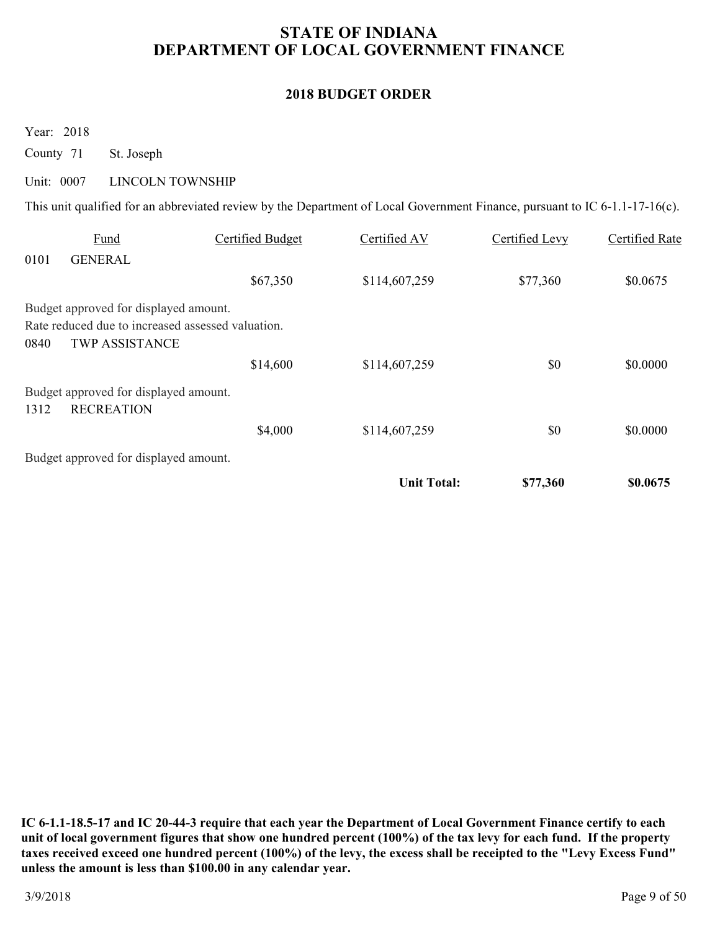### **2018 BUDGET ORDER**

Year: 2018

County 71 St. Joseph

#### Unit: 0007 LINCOLN TOWNSHIP

This unit qualified for an abbreviated review by the Department of Local Government Finance, pursuant to IC 6-1.1-17-16(c).

|      | Fund                                              | Certified Budget | Certified AV       | Certified Levy | Certified Rate |
|------|---------------------------------------------------|------------------|--------------------|----------------|----------------|
| 0101 | <b>GENERAL</b>                                    |                  |                    |                |                |
|      |                                                   | \$67,350         | \$114,607,259      | \$77,360       | \$0.0675       |
|      | Budget approved for displayed amount.             |                  |                    |                |                |
|      | Rate reduced due to increased assessed valuation. |                  |                    |                |                |
| 0840 | <b>TWP ASSISTANCE</b>                             |                  |                    |                |                |
|      |                                                   | \$14,600         | \$114,607,259      | \$0            | \$0.0000       |
|      | Budget approved for displayed amount.             |                  |                    |                |                |
| 1312 | <b>RECREATION</b>                                 |                  |                    |                |                |
|      |                                                   | \$4,000          | \$114,607,259      | \$0            | \$0.0000       |
|      | Budget approved for displayed amount.             |                  |                    |                |                |
|      |                                                   |                  | <b>Unit Total:</b> | \$77,360       | \$0.0675       |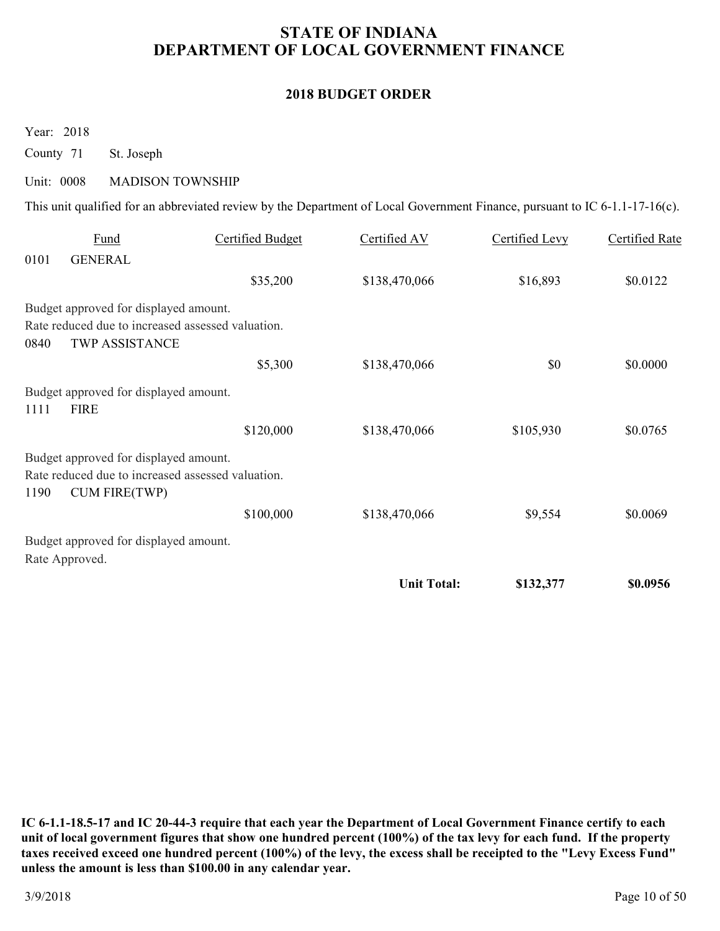#### **2018 BUDGET ORDER**

Year: 2018

County 71 St. Joseph

#### Unit: 0008 MADISON TOWNSHIP

This unit qualified for an abbreviated review by the Department of Local Government Finance, pursuant to IC 6-1.1-17-16(c).

|      | Fund                                                                      | <b>Certified Budget</b> | Certified AV       | Certified Levy | Certified Rate |
|------|---------------------------------------------------------------------------|-------------------------|--------------------|----------------|----------------|
| 0101 | <b>GENERAL</b>                                                            |                         |                    |                |                |
|      |                                                                           | \$35,200                | \$138,470,066      | \$16,893       | \$0.0122       |
|      | Budget approved for displayed amount.                                     |                         |                    |                |                |
|      | Rate reduced due to increased assessed valuation.                         |                         |                    |                |                |
| 0840 | <b>TWP ASSISTANCE</b>                                                     |                         |                    |                |                |
|      |                                                                           | \$5,300                 | \$138,470,066      | \$0            | \$0.0000       |
| 1111 | Budget approved for displayed amount.<br><b>FIRE</b>                      |                         |                    |                |                |
|      |                                                                           |                         |                    |                |                |
|      |                                                                           | \$120,000               | \$138,470,066      | \$105,930      | \$0.0765       |
|      | Budget approved for displayed amount.                                     |                         |                    |                |                |
| 1190 | Rate reduced due to increased assessed valuation.<br><b>CUM FIRE(TWP)</b> |                         |                    |                |                |
|      |                                                                           | \$100,000               | \$138,470,066      | \$9,554        | \$0.0069       |
|      | Budget approved for displayed amount.                                     |                         |                    |                |                |
|      | Rate Approved.                                                            |                         |                    |                |                |
|      |                                                                           |                         | <b>Unit Total:</b> | \$132,377      | \$0.0956       |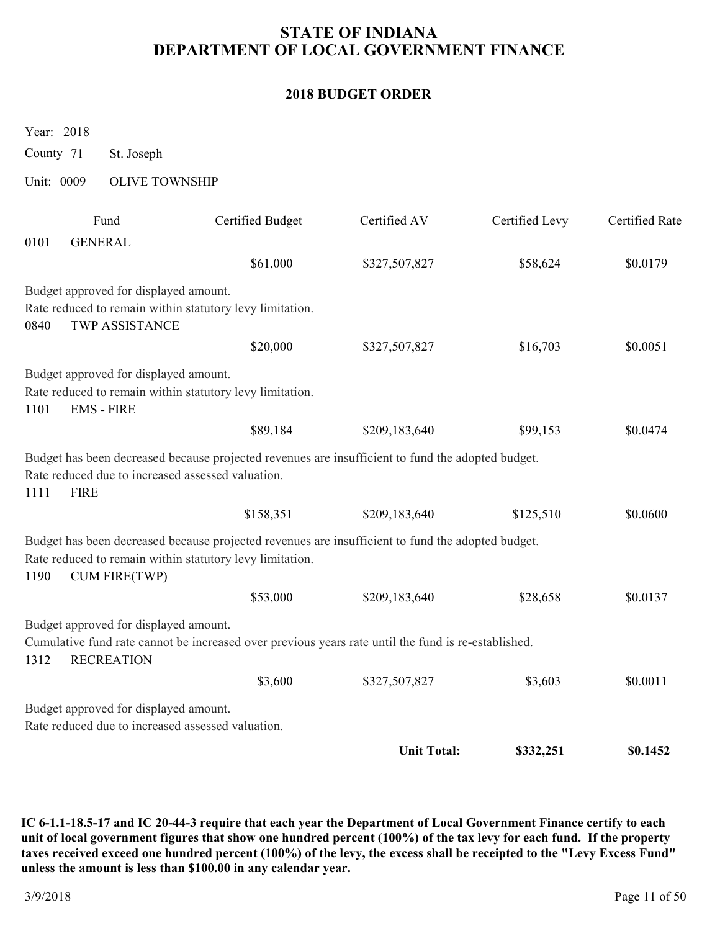#### **2018 BUDGET ORDER**

Year: 2018

County 71 St. Joseph

### Unit: 0009 OLIVE TOWNSHIP

|      |                                                                  |                                                                                                                                                               | <b>Unit Total:</b> | \$332,251      | \$0.1452              |
|------|------------------------------------------------------------------|---------------------------------------------------------------------------------------------------------------------------------------------------------------|--------------------|----------------|-----------------------|
|      | Rate reduced due to increased assessed valuation.                |                                                                                                                                                               |                    |                |                       |
|      | Budget approved for displayed amount.                            |                                                                                                                                                               |                    |                |                       |
|      |                                                                  | \$3,600                                                                                                                                                       | \$327,507,827      | \$3,603        | \$0.0011              |
| 1312 | Budget approved for displayed amount.<br><b>RECREATION</b>       | Cumulative fund rate cannot be increased over previous years rate until the fund is re-established.                                                           |                    |                |                       |
|      |                                                                  | \$53,000                                                                                                                                                      | \$209,183,640      | \$28,658       | \$0.0137              |
| 1190 | <b>CUM FIRE(TWP)</b>                                             | Budget has been decreased because projected revenues are insufficient to fund the adopted budget.<br>Rate reduced to remain within statutory levy limitation. |                    |                |                       |
|      |                                                                  | \$158,351                                                                                                                                                     | \$209,183,640      | \$125,510      | \$0.0600              |
| 1111 | Rate reduced due to increased assessed valuation.<br><b>FIRE</b> | Budget has been decreased because projected revenues are insufficient to fund the adopted budget.                                                             |                    |                |                       |
|      |                                                                  | \$89,184                                                                                                                                                      | \$209,183,640      | \$99,153       | \$0.0474              |
| 1101 | Budget approved for displayed amount.<br><b>EMS - FIRE</b>       | Rate reduced to remain within statutory levy limitation.                                                                                                      |                    |                |                       |
|      |                                                                  | \$20,000                                                                                                                                                      | \$327,507,827      | \$16,703       | \$0.0051              |
| 0840 | Budget approved for displayed amount.<br><b>TWP ASSISTANCE</b>   | Rate reduced to remain within statutory levy limitation.                                                                                                      |                    |                |                       |
|      |                                                                  | \$61,000                                                                                                                                                      | \$327,507,827      | \$58,624       | \$0.0179              |
| 0101 | <b>GENERAL</b>                                                   |                                                                                                                                                               |                    |                |                       |
|      | Fund                                                             | <b>Certified Budget</b>                                                                                                                                       | Certified AV       | Certified Levy | <b>Certified Rate</b> |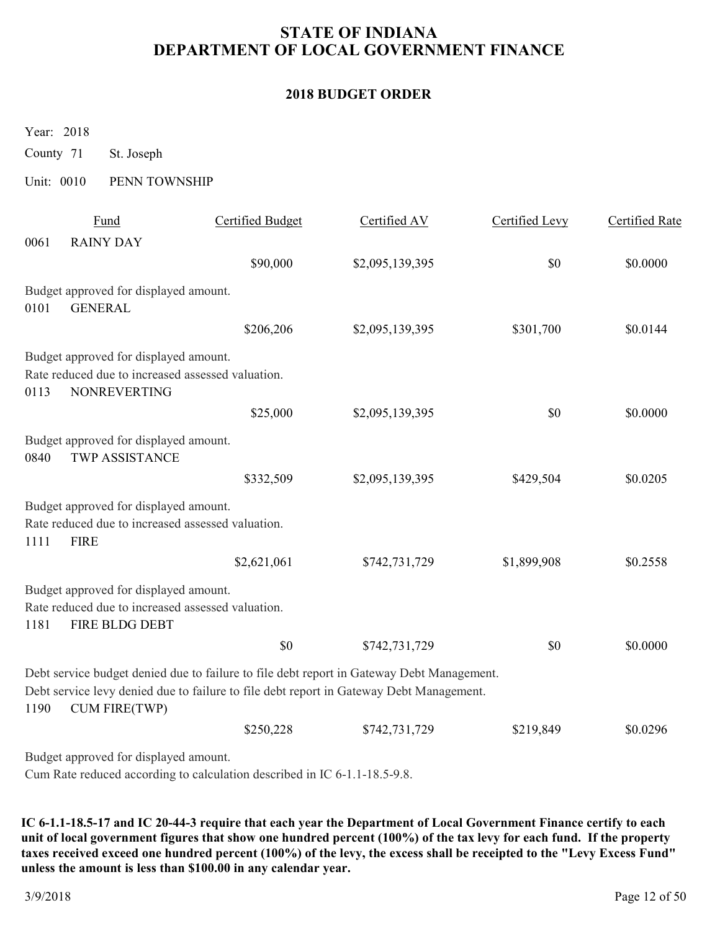### **2018 BUDGET ORDER**

Year: 2018

County 71 St. Joseph

#### Unit: 0010 PENN TOWNSHIP

|      | Fund                                                           | Certified Budget                                                                          | Certified AV    | Certified Levy | Certified Rate |
|------|----------------------------------------------------------------|-------------------------------------------------------------------------------------------|-----------------|----------------|----------------|
| 0061 | <b>RAINY DAY</b>                                               |                                                                                           |                 |                |                |
|      |                                                                | \$90,000                                                                                  | \$2,095,139,395 | \$0            | \$0.0000       |
|      | Budget approved for displayed amount.                          |                                                                                           |                 |                |                |
| 0101 | <b>GENERAL</b>                                                 |                                                                                           |                 |                |                |
|      |                                                                | \$206,206                                                                                 | \$2,095,139,395 | \$301,700      | \$0.0144       |
|      | Budget approved for displayed amount.                          |                                                                                           |                 |                |                |
|      | Rate reduced due to increased assessed valuation.              |                                                                                           |                 |                |                |
| 0113 | <b>NONREVERTING</b>                                            |                                                                                           |                 |                |                |
|      |                                                                | \$25,000                                                                                  | \$2,095,139,395 | \$0            | \$0.0000       |
| 0840 | Budget approved for displayed amount.<br><b>TWP ASSISTANCE</b> |                                                                                           |                 |                |                |
|      |                                                                | \$332,509                                                                                 | \$2,095,139,395 | \$429,504      | \$0.0205       |
|      | Budget approved for displayed amount.                          |                                                                                           |                 |                |                |
|      | Rate reduced due to increased assessed valuation.              |                                                                                           |                 |                |                |
| 1111 | <b>FIRE</b>                                                    |                                                                                           |                 |                |                |
|      |                                                                | \$2,621,061                                                                               | \$742,731,729   | \$1,899,908    | \$0.2558       |
|      | Budget approved for displayed amount.                          |                                                                                           |                 |                |                |
|      | Rate reduced due to increased assessed valuation.              |                                                                                           |                 |                |                |
| 1181 | FIRE BLDG DEBT                                                 |                                                                                           |                 |                |                |
|      |                                                                | \$0                                                                                       | \$742,731,729   | \$0            | \$0.0000       |
|      |                                                                | Debt service budget denied due to failure to file debt report in Gateway Debt Management. |                 |                |                |
| 1190 | <b>CUM FIRE(TWP)</b>                                           | Debt service levy denied due to failure to file debt report in Gateway Debt Management.   |                 |                |                |
|      |                                                                | \$250,228                                                                                 | \$742,731,729   | \$219,849      | \$0.0296       |
|      | Budget approved for displayed amount.                          |                                                                                           |                 |                |                |

Cum Rate reduced according to calculation described in IC 6-1.1-18.5-9.8.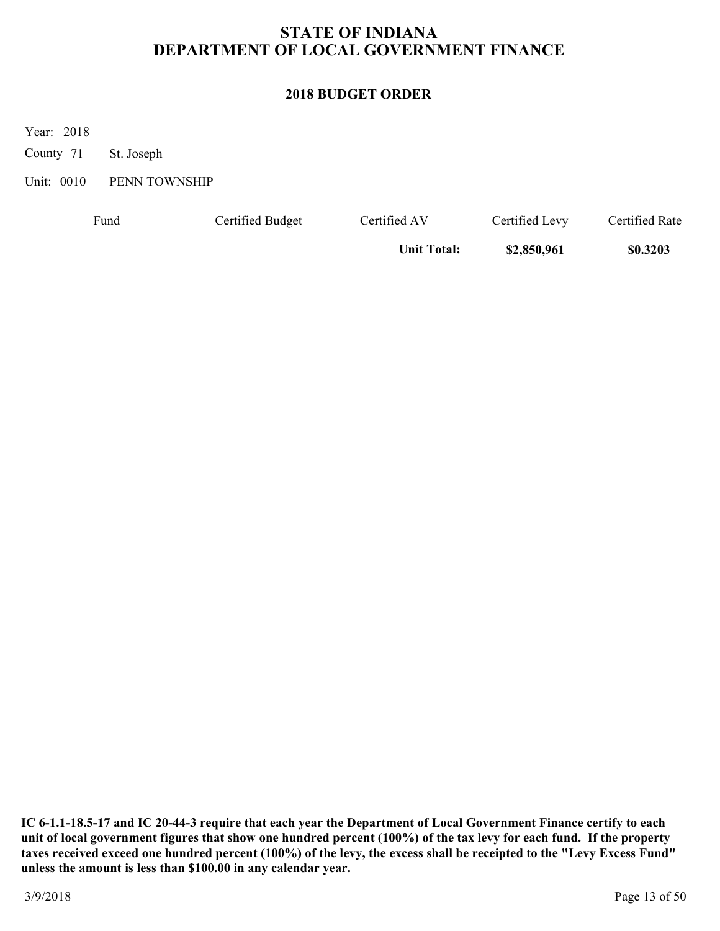### **2018 BUDGET ORDER**

Year: 2018

County 71 St. Joseph

Unit: 0010 PENN TOWNSHIP

| <u>Fund</u> | Certified Budget | Certified AV       | Certified Levy | Certified Rate |
|-------------|------------------|--------------------|----------------|----------------|
|             |                  | <b>Unit Total:</b> | \$2,850,961    | \$0.3203       |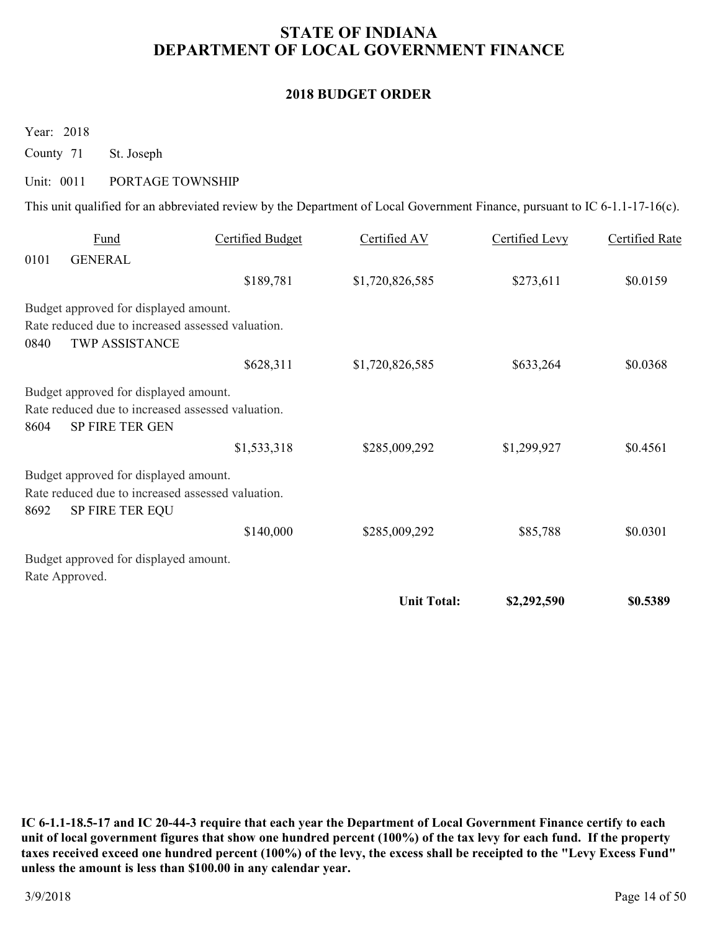#### **2018 BUDGET ORDER**

Year: 2018

County 71 St. Joseph

### Unit: 0011 PORTAGE TOWNSHIP

This unit qualified for an abbreviated review by the Department of Local Government Finance, pursuant to IC 6-1.1-17-16(c).

|      |                                                                                            |                  | <b>Unit Total:</b> | \$2,292,590    | \$0.5389       |
|------|--------------------------------------------------------------------------------------------|------------------|--------------------|----------------|----------------|
|      | Rate Approved.                                                                             |                  |                    |                |                |
|      | Budget approved for displayed amount.                                                      |                  |                    |                |                |
|      |                                                                                            | \$140,000        | \$285,009,292      | \$85,788       | \$0.0301       |
| 8692 | Rate reduced due to increased assessed valuation.<br><b>SP FIRE TER EQU</b>                |                  |                    |                |                |
|      | Budget approved for displayed amount.                                                      |                  |                    |                |                |
|      |                                                                                            |                  |                    |                |                |
| 8604 | SP FIRE TER GEN                                                                            | \$1,533,318      | \$285,009,292      | \$1,299,927    | \$0.4561       |
|      | Rate reduced due to increased assessed valuation.                                          |                  |                    |                |                |
|      | Budget approved for displayed amount.                                                      |                  |                    |                |                |
|      |                                                                                            | \$628,311        | \$1,720,826,585    | \$633,264      | \$0.0368       |
| 0840 | <b>TWP ASSISTANCE</b>                                                                      |                  |                    |                |                |
|      | Budget approved for displayed amount.<br>Rate reduced due to increased assessed valuation. |                  |                    |                |                |
|      |                                                                                            | \$189,781        | \$1,720,826,585    | \$273,611      | \$0.0159       |
| 0101 | <b>GENERAL</b>                                                                             |                  |                    |                |                |
|      | Fund                                                                                       | Certified Budget | Certified AV       | Certified Levy | Certified Rate |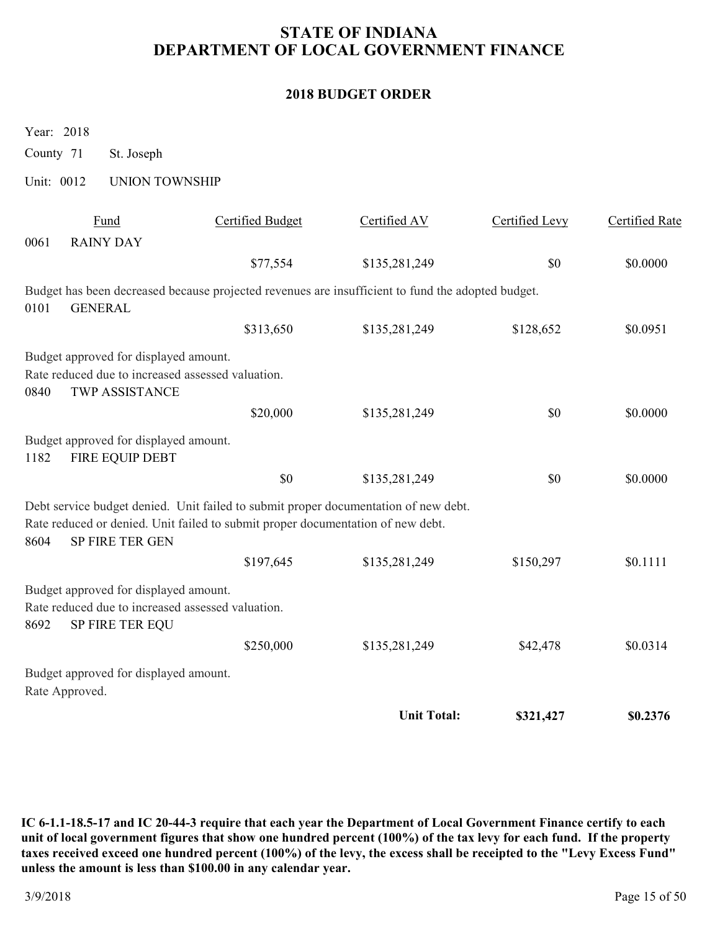#### **2018 BUDGET ORDER**

Year: 2018

County 71 St. Joseph

Unit: 0012 UNION TOWNSHIP

|      | Fund                                                                                                          | <b>Certified Budget</b>                                                                           | Certified AV       | Certified Levy | <b>Certified Rate</b> |
|------|---------------------------------------------------------------------------------------------------------------|---------------------------------------------------------------------------------------------------|--------------------|----------------|-----------------------|
| 0061 | <b>RAINY DAY</b>                                                                                              |                                                                                                   |                    |                |                       |
|      |                                                                                                               | \$77,554                                                                                          | \$135,281,249      | \$0            | \$0.0000              |
| 0101 | <b>GENERAL</b>                                                                                                | Budget has been decreased because projected revenues are insufficient to fund the adopted budget. |                    |                |                       |
|      |                                                                                                               | \$313,650                                                                                         | \$135,281,249      | \$128,652      | \$0.0951              |
|      | Budget approved for displayed amount.                                                                         |                                                                                                   |                    |                |                       |
| 0840 | Rate reduced due to increased assessed valuation.<br><b>TWP ASSISTANCE</b>                                    |                                                                                                   |                    |                |                       |
|      |                                                                                                               | \$20,000                                                                                          | \$135,281,249      | \$0            | \$0.0000              |
| 1182 | Budget approved for displayed amount.<br>FIRE EQUIP DEBT                                                      |                                                                                                   |                    |                |                       |
|      |                                                                                                               | \$0                                                                                               | \$135,281,249      | \$0            | \$0.0000              |
|      |                                                                                                               | Debt service budget denied. Unit failed to submit proper documentation of new debt.               |                    |                |                       |
| 8604 | SP FIRE TER GEN                                                                                               | Rate reduced or denied. Unit failed to submit proper documentation of new debt.                   |                    |                |                       |
|      |                                                                                                               | \$197,645                                                                                         | \$135,281,249      | \$150,297      | \$0.1111              |
| 8692 | Budget approved for displayed amount.<br>Rate reduced due to increased assessed valuation.<br>SP FIRE TER EQU |                                                                                                   |                    |                |                       |
|      |                                                                                                               | \$250,000                                                                                         | \$135,281,249      | \$42,478       | \$0.0314              |
|      | Budget approved for displayed amount.<br>Rate Approved.                                                       |                                                                                                   |                    |                |                       |
|      |                                                                                                               |                                                                                                   | <b>Unit Total:</b> | \$321,427      | \$0.2376              |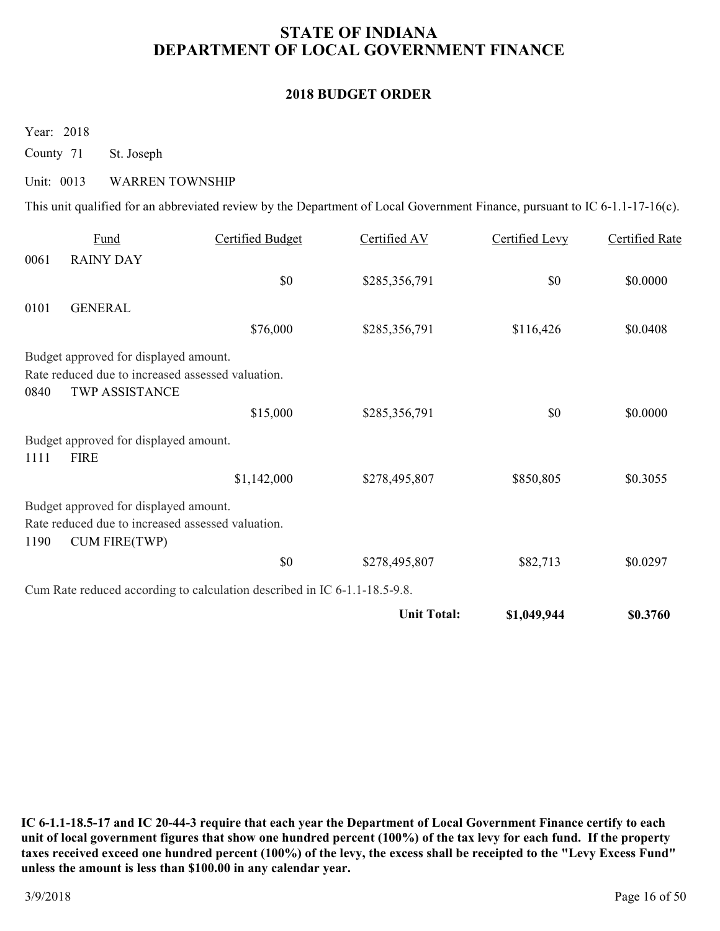#### **2018 BUDGET ORDER**

Year: 2018

County 71 St. Joseph

#### Unit: 0013 WARREN TOWNSHIP

This unit qualified for an abbreviated review by the Department of Local Government Finance, pursuant to IC 6-1.1-17-16(c).

|      | Fund                                              | <b>Certified Budget</b>                                                   | Certified AV       | Certified Levy | Certified Rate |
|------|---------------------------------------------------|---------------------------------------------------------------------------|--------------------|----------------|----------------|
| 0061 | <b>RAINY DAY</b>                                  |                                                                           |                    |                |                |
|      |                                                   | \$0                                                                       | \$285,356,791      | \$0            | \$0.0000       |
| 0101 | <b>GENERAL</b>                                    |                                                                           |                    |                |                |
|      |                                                   | \$76,000                                                                  | \$285,356,791      | \$116,426      | \$0.0408       |
|      | Budget approved for displayed amount.             |                                                                           |                    |                |                |
|      | Rate reduced due to increased assessed valuation. |                                                                           |                    |                |                |
| 0840 | <b>TWP ASSISTANCE</b>                             |                                                                           |                    |                |                |
|      |                                                   | \$15,000                                                                  | \$285,356,791      | \$0            | \$0.0000       |
|      | Budget approved for displayed amount.             |                                                                           |                    |                |                |
| 1111 | <b>FIRE</b>                                       |                                                                           |                    |                |                |
|      |                                                   | \$1,142,000                                                               | \$278,495,807      | \$850,805      | \$0.3055       |
|      | Budget approved for displayed amount.             |                                                                           |                    |                |                |
|      | Rate reduced due to increased assessed valuation. |                                                                           |                    |                |                |
| 1190 | <b>CUM FIRE(TWP)</b>                              |                                                                           |                    |                |                |
|      |                                                   | \$0                                                                       | \$278,495,807      | \$82,713       | \$0.0297       |
|      |                                                   | Cum Rate reduced according to calculation described in IC 6-1.1-18.5-9.8. |                    |                |                |
|      |                                                   |                                                                           | <b>Unit Total:</b> | \$1,049,944    | \$0.3760       |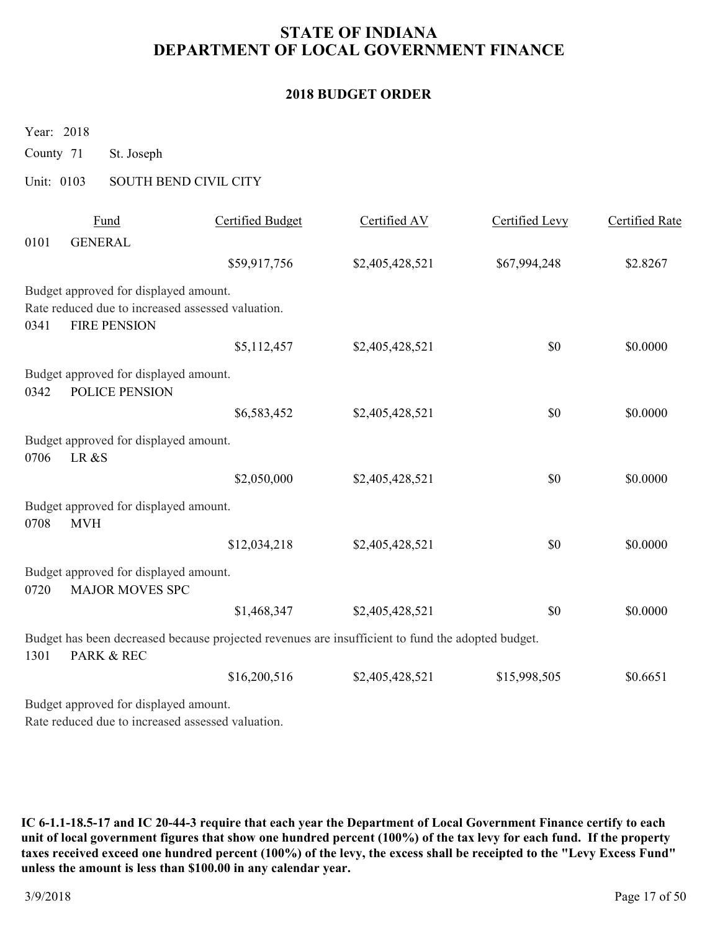#### **2018 BUDGET ORDER**

Year: 2018

County 71 St. Joseph

### Unit: 0103 SOUTH BEND CIVIL CITY

|      | Fund                                                                     | Certified Budget                                                                                  | Certified AV    | Certified Levy | Certified Rate |
|------|--------------------------------------------------------------------------|---------------------------------------------------------------------------------------------------|-----------------|----------------|----------------|
| 0101 | <b>GENERAL</b>                                                           |                                                                                                   |                 |                |                |
|      |                                                                          | \$59,917,756                                                                                      | \$2,405,428,521 | \$67,994,248   | \$2.8267       |
|      | Budget approved for displayed amount.                                    |                                                                                                   |                 |                |                |
| 0341 | Rate reduced due to increased assessed valuation.<br><b>FIRE PENSION</b> |                                                                                                   |                 |                |                |
|      |                                                                          | \$5,112,457                                                                                       | \$2,405,428,521 | \$0            | \$0.0000       |
| 0342 | Budget approved for displayed amount.<br>POLICE PENSION                  |                                                                                                   |                 |                |                |
|      |                                                                          | \$6,583,452                                                                                       | \$2,405,428,521 | \$0            | \$0.0000       |
| 0706 | Budget approved for displayed amount.<br>LR&S                            |                                                                                                   |                 |                |                |
|      |                                                                          | \$2,050,000                                                                                       | \$2,405,428,521 | \$0            | \$0.0000       |
| 0708 | Budget approved for displayed amount.<br><b>MVH</b>                      |                                                                                                   |                 |                |                |
|      |                                                                          | \$12,034,218                                                                                      | \$2,405,428,521 | \$0            | \$0.0000       |
| 0720 | Budget approved for displayed amount.<br><b>MAJOR MOVES SPC</b>          |                                                                                                   |                 |                |                |
|      |                                                                          | \$1,468,347                                                                                       | \$2,405,428,521 | \$0            | \$0.0000       |
| 1301 | PARK & REC                                                               | Budget has been decreased because projected revenues are insufficient to fund the adopted budget. |                 |                |                |
|      |                                                                          | \$16,200,516                                                                                      | \$2,405,428,521 | \$15,998,505   | \$0.6651       |
|      | Budget approved for displayed amount.                                    |                                                                                                   |                 |                |                |

Rate reduced due to increased assessed valuation.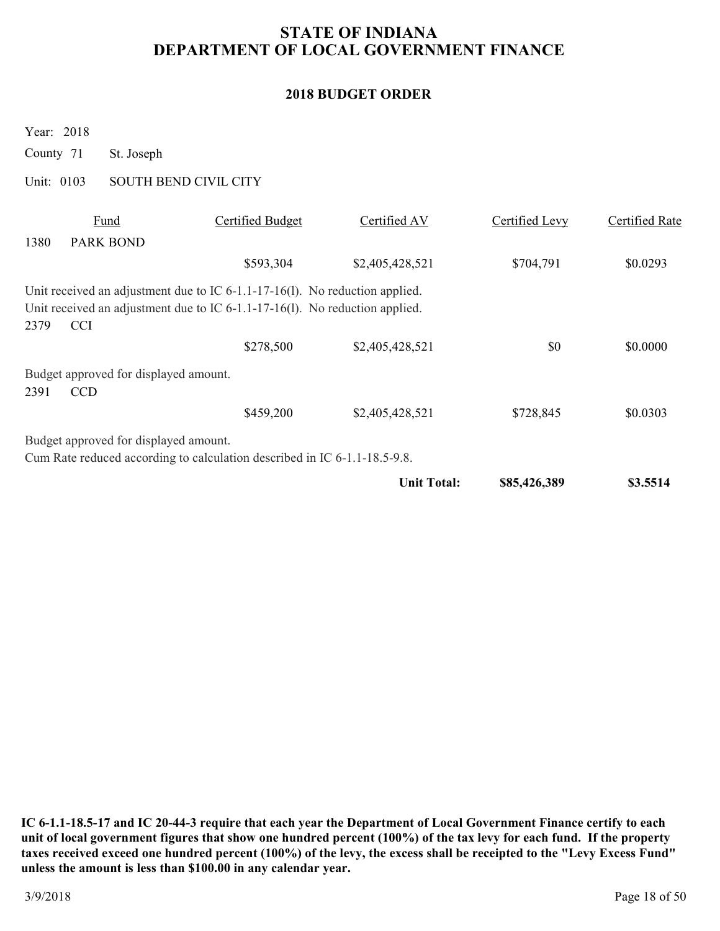### **2018 BUDGET ORDER**

Year: 2018

County 71 St. Joseph

Unit: 0103 SOUTH BEND CIVIL CITY

|      | Fund                                  | Certified Budget                                                               | Certified AV       | Certified Levy | Certified Rate |
|------|---------------------------------------|--------------------------------------------------------------------------------|--------------------|----------------|----------------|
| 1380 | <b>PARK BOND</b>                      |                                                                                |                    |                |                |
|      |                                       | \$593,304                                                                      | \$2,405,428,521    | \$704,791      | \$0.0293       |
|      |                                       | Unit received an adjustment due to IC $6-1.1-17-16(1)$ . No reduction applied. |                    |                |                |
|      |                                       | Unit received an adjustment due to IC $6-1.1-17-16(1)$ . No reduction applied. |                    |                |                |
| 2379 | <b>CCI</b>                            |                                                                                |                    |                |                |
|      |                                       | \$278,500                                                                      | \$2,405,428,521    | \$0            | \$0.0000       |
|      | Budget approved for displayed amount. |                                                                                |                    |                |                |
| 2391 | <b>CCD</b>                            |                                                                                |                    |                |                |
|      |                                       | \$459,200                                                                      | \$2,405,428,521    | \$728,845      | \$0.0303       |
|      | Budget approved for displayed amount. |                                                                                |                    |                |                |
|      |                                       | Cum Rate reduced according to calculation described in IC 6-1.1-18.5-9.8.      |                    |                |                |
|      |                                       |                                                                                | <b>Unit Total:</b> | \$85,426,389   | \$3.5514       |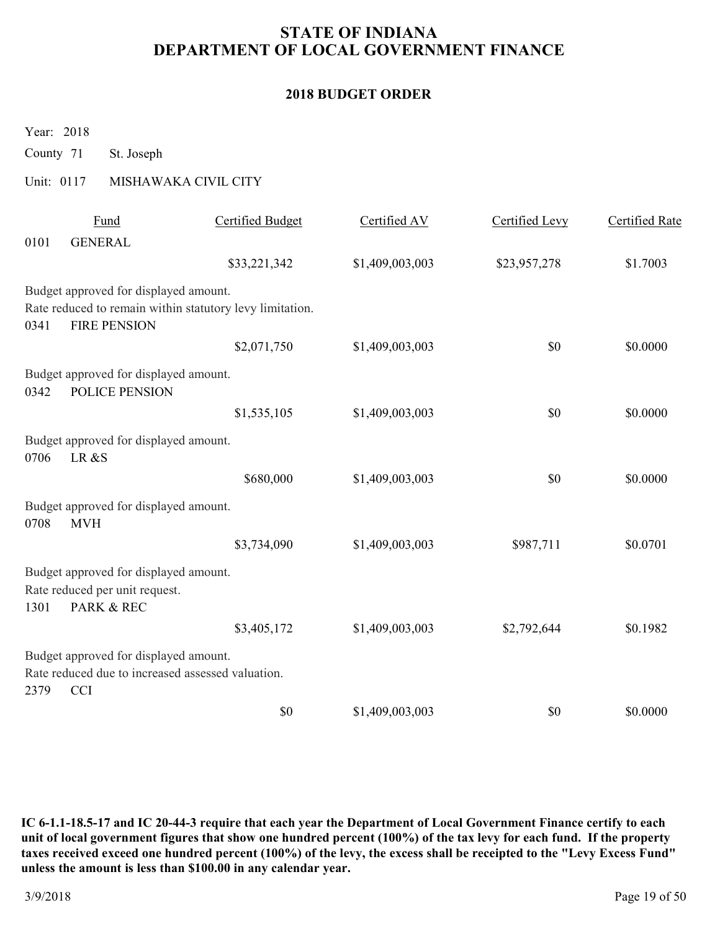### **2018 BUDGET ORDER**

Year: 2018

County 71 St. Joseph

### Unit: 0117 MISHAWAKA CIVIL CITY

|      | Fund                                                                                                     | <b>Certified Budget</b>                                  | Certified AV    | Certified Levy | Certified Rate |
|------|----------------------------------------------------------------------------------------------------------|----------------------------------------------------------|-----------------|----------------|----------------|
| 0101 | <b>GENERAL</b>                                                                                           |                                                          |                 |                |                |
|      |                                                                                                          | \$33,221,342                                             | \$1,409,003,003 | \$23,957,278   | \$1.7003       |
|      | Budget approved for displayed amount.                                                                    |                                                          |                 |                |                |
| 0341 | <b>FIRE PENSION</b>                                                                                      | Rate reduced to remain within statutory levy limitation. |                 |                |                |
|      |                                                                                                          | \$2,071,750                                              | \$1,409,003,003 | \$0            | \$0.0000       |
| 0342 | Budget approved for displayed amount.<br>POLICE PENSION                                                  |                                                          |                 |                |                |
|      |                                                                                                          | \$1,535,105                                              | \$1,409,003,003 | \$0            | \$0.0000       |
| 0706 | Budget approved for displayed amount.<br>LR&S                                                            |                                                          |                 |                |                |
|      |                                                                                                          | \$680,000                                                | \$1,409,003,003 | \$0            | \$0.0000       |
| 0708 | Budget approved for displayed amount.<br><b>MVH</b>                                                      |                                                          |                 |                |                |
|      |                                                                                                          | \$3,734,090                                              | \$1,409,003,003 | \$987,711      | \$0.0701       |
| 1301 | Budget approved for displayed amount.<br>Rate reduced per unit request.<br>PARK & REC                    |                                                          |                 |                |                |
|      |                                                                                                          | \$3,405,172                                              | \$1,409,003,003 | \$2,792,644    | \$0.1982       |
| 2379 | Budget approved for displayed amount.<br>Rate reduced due to increased assessed valuation.<br><b>CCI</b> |                                                          |                 |                |                |
|      |                                                                                                          | \$0                                                      | \$1,409,003,003 | \$0            | \$0.0000       |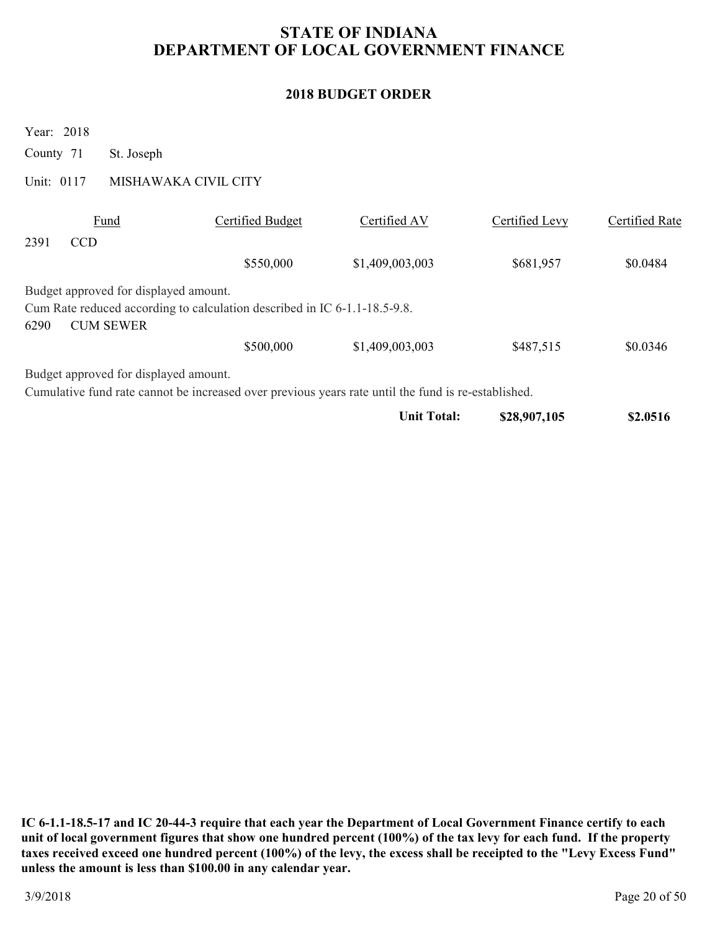### **2018 BUDGET ORDER**

Year: 2018

County 71 St. Joseph

Unit: 0117 MISHAWAKA CIVIL CITY

|      | Fund                                  | Certified Budget                                                                                    | Certified AV    | Certified Levy | Certified Rate |
|------|---------------------------------------|-----------------------------------------------------------------------------------------------------|-----------------|----------------|----------------|
| 2391 | <b>CCD</b>                            |                                                                                                     |                 |                |                |
|      |                                       | \$550,000                                                                                           | \$1,409,003,003 | \$681,957      | \$0.0484       |
|      | Budget approved for displayed amount. |                                                                                                     |                 |                |                |
|      |                                       | Cum Rate reduced according to calculation described in IC 6-1.1-18.5-9.8.                           |                 |                |                |
| 6290 | <b>CUM SEWER</b>                      |                                                                                                     |                 |                |                |
|      |                                       | \$500,000                                                                                           | \$1,409,003,003 | \$487,515      | \$0.0346       |
|      | Budget approved for displayed amount. |                                                                                                     |                 |                |                |
|      |                                       | Cumulative fund rate cannot be increased over previous years rate until the fund is re-established. |                 |                |                |

| \$28,907,105<br>Unit Total: | \$2.0516 |
|-----------------------------|----------|
|-----------------------------|----------|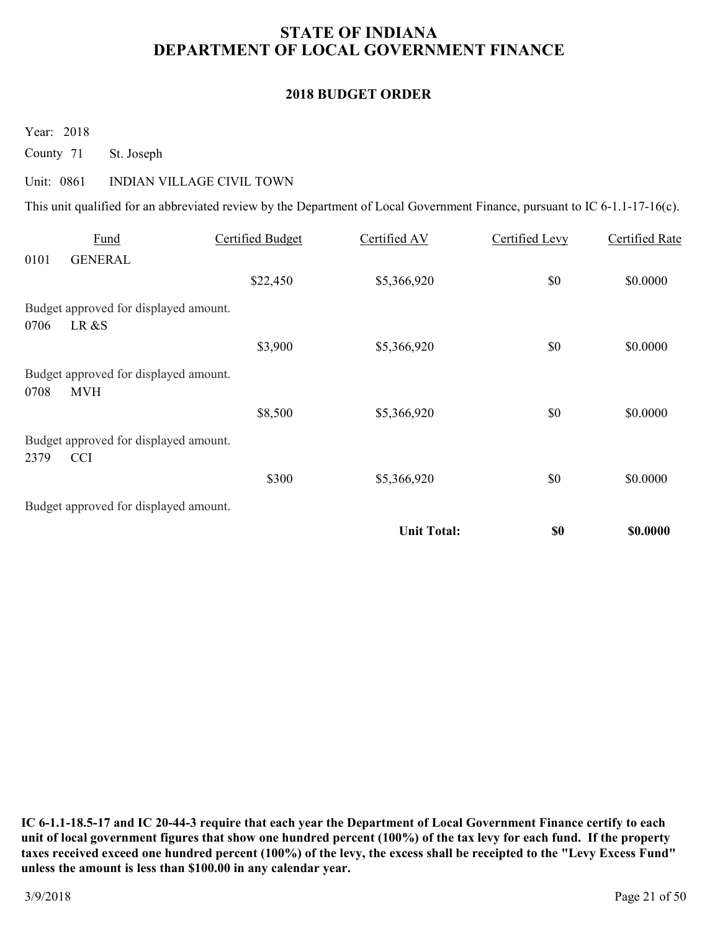#### **2018 BUDGET ORDER**

Year: 2018

County 71 St. Joseph

#### Unit: 0861 INDIAN VILLAGE CIVIL TOWN

This unit qualified for an abbreviated review by the Department of Local Government Finance, pursuant to IC 6-1.1-17-16(c).

|      | Fund                                  | Certified Budget | Certified AV       | Certified Levy | Certified Rate |
|------|---------------------------------------|------------------|--------------------|----------------|----------------|
| 0101 | <b>GENERAL</b>                        |                  |                    |                |                |
|      |                                       | \$22,450         | \$5,366,920        | \$0            | \$0.0000       |
|      | Budget approved for displayed amount. |                  |                    |                |                |
| 0706 | LR &S                                 |                  |                    |                |                |
|      |                                       | \$3,900          | \$5,366,920        | \$0            | \$0.0000       |
|      | Budget approved for displayed amount. |                  |                    |                |                |
| 0708 | <b>MVH</b>                            |                  |                    |                |                |
|      |                                       | \$8,500          | \$5,366,920        | \$0            | \$0.0000       |
|      | Budget approved for displayed amount. |                  |                    |                |                |
| 2379 | <b>CCI</b>                            |                  |                    |                |                |
|      |                                       | \$300            | \$5,366,920        | \$0            | \$0.0000       |
|      | Budget approved for displayed amount. |                  |                    |                |                |
|      |                                       |                  | <b>Unit Total:</b> | \$0            | \$0.0000       |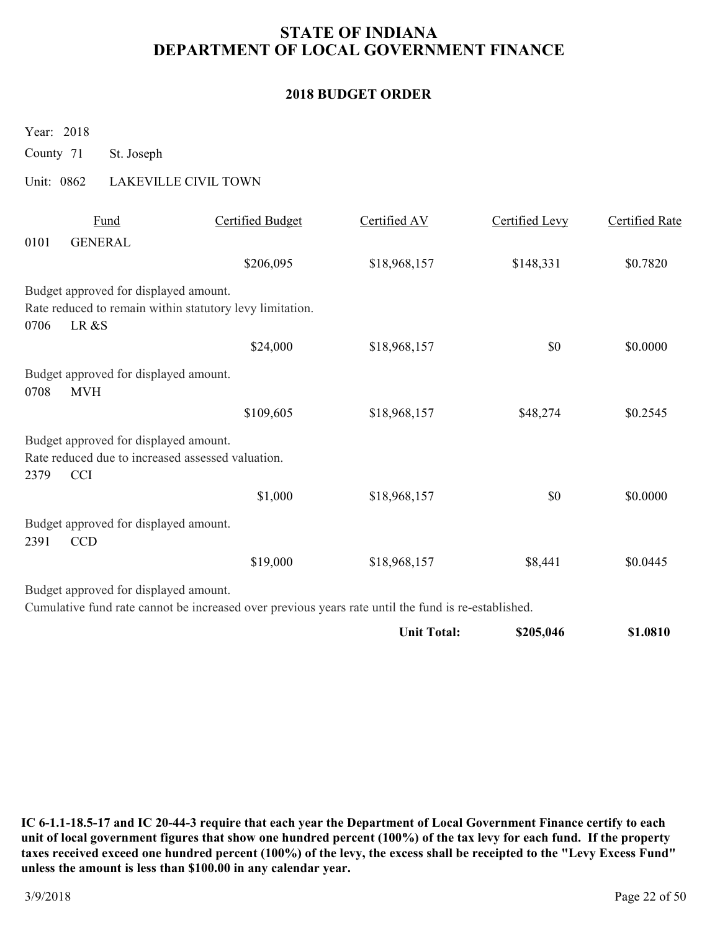### **2018 BUDGET ORDER**

Year: 2018

County 71 St. Joseph

### Unit: 0862 LAKEVILLE CIVIL TOWN

|      | Fund                                              | <b>Certified Budget</b>                                                                             | Certified AV       | Certified Levy | <b>Certified Rate</b> |
|------|---------------------------------------------------|-----------------------------------------------------------------------------------------------------|--------------------|----------------|-----------------------|
| 0101 | <b>GENERAL</b>                                    |                                                                                                     |                    |                |                       |
|      |                                                   | \$206,095                                                                                           | \$18,968,157       | \$148,331      | \$0.7820              |
|      | Budget approved for displayed amount.             |                                                                                                     |                    |                |                       |
|      |                                                   | Rate reduced to remain within statutory levy limitation.                                            |                    |                |                       |
| 0706 | LR &S                                             |                                                                                                     |                    |                |                       |
|      |                                                   | \$24,000                                                                                            | \$18,968,157       | \$0            | \$0.0000              |
|      | Budget approved for displayed amount.             |                                                                                                     |                    |                |                       |
| 0708 | <b>MVH</b>                                        |                                                                                                     |                    |                |                       |
|      |                                                   | \$109,605                                                                                           | \$18,968,157       | \$48,274       | \$0.2545              |
|      | Budget approved for displayed amount.             |                                                                                                     |                    |                |                       |
|      | Rate reduced due to increased assessed valuation. |                                                                                                     |                    |                |                       |
| 2379 | <b>CCI</b>                                        |                                                                                                     |                    |                |                       |
|      |                                                   | \$1,000                                                                                             | \$18,968,157       | \$0            | \$0.0000              |
|      | Budget approved for displayed amount.             |                                                                                                     |                    |                |                       |
| 2391 | <b>CCD</b>                                        |                                                                                                     |                    |                |                       |
|      |                                                   | \$19,000                                                                                            | \$18,968,157       | \$8,441        | \$0.0445              |
|      | Budget approved for displayed amount.             |                                                                                                     |                    |                |                       |
|      |                                                   | Cumulative fund rate cannot be increased over previous years rate until the fund is re-established. |                    |                |                       |
|      |                                                   |                                                                                                     | <b>Unit Total:</b> | \$205,046      | \$1.0810              |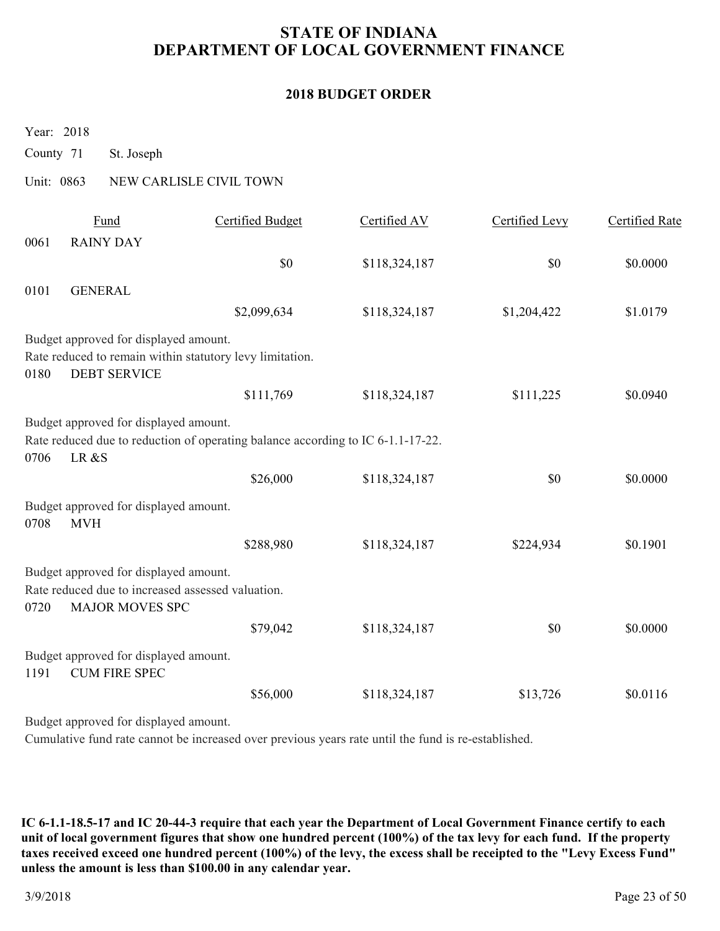#### **2018 BUDGET ORDER**

Year: 2018

County 71 St. Joseph

### Unit: 0863 NEW CARLISLE CIVIL TOWN

|      | Fund                                                                                                                 | <b>Certified Budget</b>                                                         | Certified AV  | Certified Levy | <b>Certified Rate</b> |
|------|----------------------------------------------------------------------------------------------------------------------|---------------------------------------------------------------------------------|---------------|----------------|-----------------------|
| 0061 | <b>RAINY DAY</b>                                                                                                     |                                                                                 |               |                |                       |
|      |                                                                                                                      | \$0                                                                             | \$118,324,187 | \$0            | \$0.0000              |
| 0101 | <b>GENERAL</b>                                                                                                       |                                                                                 |               |                |                       |
|      |                                                                                                                      | \$2,099,634                                                                     | \$118,324,187 | \$1,204,422    | \$1.0179              |
|      | Budget approved for displayed amount.                                                                                |                                                                                 |               |                |                       |
|      |                                                                                                                      | Rate reduced to remain within statutory levy limitation.                        |               |                |                       |
| 0180 | <b>DEBT SERVICE</b>                                                                                                  |                                                                                 |               |                |                       |
|      |                                                                                                                      | \$111,769                                                                       | \$118,324,187 | \$111,225      | \$0.0940              |
| 0706 | Budget approved for displayed amount.<br>LR &S                                                                       | Rate reduced due to reduction of operating balance according to IC 6-1.1-17-22. |               |                |                       |
|      |                                                                                                                      | \$26,000                                                                        | \$118,324,187 | \$0            | \$0.0000              |
| 0708 | Budget approved for displayed amount.<br><b>MVH</b>                                                                  |                                                                                 |               |                |                       |
|      |                                                                                                                      | \$288,980                                                                       | \$118,324,187 | \$224,934      | \$0.1901              |
| 0720 | Budget approved for displayed amount.<br>Rate reduced due to increased assessed valuation.<br><b>MAJOR MOVES SPC</b> |                                                                                 |               |                |                       |
|      |                                                                                                                      | \$79,042                                                                        | \$118,324,187 | \$0            | \$0.0000              |
| 1191 | Budget approved for displayed amount.<br><b>CUM FIRE SPEC</b>                                                        |                                                                                 |               |                |                       |
|      |                                                                                                                      | \$56,000                                                                        | \$118,324,187 | \$13,726       | \$0.0116              |
|      |                                                                                                                      |                                                                                 |               |                |                       |

Budget approved for displayed amount.

Cumulative fund rate cannot be increased over previous years rate until the fund is re-established.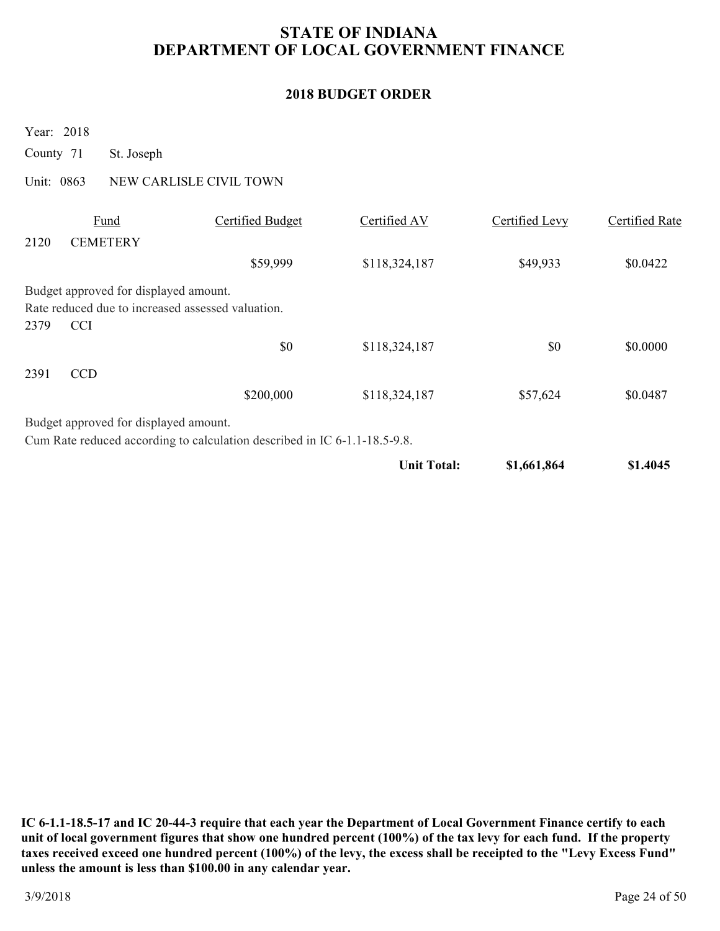### **2018 BUDGET ORDER**

Year: 2018

County 71 St. Joseph

Unit: 0863 NEW CARLISLE CIVIL TOWN

|      | Fund                                              | Certified Budget                                                          | Certified AV       | Certified Levy | Certified Rate |
|------|---------------------------------------------------|---------------------------------------------------------------------------|--------------------|----------------|----------------|
| 2120 | <b>CEMETERY</b>                                   |                                                                           |                    |                |                |
|      |                                                   | \$59,999                                                                  | \$118,324,187      | \$49,933       | \$0.0422       |
|      | Budget approved for displayed amount.             |                                                                           |                    |                |                |
|      | Rate reduced due to increased assessed valuation. |                                                                           |                    |                |                |
| 2379 | <b>CCI</b>                                        |                                                                           |                    |                |                |
|      |                                                   | \$0                                                                       | \$118,324,187      | \$0            | \$0.0000       |
| 2391 | <b>CCD</b>                                        |                                                                           |                    |                |                |
|      |                                                   | \$200,000                                                                 | \$118,324,187      | \$57,624       | \$0.0487       |
|      | Budget approved for displayed amount.             |                                                                           |                    |                |                |
|      |                                                   | Cum Rate reduced according to calculation described in IC 6-1.1-18.5-9.8. |                    |                |                |
|      |                                                   |                                                                           | <b>Unit Total:</b> | \$1,661,864    | \$1.4045       |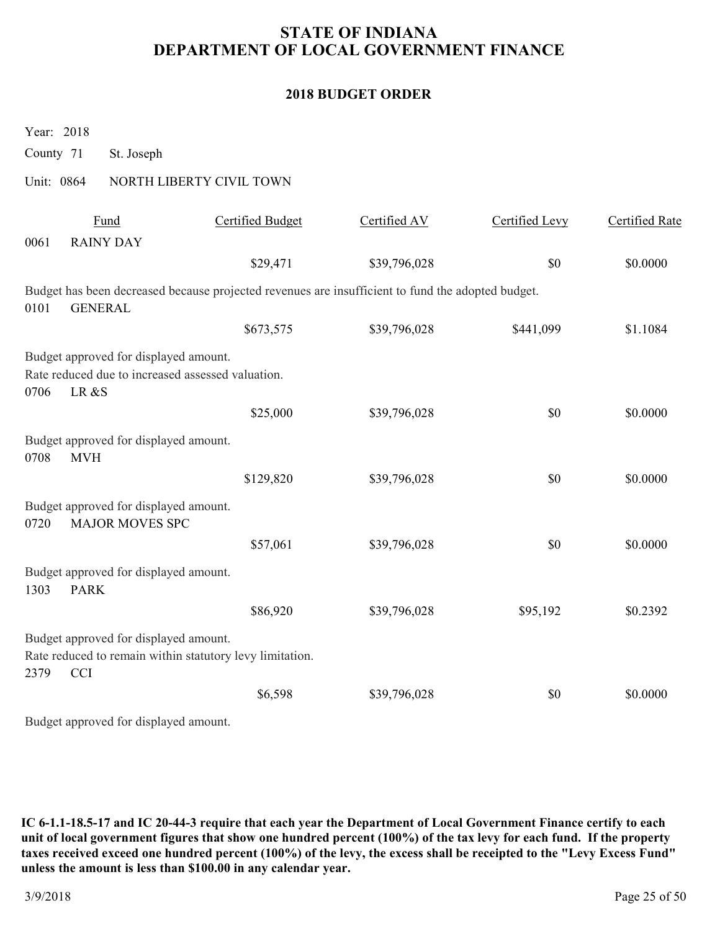### **2018 BUDGET ORDER**

Year: 2018

County 71 St. Joseph

### Unit: 0864 NORTH LIBERTY CIVIL TOWN

|      | Fund                                                            | <b>Certified Budget</b>                                                                           | Certified AV | <b>Certified Levy</b> | Certified Rate |
|------|-----------------------------------------------------------------|---------------------------------------------------------------------------------------------------|--------------|-----------------------|----------------|
| 0061 | <b>RAINY DAY</b>                                                |                                                                                                   |              |                       |                |
|      |                                                                 | \$29,471                                                                                          | \$39,796,028 | \$0                   | \$0.0000       |
| 0101 | <b>GENERAL</b>                                                  | Budget has been decreased because projected revenues are insufficient to fund the adopted budget. |              |                       |                |
|      |                                                                 | \$673,575                                                                                         | \$39,796,028 | \$441,099             | \$1.1084       |
|      | Budget approved for displayed amount.                           |                                                                                                   |              |                       |                |
| 0706 | Rate reduced due to increased assessed valuation.<br>LR &S      |                                                                                                   |              |                       |                |
|      |                                                                 | \$25,000                                                                                          | \$39,796,028 | \$0                   | \$0.0000       |
| 0708 | Budget approved for displayed amount.<br><b>MVH</b>             |                                                                                                   |              |                       |                |
|      |                                                                 | \$129,820                                                                                         | \$39,796,028 | \$0                   | \$0.0000       |
| 0720 | Budget approved for displayed amount.<br><b>MAJOR MOVES SPC</b> |                                                                                                   |              |                       |                |
|      |                                                                 | \$57,061                                                                                          | \$39,796,028 | \$0                   | \$0.0000       |
| 1303 | Budget approved for displayed amount.<br><b>PARK</b>            |                                                                                                   |              |                       |                |
|      |                                                                 | \$86,920                                                                                          | \$39,796,028 | \$95,192              | \$0.2392       |
|      | Budget approved for displayed amount.                           |                                                                                                   |              |                       |                |
| 2379 | <b>CCI</b>                                                      | Rate reduced to remain within statutory levy limitation.                                          |              |                       |                |
|      |                                                                 | \$6,598                                                                                           | \$39,796,028 | \$0                   | \$0.0000       |
|      | Budget approved for displayed amount.                           |                                                                                                   |              |                       |                |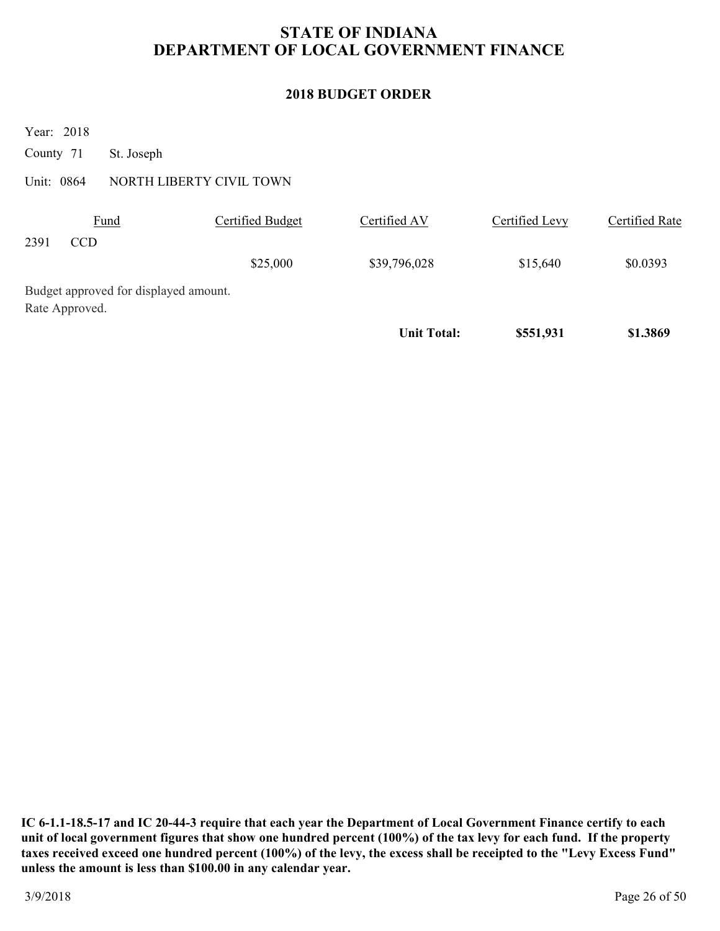### **2018 BUDGET ORDER**

Year: 2018

County 71 St. Joseph

Unit: 0864 NORTH LIBERTY CIVIL TOWN

|      | Fund                                  | Certified Budget | Certified AV       | Certified Levy | Certified Rate |
|------|---------------------------------------|------------------|--------------------|----------------|----------------|
| 2391 | CCD                                   |                  |                    |                |                |
|      |                                       | \$25,000         | \$39,796,028       | \$15,640       | \$0.0393       |
|      | Budget approved for displayed amount. |                  |                    |                |                |
|      | Rate Approved.                        |                  |                    |                |                |
|      |                                       |                  | <b>Unit Total:</b> | \$551,931      | \$1.3869       |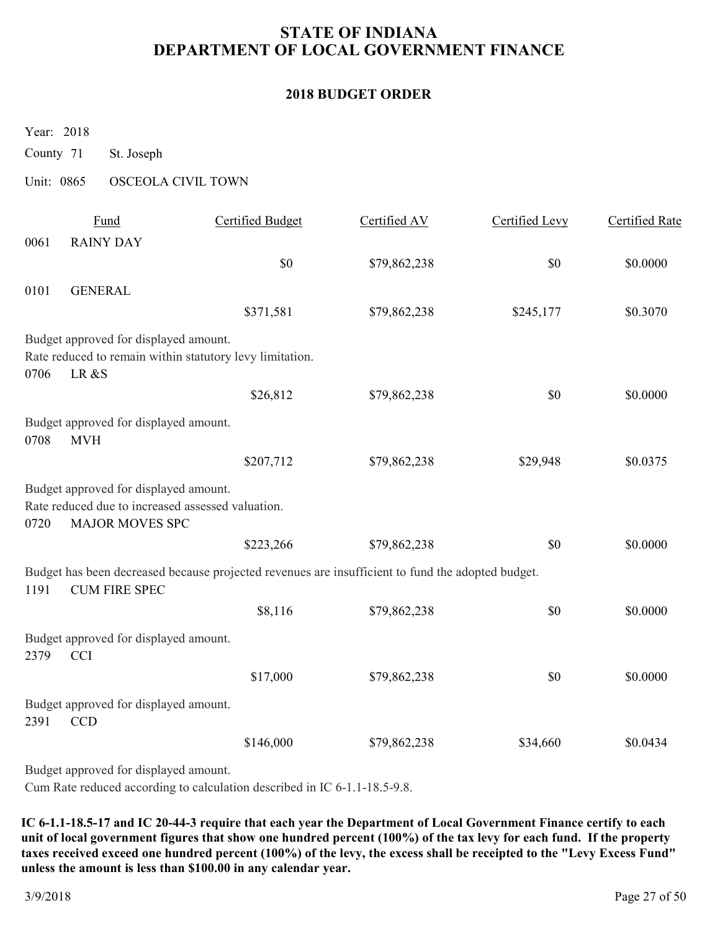#### **2018 BUDGET ORDER**

Year: 2018

- County 71 St. Joseph
- Unit: 0865 OSCEOLA CIVIL TOWN

|      | Fund                                                | <b>Certified Budget</b>                                                                           | Certified AV | Certified Levy | <b>Certified Rate</b> |
|------|-----------------------------------------------------|---------------------------------------------------------------------------------------------------|--------------|----------------|-----------------------|
| 0061 | <b>RAINY DAY</b>                                    |                                                                                                   |              |                |                       |
|      |                                                     | \$0                                                                                               | \$79,862,238 | \$0            | \$0.0000              |
| 0101 | <b>GENERAL</b>                                      |                                                                                                   |              |                |                       |
|      |                                                     | \$371,581                                                                                         | \$79,862,238 | \$245,177      | \$0.3070              |
|      | Budget approved for displayed amount.               |                                                                                                   |              |                |                       |
|      |                                                     | Rate reduced to remain within statutory levy limitation.                                          |              |                |                       |
| 0706 | LR &S                                               |                                                                                                   |              |                |                       |
|      |                                                     | \$26,812                                                                                          | \$79,862,238 | \$0            | \$0.0000              |
| 0708 | Budget approved for displayed amount.<br><b>MVH</b> |                                                                                                   |              |                |                       |
|      |                                                     | \$207,712                                                                                         | \$79,862,238 | \$29,948       | \$0.0375              |
|      | Budget approved for displayed amount.               |                                                                                                   |              |                |                       |
|      | Rate reduced due to increased assessed valuation.   |                                                                                                   |              |                |                       |
| 0720 | <b>MAJOR MOVES SPC</b>                              |                                                                                                   |              |                |                       |
|      |                                                     | \$223,266                                                                                         | \$79,862,238 | \$0            | \$0.0000              |
|      |                                                     | Budget has been decreased because projected revenues are insufficient to fund the adopted budget. |              |                |                       |
| 1191 | <b>CUM FIRE SPEC</b>                                |                                                                                                   |              |                |                       |
|      |                                                     | \$8,116                                                                                           | \$79,862,238 | \$0            | \$0.0000              |
| 2379 | Budget approved for displayed amount.               |                                                                                                   |              |                |                       |
|      | <b>CCI</b>                                          |                                                                                                   |              |                |                       |
|      |                                                     | \$17,000                                                                                          | \$79,862,238 | \$0            | \$0.0000              |
| 2391 | Budget approved for displayed amount.<br><b>CCD</b> |                                                                                                   |              |                |                       |
|      |                                                     | \$146,000                                                                                         | \$79,862,238 | \$34,660       | \$0.0434              |
|      | Budget approved for displayed amount.               |                                                                                                   |              |                |                       |

Cum Rate reduced according to calculation described in IC 6-1.1-18.5-9.8.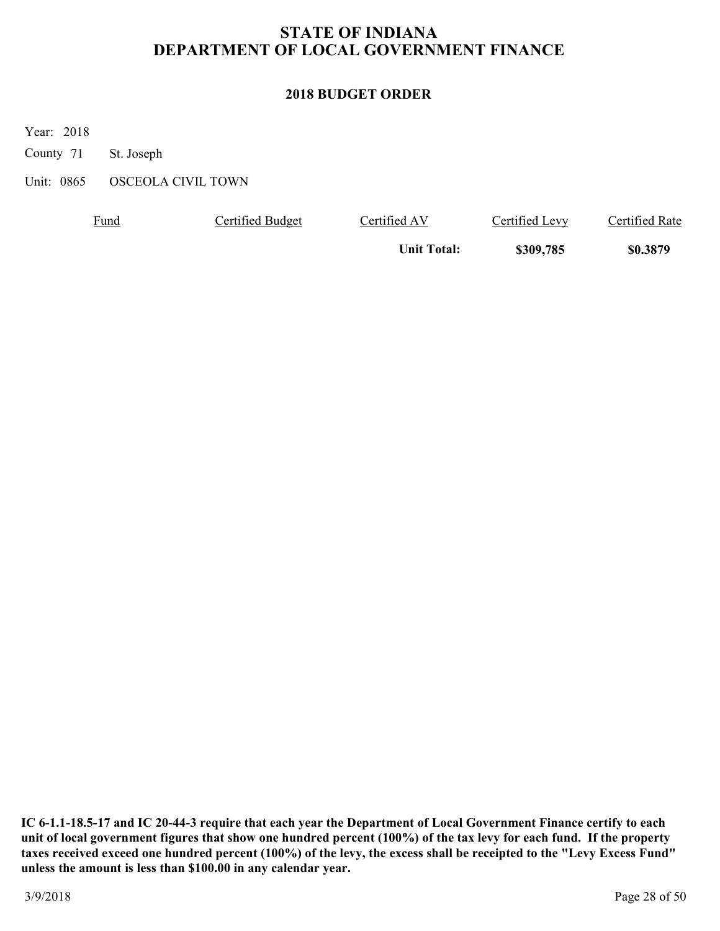### **2018 BUDGET ORDER**

Year: 2018

County 71 St. Joseph

Unit: 0865 OSCEOLA CIVIL TOWN

| <u>Fund</u> | Certified Budget | Certified AV       | Certified Levy | <b>Certified Rate</b> |
|-------------|------------------|--------------------|----------------|-----------------------|
|             |                  | <b>Unit Total:</b> | \$309,785      | \$0.3879              |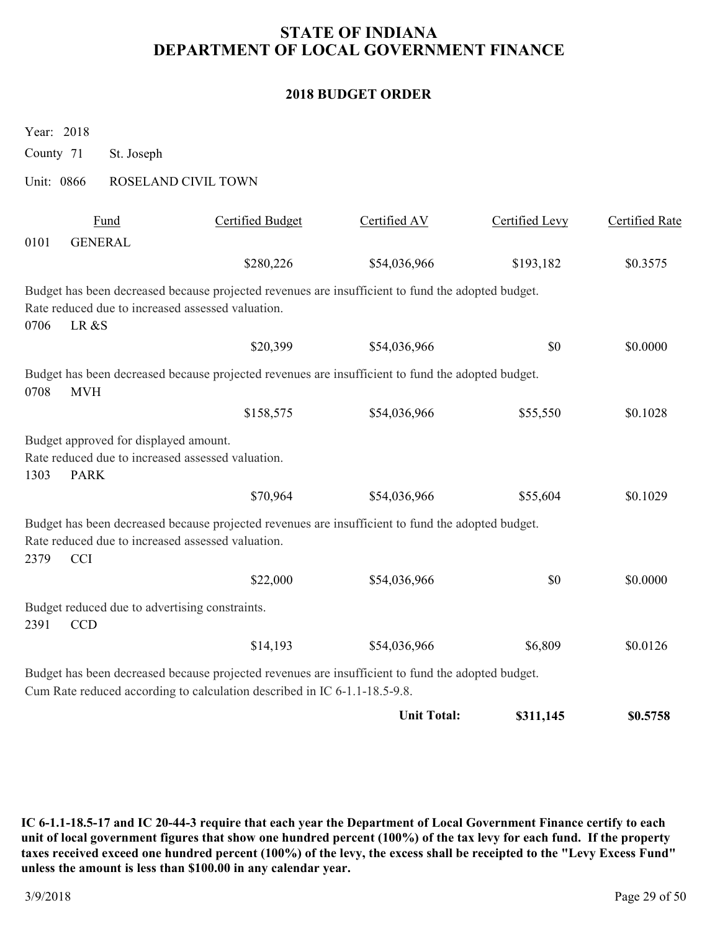### **2018 BUDGET ORDER**

|            | Year: 2018                                           |                                                                                                                                                                                |                    |                |                |
|------------|------------------------------------------------------|--------------------------------------------------------------------------------------------------------------------------------------------------------------------------------|--------------------|----------------|----------------|
| County 71  | St. Joseph                                           |                                                                                                                                                                                |                    |                |                |
| Unit: 0866 |                                                      | ROSELAND CIVIL TOWN                                                                                                                                                            |                    |                |                |
|            | Fund                                                 | <b>Certified Budget</b>                                                                                                                                                        | Certified AV       | Certified Levy | Certified Rate |
| 0101       | <b>GENERAL</b>                                       |                                                                                                                                                                                |                    |                |                |
|            |                                                      | \$280,226                                                                                                                                                                      | \$54,036,966       | \$193,182      | \$0.3575       |
| 0706       | LR &S                                                | Budget has been decreased because projected revenues are insufficient to fund the adopted budget.<br>Rate reduced due to increased assessed valuation.                         |                    |                |                |
|            |                                                      | \$20,399                                                                                                                                                                       | \$54,036,966       | \$0            | \$0.0000       |
| 0708       | <b>MVH</b>                                           | Budget has been decreased because projected revenues are insufficient to fund the adopted budget.                                                                              |                    |                |                |
|            |                                                      | \$158,575                                                                                                                                                                      | \$54,036,966       | \$55,550       | \$0.1028       |
| 1303       | Budget approved for displayed amount.<br><b>PARK</b> | Rate reduced due to increased assessed valuation.                                                                                                                              |                    |                |                |
|            |                                                      | \$70,964                                                                                                                                                                       | \$54,036,966       | \$55,604       | \$0.1029       |
| 2379       | <b>CCI</b>                                           | Budget has been decreased because projected revenues are insufficient to fund the adopted budget.<br>Rate reduced due to increased assessed valuation.                         |                    |                |                |
|            |                                                      | \$22,000                                                                                                                                                                       | \$54,036,966       | \$0            | \$0.0000       |
| 2391       | <b>CCD</b>                                           | Budget reduced due to advertising constraints.                                                                                                                                 |                    |                |                |
|            |                                                      | \$14,193                                                                                                                                                                       | \$54,036,966       | \$6,809        | \$0.0126       |
|            |                                                      | Budget has been decreased because projected revenues are insufficient to fund the adopted budget.<br>Cum Rate reduced according to calculation described in IC 6-1.1-18.5-9.8. |                    |                |                |
|            |                                                      |                                                                                                                                                                                | <b>Unit Total:</b> | \$311,145      | \$0.5758       |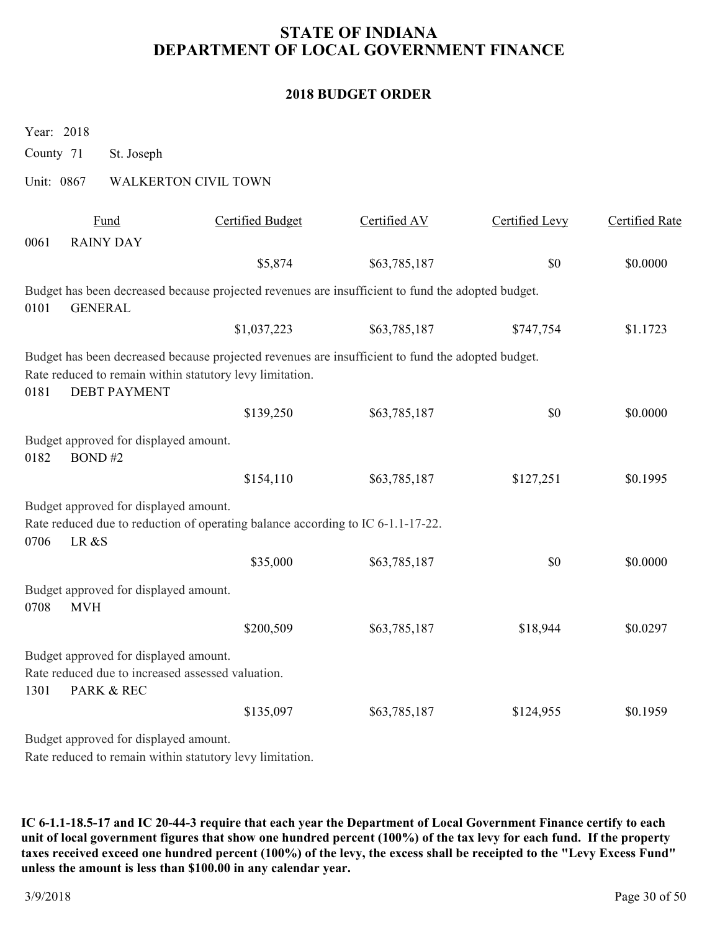### **2018 BUDGET ORDER**

| Year: 2018                                                                                                       |                                                                                                                                                               |              |                |                       |
|------------------------------------------------------------------------------------------------------------------|---------------------------------------------------------------------------------------------------------------------------------------------------------------|--------------|----------------|-----------------------|
| County 71<br>St. Joseph                                                                                          |                                                                                                                                                               |              |                |                       |
| Unit: 0867                                                                                                       | <b>WALKERTON CIVIL TOWN</b>                                                                                                                                   |              |                |                       |
| <b>Fund</b>                                                                                                      | <b>Certified Budget</b>                                                                                                                                       | Certified AV | Certified Levy | <b>Certified Rate</b> |
| <b>RAINY DAY</b><br>0061                                                                                         |                                                                                                                                                               |              |                |                       |
|                                                                                                                  | \$5,874                                                                                                                                                       | \$63,785,187 | \$0            | \$0.0000              |
| <b>GENERAL</b><br>0101                                                                                           | Budget has been decreased because projected revenues are insufficient to fund the adopted budget.                                                             |              |                |                       |
|                                                                                                                  | \$1,037,223                                                                                                                                                   | \$63,785,187 | \$747,754      | \$1.1723              |
| 0181<br><b>DEBT PAYMENT</b>                                                                                      | Budget has been decreased because projected revenues are insufficient to fund the adopted budget.<br>Rate reduced to remain within statutory levy limitation. |              |                |                       |
|                                                                                                                  | \$139,250                                                                                                                                                     | \$63,785,187 | \$0            | \$0.0000              |
| Budget approved for displayed amount.<br>0182<br>BOND#2                                                          |                                                                                                                                                               |              |                |                       |
|                                                                                                                  | \$154,110                                                                                                                                                     | \$63,785,187 | \$127,251      | \$0.1995              |
| Budget approved for displayed amount.<br>0706<br>LR &S                                                           | Rate reduced due to reduction of operating balance according to IC 6-1.1-17-22.                                                                               |              |                |                       |
|                                                                                                                  | \$35,000                                                                                                                                                      | \$63,785,187 | \$0            | \$0.0000              |
| Budget approved for displayed amount.<br>0708<br><b>MVH</b>                                                      |                                                                                                                                                               |              |                |                       |
|                                                                                                                  | \$200,509                                                                                                                                                     | \$63,785,187 | \$18,944       | \$0.0297              |
| Budget approved for displayed amount.<br>Rate reduced due to increased assessed valuation.<br>PARK & REC<br>1301 |                                                                                                                                                               |              |                |                       |
|                                                                                                                  | \$135,097                                                                                                                                                     | \$63,785,187 | \$124,955      | \$0.1959              |
| Budget approved for displayed amount.                                                                            |                                                                                                                                                               |              |                |                       |
|                                                                                                                  | Rate reduced to remain within statutory levy limitation.                                                                                                      |              |                |                       |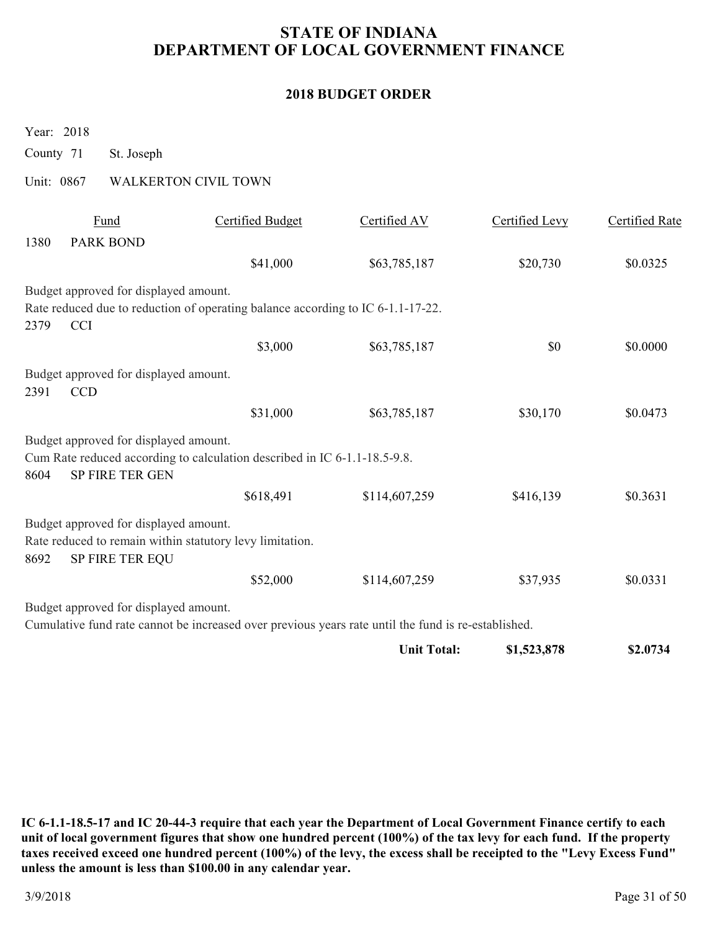#### **2018 BUDGET ORDER**

Year: 2018

County 71 St. Joseph

Unit: 0867 WALKERTON CIVIL TOWN

|      | Fund                                  | Certified Budget                                                                                    | Certified AV       | Certified Levy | <b>Certified Rate</b> |
|------|---------------------------------------|-----------------------------------------------------------------------------------------------------|--------------------|----------------|-----------------------|
| 1380 | <b>PARK BOND</b>                      |                                                                                                     |                    |                |                       |
|      |                                       | \$41,000                                                                                            | \$63,785,187       | \$20,730       | \$0.0325              |
|      | Budget approved for displayed amount. |                                                                                                     |                    |                |                       |
|      |                                       | Rate reduced due to reduction of operating balance according to IC 6-1.1-17-22.                     |                    |                |                       |
| 2379 | <b>CCI</b>                            |                                                                                                     |                    |                |                       |
|      |                                       | \$3,000                                                                                             | \$63,785,187       | \$0            | \$0.0000              |
|      | Budget approved for displayed amount. |                                                                                                     |                    |                |                       |
| 2391 | <b>CCD</b>                            |                                                                                                     |                    |                |                       |
|      |                                       | \$31,000                                                                                            | \$63,785,187       | \$30,170       | \$0.0473              |
|      | Budget approved for displayed amount. |                                                                                                     |                    |                |                       |
|      |                                       | Cum Rate reduced according to calculation described in IC 6-1.1-18.5-9.8.                           |                    |                |                       |
| 8604 | SP FIRE TER GEN                       |                                                                                                     |                    |                |                       |
|      |                                       | \$618,491                                                                                           | \$114,607,259      | \$416,139      | \$0.3631              |
|      | Budget approved for displayed amount. |                                                                                                     |                    |                |                       |
|      |                                       | Rate reduced to remain within statutory levy limitation.                                            |                    |                |                       |
| 8692 | SP FIRE TER EQU                       |                                                                                                     |                    |                |                       |
|      |                                       | \$52,000                                                                                            | \$114,607,259      | \$37,935       | \$0.0331              |
|      | Budget approved for displayed amount. |                                                                                                     |                    |                |                       |
|      |                                       | Cumulative fund rate cannot be increased over previous years rate until the fund is re-established. |                    |                |                       |
|      |                                       |                                                                                                     | <b>Unit Total:</b> | \$1,523,878    | \$2.0734              |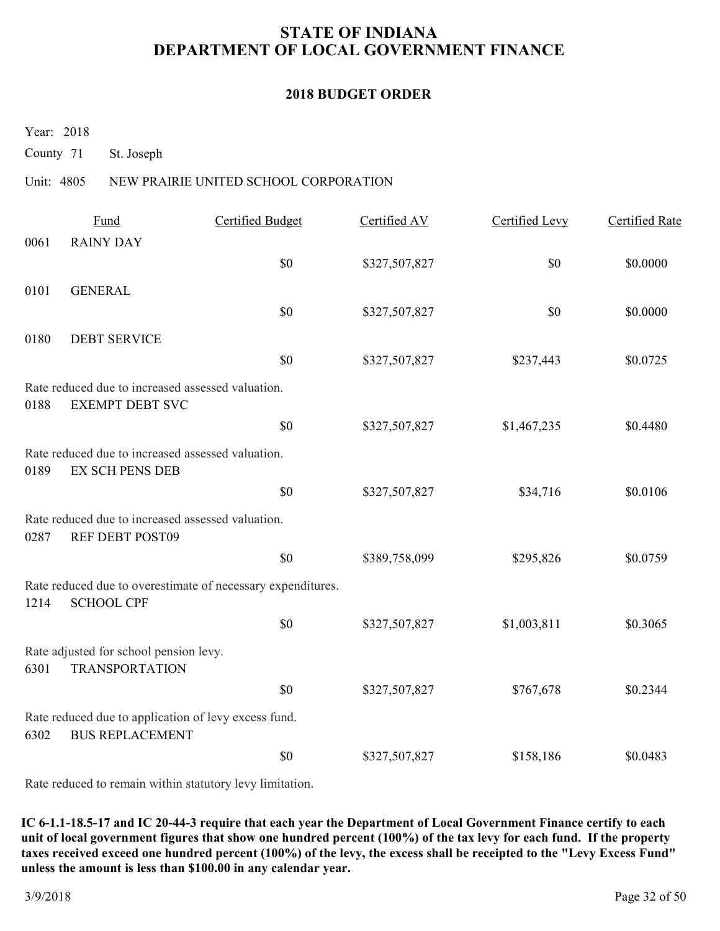#### **2018 BUDGET ORDER**

Year: 2018

County 71 St. Joseph

### Unit: 4805 NEW PRAIRIE UNITED SCHOOL CORPORATION

|      | Fund                                                                           | <b>Certified Budget</b>                                     | Certified AV  | Certified Levy | <b>Certified Rate</b> |
|------|--------------------------------------------------------------------------------|-------------------------------------------------------------|---------------|----------------|-----------------------|
| 0061 | <b>RAINY DAY</b>                                                               |                                                             |               |                |                       |
|      |                                                                                | \$0                                                         | \$327,507,827 | \$0            | \$0.0000              |
| 0101 | <b>GENERAL</b>                                                                 |                                                             |               |                |                       |
|      |                                                                                | \$0                                                         | \$327,507,827 | \$0            | \$0.0000              |
| 0180 | <b>DEBT SERVICE</b>                                                            |                                                             |               |                |                       |
|      |                                                                                | \$0                                                         | \$327,507,827 | \$237,443      | \$0.0725              |
| 0188 | Rate reduced due to increased assessed valuation.<br><b>EXEMPT DEBT SVC</b>    |                                                             |               |                |                       |
|      |                                                                                | \$0                                                         | \$327,507,827 | \$1,467,235    | \$0.4480              |
| 0189 | Rate reduced due to increased assessed valuation.<br><b>EX SCH PENS DEB</b>    |                                                             |               |                |                       |
|      |                                                                                | \$0                                                         | \$327,507,827 | \$34,716       | \$0.0106              |
| 0287 | Rate reduced due to increased assessed valuation.<br>REF DEBT POST09           |                                                             |               |                |                       |
|      |                                                                                | \$0                                                         | \$389,758,099 | \$295,826      | \$0.0759              |
| 1214 | <b>SCHOOL CPF</b>                                                              | Rate reduced due to overestimate of necessary expenditures. |               |                |                       |
|      |                                                                                | \$0                                                         | \$327,507,827 | \$1,003,811    | \$0.3065              |
| 6301 | Rate adjusted for school pension levy.<br><b>TRANSPORTATION</b>                |                                                             |               |                |                       |
|      |                                                                                | \$0                                                         | \$327,507,827 | \$767,678      | \$0.2344              |
| 6302 | Rate reduced due to application of levy excess fund.<br><b>BUS REPLACEMENT</b> |                                                             |               |                |                       |
|      |                                                                                | \$0                                                         | \$327,507,827 | \$158,186      | \$0.0483              |
|      |                                                                                |                                                             |               |                |                       |

Rate reduced to remain within statutory levy limitation.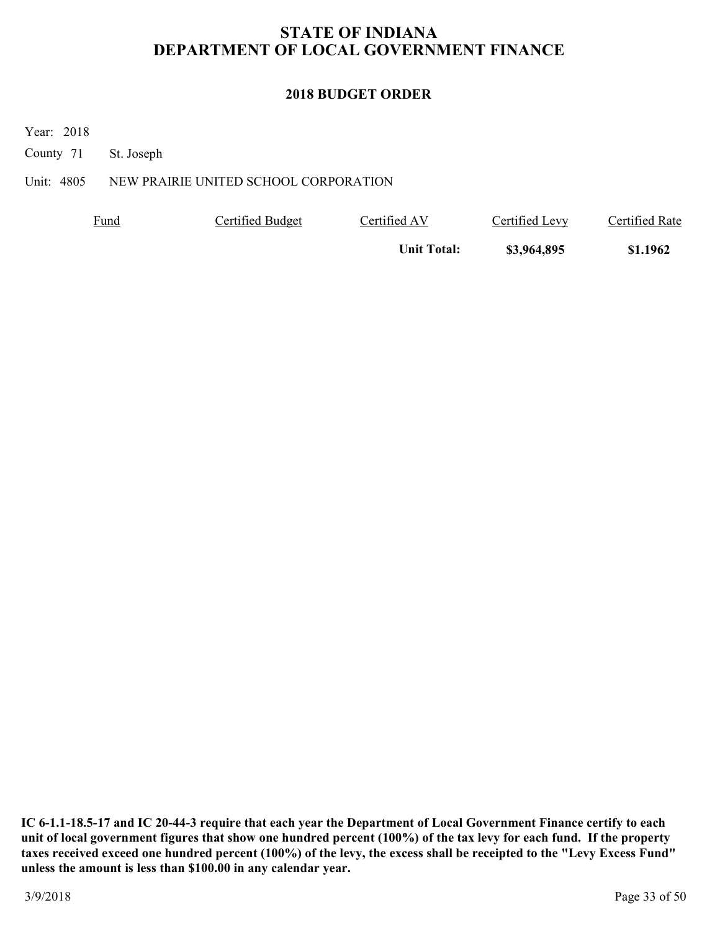### **2018 BUDGET ORDER**

Year: 2018

County 71 St. Joseph

Unit: 4805 NEW PRAIRIE UNITED SCHOOL CORPORATION

| <b>Fund</b> | Certified Budget | Certified AV       | Certified Levy | Certified Rate |
|-------------|------------------|--------------------|----------------|----------------|
|             |                  | <b>Unit Total:</b> | \$3,964,895    | \$1.1962       |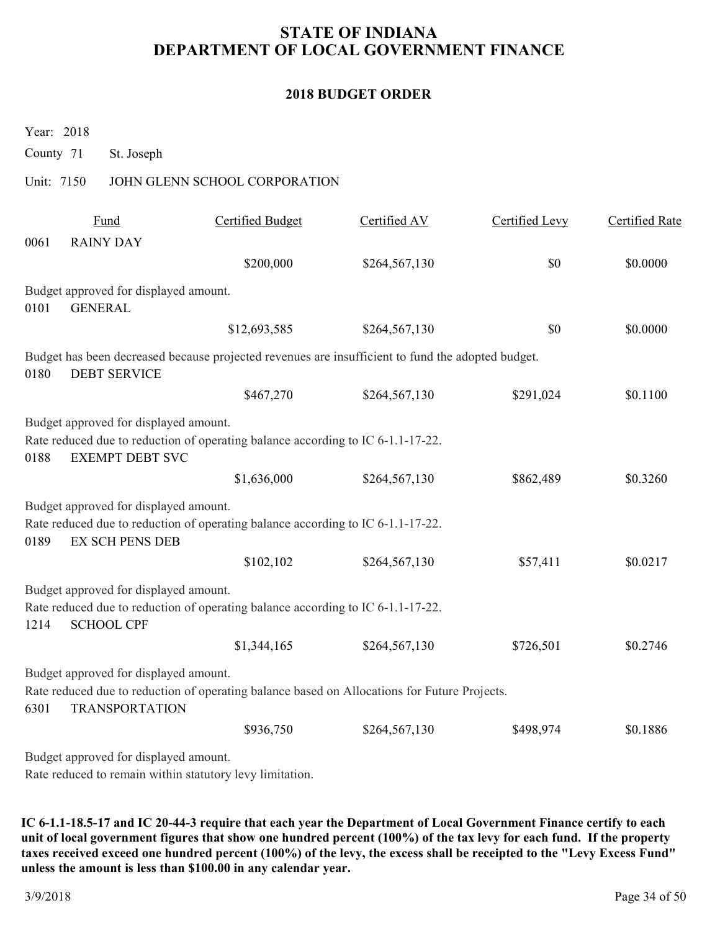### **2018 BUDGET ORDER**

Year: 2018

County 71 St. Joseph

### Unit: 7150 JOHN GLENN SCHOOL CORPORATION

|      | Fund                                                            | <b>Certified Budget</b>                                                                           | Certified AV  | <b>Certified Levy</b> | <b>Certified Rate</b> |
|------|-----------------------------------------------------------------|---------------------------------------------------------------------------------------------------|---------------|-----------------------|-----------------------|
| 0061 | <b>RAINY DAY</b>                                                |                                                                                                   |               |                       |                       |
|      |                                                                 | \$200,000                                                                                         | \$264,567,130 | \$0                   | \$0.0000              |
|      | Budget approved for displayed amount.                           |                                                                                                   |               |                       |                       |
| 0101 | <b>GENERAL</b>                                                  |                                                                                                   |               |                       |                       |
|      |                                                                 | \$12,693,585                                                                                      | \$264,567,130 | \$0                   | \$0.0000              |
| 0180 | <b>DEBT SERVICE</b>                                             | Budget has been decreased because projected revenues are insufficient to fund the adopted budget. |               |                       |                       |
|      |                                                                 | \$467,270                                                                                         | \$264,567,130 | \$291,024             | \$0.1100              |
| 0188 | Budget approved for displayed amount.<br><b>EXEMPT DEBT SVC</b> | Rate reduced due to reduction of operating balance according to IC 6-1.1-17-22.                   |               |                       |                       |
|      |                                                                 | \$1,636,000                                                                                       | \$264,567,130 | \$862,489             | \$0.3260              |
| 0189 | Budget approved for displayed amount.<br><b>EX SCH PENS DEB</b> | Rate reduced due to reduction of operating balance according to IC 6-1.1-17-22.                   |               |                       |                       |
|      |                                                                 | \$102,102                                                                                         | \$264,567,130 | \$57,411              | \$0.0217              |
| 1214 | Budget approved for displayed amount.<br><b>SCHOOL CPF</b>      | Rate reduced due to reduction of operating balance according to IC 6-1.1-17-22.                   |               |                       |                       |
|      |                                                                 | \$1,344,165                                                                                       | \$264,567,130 | \$726,501             | \$0.2746              |
| 6301 | Budget approved for displayed amount.<br><b>TRANSPORTATION</b>  | Rate reduced due to reduction of operating balance based on Allocations for Future Projects.      |               |                       |                       |
|      |                                                                 | \$936,750                                                                                         | \$264,567,130 | \$498,974             | \$0.1886              |
|      | Budget approved for displayed amount.                           |                                                                                                   |               |                       |                       |

Rate reduced to remain within statutory levy limitation.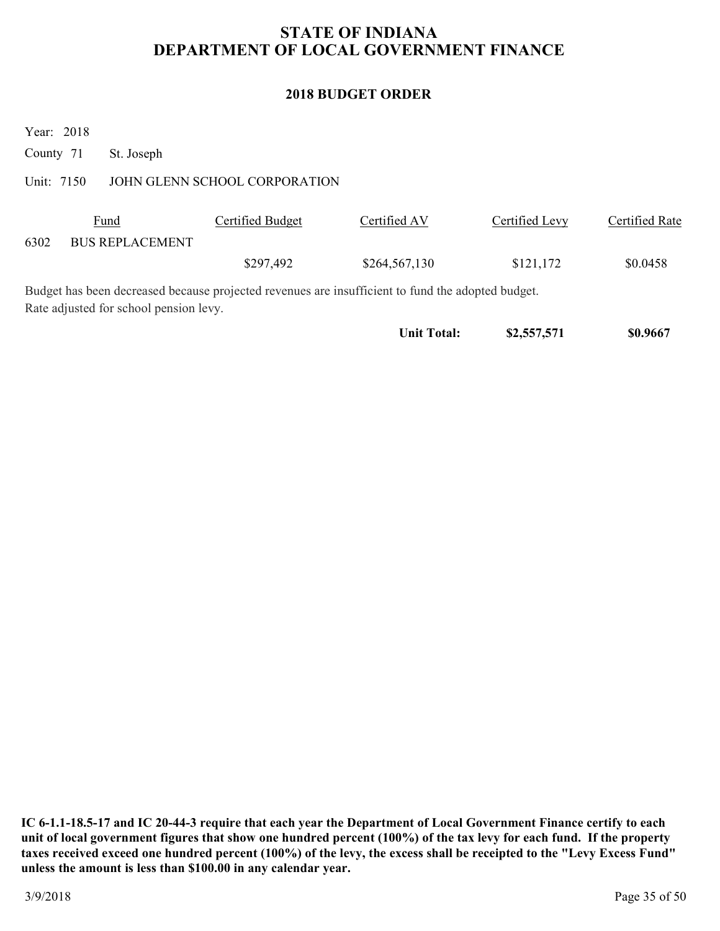### **2018 BUDGET ORDER**

Year: 2018

County 71 St. Joseph

#### Unit: 7150 JOHN GLENN SCHOOL CORPORATION

|      | <u>Fund</u>            | Certified Budget | Certified AV  | Certified Levy | Certified Rate |
|------|------------------------|------------------|---------------|----------------|----------------|
| 6302 | <b>BUS REPLACEMENT</b> |                  |               |                |                |
|      |                        | \$297,492        | \$264,567,130 | \$121,172      | \$0.0458       |

Budget has been decreased because projected revenues are insufficient to fund the adopted budget. Rate adjusted for school pension levy.

Unit Total: \$2,557,571 \$0.9667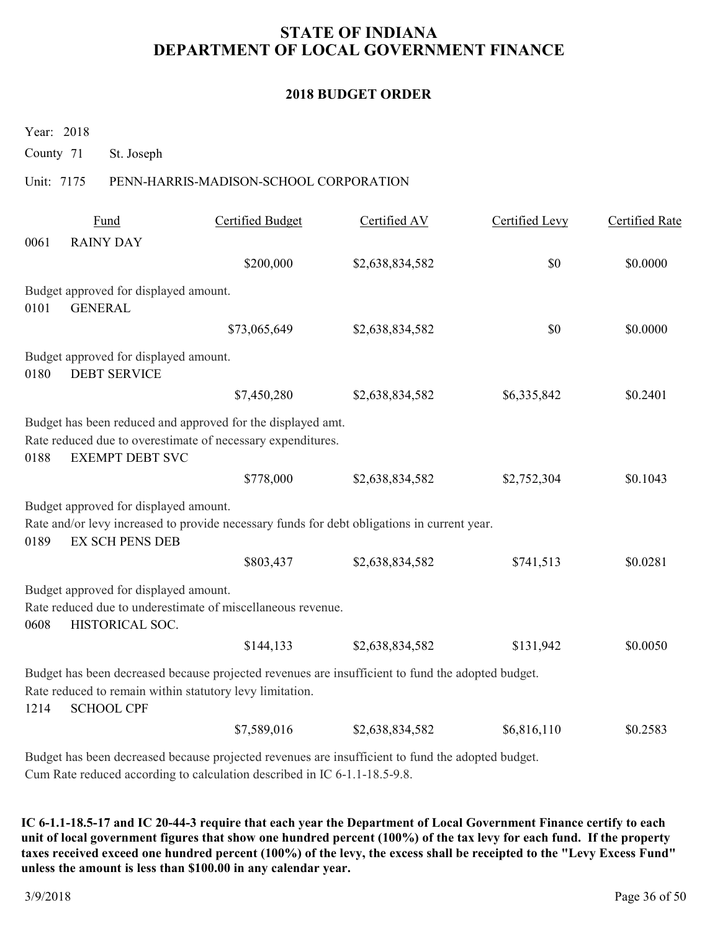#### **2018 BUDGET ORDER**

Year: 2018

County 71 St. Joseph

### Unit: 7175 PENN-HARRIS-MADISON-SCHOOL CORPORATION

|      | Fund                                                            | <b>Certified Budget</b>                                                                                                                                       | Certified AV    | Certified Levy | Certified Rate |
|------|-----------------------------------------------------------------|---------------------------------------------------------------------------------------------------------------------------------------------------------------|-----------------|----------------|----------------|
| 0061 | <b>RAINY DAY</b>                                                |                                                                                                                                                               |                 |                |                |
|      |                                                                 | \$200,000                                                                                                                                                     | \$2,638,834,582 | \$0            | \$0.0000       |
|      | Budget approved for displayed amount.                           |                                                                                                                                                               |                 |                |                |
| 0101 | <b>GENERAL</b>                                                  |                                                                                                                                                               |                 |                |                |
|      |                                                                 | \$73,065,649                                                                                                                                                  | \$2,638,834,582 | \$0            | \$0.0000       |
| 0180 | Budget approved for displayed amount.<br><b>DEBT SERVICE</b>    |                                                                                                                                                               |                 |                |                |
|      |                                                                 | \$7,450,280                                                                                                                                                   | \$2,638,834,582 | \$6,335,842    | \$0.2401       |
| 0188 | <b>EXEMPT DEBT SVC</b>                                          | Budget has been reduced and approved for the displayed amt.<br>Rate reduced due to overestimate of necessary expenditures.<br>\$778,000                       | \$2,638,834,582 | \$2,752,304    | \$0.1043       |
| 0189 | Budget approved for displayed amount.<br><b>EX SCH PENS DEB</b> | Rate and/or levy increased to provide necessary funds for debt obligations in current year.                                                                   |                 |                |                |
|      |                                                                 | \$803,437                                                                                                                                                     | \$2,638,834,582 | \$741,513      | \$0.0281       |
| 0608 | Budget approved for displayed amount.<br>HISTORICAL SOC.        | Rate reduced due to underestimate of miscellaneous revenue.                                                                                                   |                 |                |                |
|      |                                                                 | \$144,133                                                                                                                                                     | \$2,638,834,582 | \$131,942      | \$0.0050       |
| 1214 | <b>SCHOOL CPF</b>                                               | Budget has been decreased because projected revenues are insufficient to fund the adopted budget.<br>Rate reduced to remain within statutory levy limitation. |                 |                |                |
|      |                                                                 | \$7,589,016                                                                                                                                                   | \$2,638,834,582 | \$6,816,110    | \$0.2583       |
|      |                                                                 |                                                                                                                                                               |                 |                |                |

Budget has been decreased because projected revenues are insufficient to fund the adopted budget. Cum Rate reduced according to calculation described in IC 6-1.1-18.5-9.8.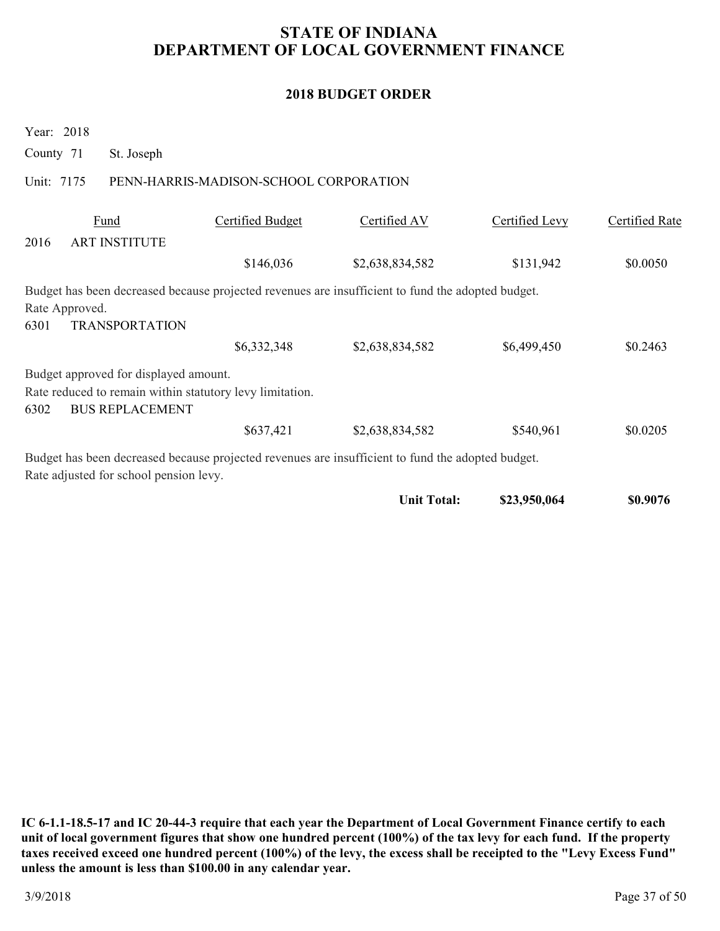### **2018 BUDGET ORDER**

| County 71              |      | St. Joseph                                                                                                                  |                                        |                                                                                                                      |                |                |
|------------------------|------|-----------------------------------------------------------------------------------------------------------------------------|----------------------------------------|----------------------------------------------------------------------------------------------------------------------|----------------|----------------|
| Unit: 7175             |      |                                                                                                                             | PENN-HARRIS-MADISON-SCHOOL CORPORATION |                                                                                                                      |                |                |
| 2016                   | Fund | <b>ART INSTITUTE</b>                                                                                                        | Certified Budget                       | Certified AV                                                                                                         | Certified Levy | Certified Rate |
|                        |      |                                                                                                                             | \$146,036                              | \$2,638,834,582                                                                                                      | \$131,942      | \$0.0050       |
| Rate Approved.<br>6301 |      | <b>TRANSPORTATION</b>                                                                                                       | \$6,332,348                            | Budget has been decreased because projected revenues are insufficient to fund the adopted budget.<br>\$2,638,834,582 | \$6,499,450    | \$0.2463       |
| 6302                   |      | Budget approved for displayed amount.<br>Rate reduced to remain within statutory levy limitation.<br><b>BUS REPLACEMENT</b> |                                        |                                                                                                                      |                |                |
|                        |      |                                                                                                                             | \$637,421                              | \$2,638,834,582                                                                                                      | \$540,961      | \$0.0205       |
|                        |      | Rate adjusted for school pension levy.                                                                                      |                                        | Budget has been decreased because projected revenues are insufficient to fund the adopted budget.                    |                |                |
|                        |      |                                                                                                                             |                                        | <b>Unit Total:</b>                                                                                                   | \$23,950,064   | \$0.9076       |

**IC 6-1.1-18.5-17 and IC 20-44-3 require that each year the Department of Local Government Finance certify to each unit of local government figures that show one hundred percent (100%) of the tax levy for each fund. If the property taxes received exceed one hundred percent (100%) of the levy, the excess shall be receipted to the "Levy Excess Fund" unless the amount is less than \$100.00 in any calendar year.**

Year: 2018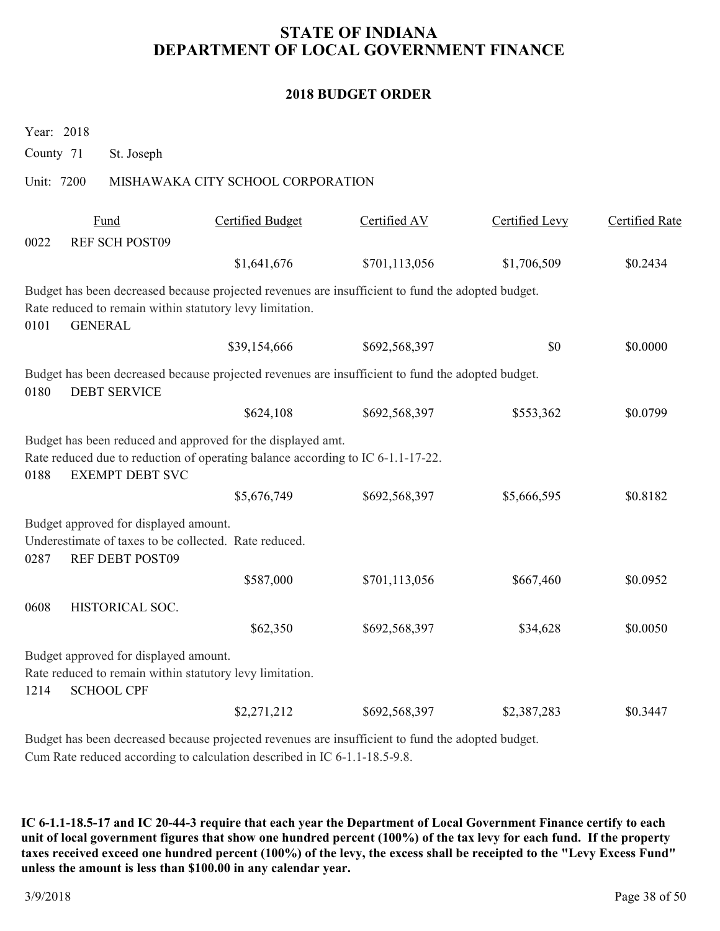### **2018 BUDGET ORDER**

| County 71  | St. Joseph                                                                                                             |                                                                                                                                                               |               |                |                       |
|------------|------------------------------------------------------------------------------------------------------------------------|---------------------------------------------------------------------------------------------------------------------------------------------------------------|---------------|----------------|-----------------------|
| Unit: 7200 |                                                                                                                        | MISHAWAKA CITY SCHOOL CORPORATION                                                                                                                             |               |                |                       |
|            | Fund<br><b>REF SCH POST09</b>                                                                                          | <b>Certified Budget</b>                                                                                                                                       | Certified AV  | Certified Levy | <b>Certified Rate</b> |
| 0022       |                                                                                                                        | \$1,641,676                                                                                                                                                   | \$701,113,056 | \$1,706,509    | \$0.2434              |
| 0101       | Rate reduced to remain within statutory levy limitation.<br><b>GENERAL</b>                                             | Budget has been decreased because projected revenues are insufficient to fund the adopted budget.                                                             |               |                |                       |
|            |                                                                                                                        | \$39,154,666                                                                                                                                                  | \$692,568,397 | \$0            | \$0.0000              |
| 0180       | <b>DEBT SERVICE</b>                                                                                                    | Budget has been decreased because projected revenues are insufficient to fund the adopted budget.                                                             |               |                |                       |
|            |                                                                                                                        | \$624,108                                                                                                                                                     | \$692,568,397 | \$553,362      | \$0.0799              |
| 0188       | <b>EXEMPT DEBT SVC</b>                                                                                                 | Budget has been reduced and approved for the displayed amt.<br>Rate reduced due to reduction of operating balance according to IC 6-1.1-17-22.<br>\$5,676,749 |               |                | \$0.8182              |
|            |                                                                                                                        |                                                                                                                                                               | \$692,568,397 | \$5,666,595    |                       |
| 0287       | Budget approved for displayed amount.<br>Underestimate of taxes to be collected. Rate reduced.<br>REF DEBT POST09      |                                                                                                                                                               |               |                |                       |
|            |                                                                                                                        | \$587,000                                                                                                                                                     | \$701,113,056 | \$667,460      | \$0.0952              |
| 0608       | HISTORICAL SOC.                                                                                                        |                                                                                                                                                               |               |                |                       |
|            |                                                                                                                        | \$62,350                                                                                                                                                      | \$692,568,397 | \$34,628       | \$0.0050              |
| 1214       | Budget approved for displayed amount.<br>Rate reduced to remain within statutory levy limitation.<br><b>SCHOOL CPF</b> |                                                                                                                                                               |               |                |                       |
|            |                                                                                                                        | \$2,271,212                                                                                                                                                   | \$692,568,397 | \$2,387,283    | \$0.3447              |
|            |                                                                                                                        |                                                                                                                                                               |               |                |                       |

Budget has been decreased because projected revenues are insufficient to fund the adopted budget. Cum Rate reduced according to calculation described in IC 6-1.1-18.5-9.8.

**IC 6-1.1-18.5-17 and IC 20-44-3 require that each year the Department of Local Government Finance certify to each unit of local government figures that show one hundred percent (100%) of the tax levy for each fund. If the property taxes received exceed one hundred percent (100%) of the levy, the excess shall be receipted to the "Levy Excess Fund" unless the amount is less than \$100.00 in any calendar year.**

Year: 2018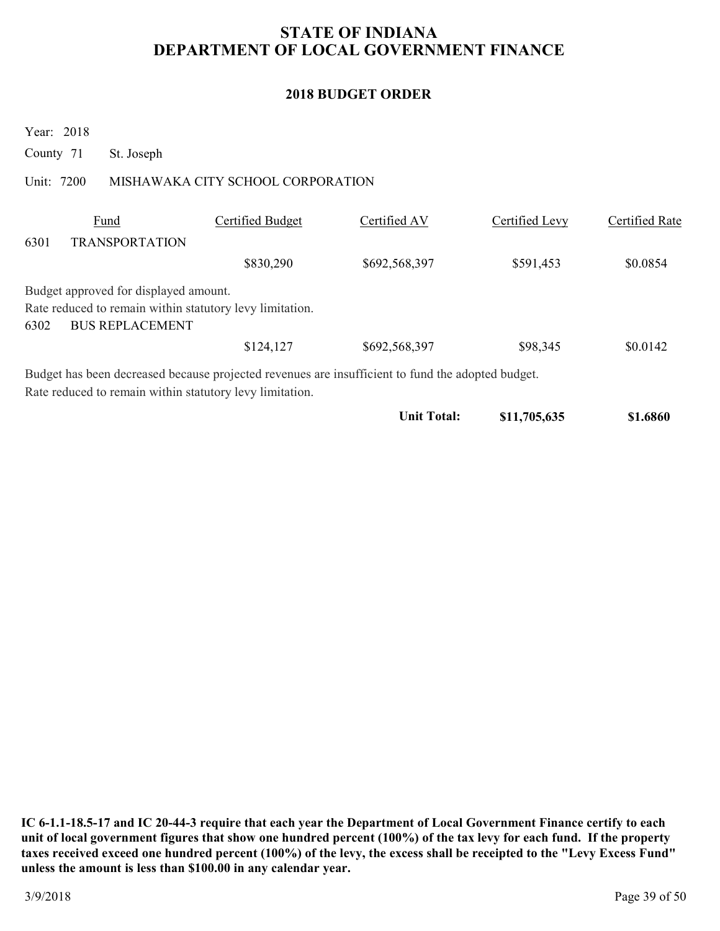### **2018 BUDGET ORDER**

Year: 2018

County 71 St. Joseph

### Unit: 7200 MISHAWAKA CITY SCHOOL CORPORATION

|      | Fund                                                                                              | Certified Budget | Certified AV  | Certified Levy | Certified Rate |
|------|---------------------------------------------------------------------------------------------------|------------------|---------------|----------------|----------------|
| 6301 | <b>TRANSPORTATION</b>                                                                             |                  |               |                |                |
|      |                                                                                                   | \$830,290        | \$692,568,397 | \$591,453      | \$0.0854       |
|      | Budget approved for displayed amount.                                                             |                  |               |                |                |
|      | Rate reduced to remain within statutory levy limitation.                                          |                  |               |                |                |
| 6302 | <b>BUS REPLACEMENT</b>                                                                            |                  |               |                |                |
|      |                                                                                                   | \$124,127        | \$692,568,397 | \$98,345       | \$0.0142       |
|      | Budget has been decreased because projected revenues are insufficient to fund the adopted budget. |                  |               |                |                |
|      | Rate reduced to remain within statutory levy limitation.                                          |                  |               |                |                |

| Unit Total: | \$11,705,635 | \$1.6860 |
|-------------|--------------|----------|
|-------------|--------------|----------|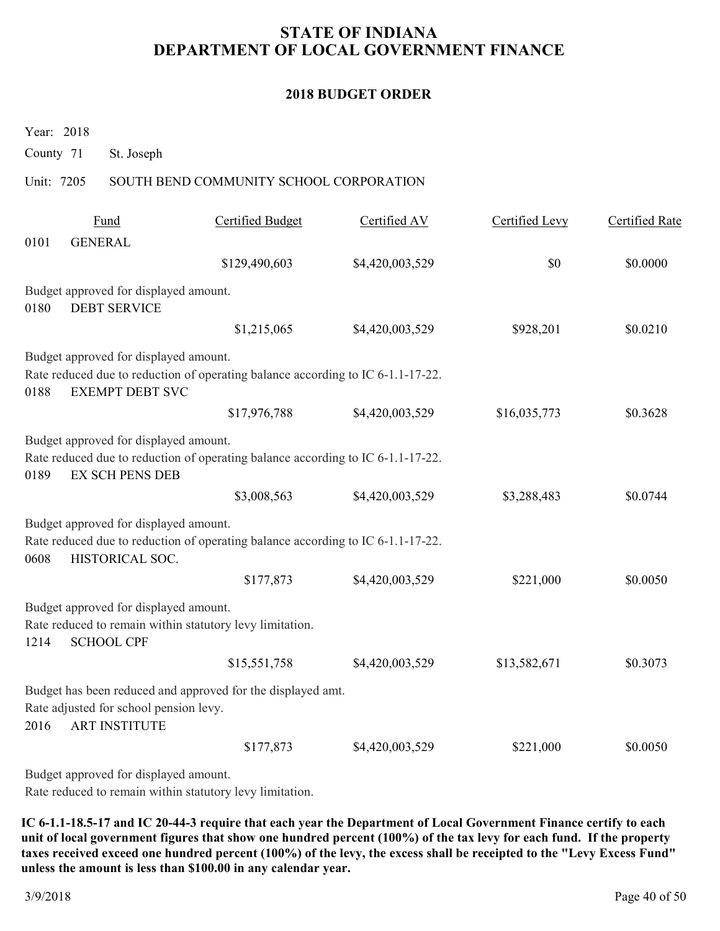#### **2018 BUDGET ORDER**

Year: 2018

County 71 St. Joseph

#### Unit: 7205 SOUTH BEND COMMUNITY SCHOOL CORPORATION

|      | Fund                                                            | <b>Certified Budget</b>                                                         | Certified AV    | Certified Levy | Certified Rate |
|------|-----------------------------------------------------------------|---------------------------------------------------------------------------------|-----------------|----------------|----------------|
| 0101 | <b>GENERAL</b>                                                  |                                                                                 |                 |                |                |
|      |                                                                 | \$129,490,603                                                                   | \$4,420,003,529 | \$0            | \$0.0000       |
|      | Budget approved for displayed amount.                           |                                                                                 |                 |                |                |
| 0180 | <b>DEBT SERVICE</b>                                             |                                                                                 |                 |                |                |
|      |                                                                 | \$1,215,065                                                                     | \$4,420,003,529 | \$928,201      | \$0.0210       |
|      | Budget approved for displayed amount.                           |                                                                                 |                 |                |                |
| 0188 | <b>EXEMPT DEBT SVC</b>                                          | Rate reduced due to reduction of operating balance according to IC 6-1.1-17-22. |                 |                |                |
|      |                                                                 | \$17,976,788                                                                    | \$4,420,003,529 | \$16,035,773   | \$0.3628       |
| 0189 | Budget approved for displayed amount.<br><b>EX SCH PENS DEB</b> | Rate reduced due to reduction of operating balance according to IC 6-1.1-17-22. |                 |                |                |
|      |                                                                 | \$3,008,563                                                                     | \$4,420,003,529 | \$3,288,483    | \$0.0744       |
| 0608 | Budget approved for displayed amount.<br>HISTORICAL SOC.        | Rate reduced due to reduction of operating balance according to IC 6-1.1-17-22. |                 |                |                |
|      |                                                                 | \$177,873                                                                       | \$4,420,003,529 | \$221,000      | \$0.0050       |
| 1214 | Budget approved for displayed amount.<br><b>SCHOOL CPF</b>      | Rate reduced to remain within statutory levy limitation.                        |                 |                |                |
|      |                                                                 | \$15,551,758                                                                    | \$4,420,003,529 | \$13,582,671   | \$0.3073       |
| 2016 | Rate adjusted for school pension levy.<br><b>ART INSTITUTE</b>  | Budget has been reduced and approved for the displayed amt.                     |                 |                |                |
|      |                                                                 | \$177,873                                                                       | \$4,420,003,529 | \$221,000      | \$0.0050       |
|      |                                                                 |                                                                                 |                 |                |                |

Budget approved for displayed amount.

Rate reduced to remain within statutory levy limitation.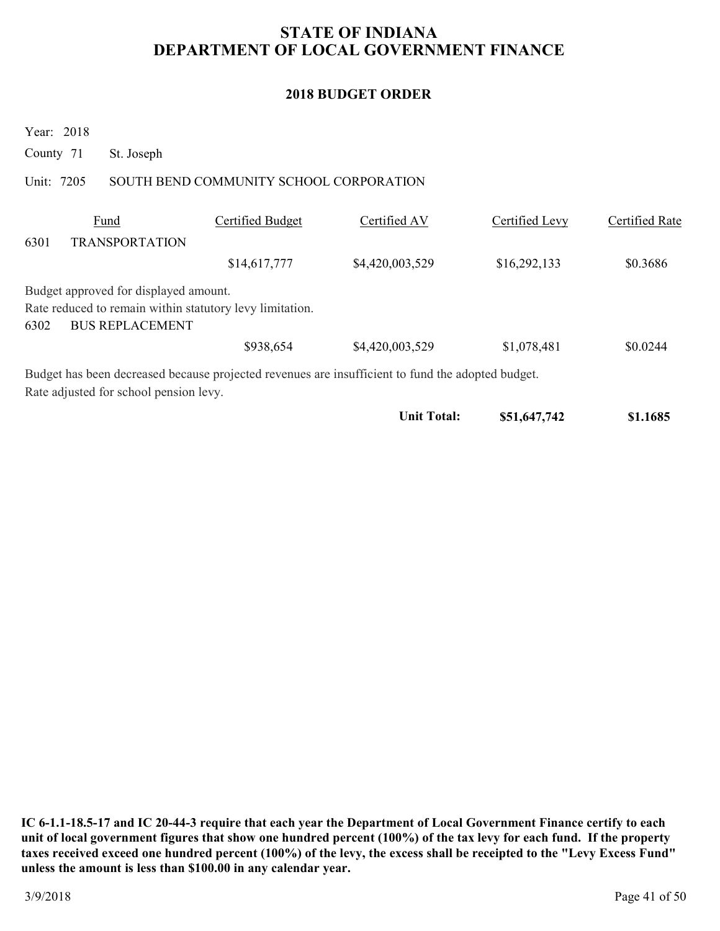### **2018 BUDGET ORDER**

Year: 2018

County 71 St. Joseph

### Unit: 7205 SOUTH BEND COMMUNITY SCHOOL CORPORATION

|      | Fund                                                     | Certified Budget | Certified AV                                                                                      | Certified Levy | Certified Rate |
|------|----------------------------------------------------------|------------------|---------------------------------------------------------------------------------------------------|----------------|----------------|
| 6301 | <b>TRANSPORTATION</b>                                    |                  |                                                                                                   |                |                |
|      |                                                          | \$14,617,777     | \$4,420,003,529                                                                                   | \$16,292,133   | \$0.3686       |
|      | Budget approved for displayed amount.                    |                  |                                                                                                   |                |                |
|      | Rate reduced to remain within statutory levy limitation. |                  |                                                                                                   |                |                |
| 6302 | <b>BUS REPLACEMENT</b>                                   |                  |                                                                                                   |                |                |
|      |                                                          | \$938,654        | \$4,420,003,529                                                                                   | \$1,078,481    | \$0.0244       |
|      |                                                          |                  | Budget has been decreased because projected revenues are insufficient to fund the adopted budget. |                |                |
|      | Rate adjusted for school pension levy.                   |                  |                                                                                                   |                |                |
|      |                                                          |                  | <b>Unit Total:</b>                                                                                | \$51,647,742   | \$1.1685       |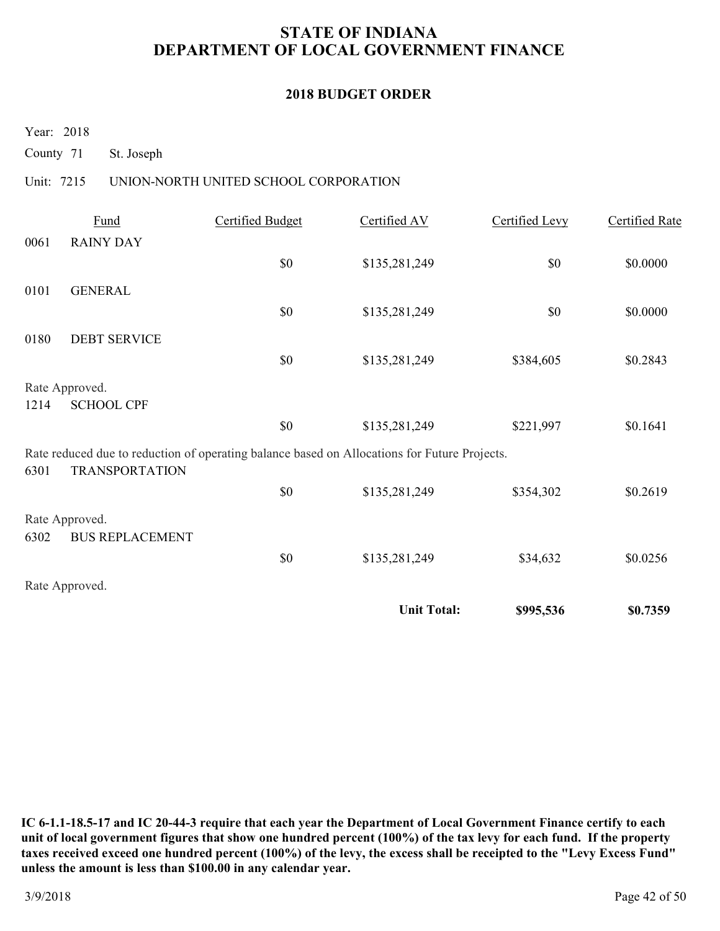### **2018 BUDGET ORDER**

Year: 2018

County 71 St. Joseph

### Unit: 7215 UNION-NORTH UNITED SCHOOL CORPORATION

|      | Fund                   | Certified Budget                                                                             | Certified AV       | Certified Levy | Certified Rate |
|------|------------------------|----------------------------------------------------------------------------------------------|--------------------|----------------|----------------|
| 0061 | <b>RAINY DAY</b>       |                                                                                              |                    |                |                |
|      |                        | \$0                                                                                          | \$135,281,249      | \$0            | \$0.0000       |
| 0101 | <b>GENERAL</b>         |                                                                                              |                    |                |                |
|      |                        | \$0                                                                                          | \$135,281,249      | \$0            | \$0.0000       |
| 0180 | <b>DEBT SERVICE</b>    |                                                                                              |                    |                |                |
|      |                        | \$0                                                                                          | \$135,281,249      | \$384,605      | \$0.2843       |
|      |                        |                                                                                              |                    |                |                |
|      | Rate Approved.         |                                                                                              |                    |                |                |
| 1214 | <b>SCHOOL CPF</b>      |                                                                                              |                    |                |                |
|      |                        | \$0                                                                                          | \$135,281,249      | \$221,997      | \$0.1641       |
|      |                        | Rate reduced due to reduction of operating balance based on Allocations for Future Projects. |                    |                |                |
| 6301 | <b>TRANSPORTATION</b>  |                                                                                              |                    |                |                |
|      |                        | \$0                                                                                          | \$135,281,249      | \$354,302      | \$0.2619       |
|      | Rate Approved.         |                                                                                              |                    |                |                |
| 6302 | <b>BUS REPLACEMENT</b> |                                                                                              |                    |                |                |
|      |                        | \$0                                                                                          | \$135,281,249      | \$34,632       | \$0.0256       |
|      | Rate Approved.         |                                                                                              |                    |                |                |
|      |                        |                                                                                              | <b>Unit Total:</b> | \$995,536      | \$0.7359       |
|      |                        |                                                                                              |                    |                |                |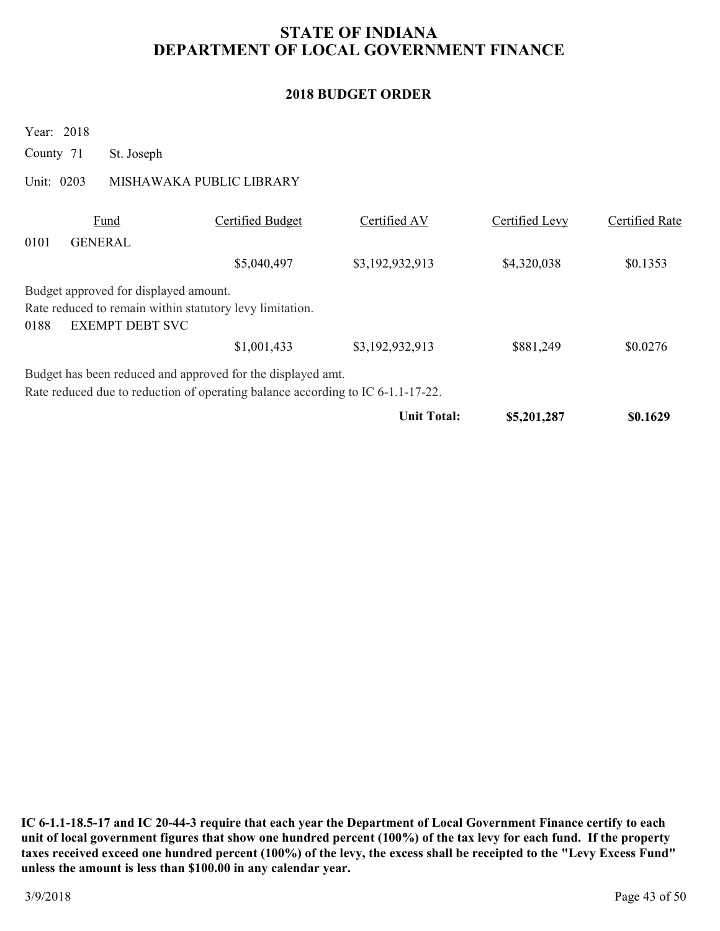### **2018 BUDGET ORDER**

|           | Year: 2018 |                                       |                                                                                 |                    |                |                |
|-----------|------------|---------------------------------------|---------------------------------------------------------------------------------|--------------------|----------------|----------------|
| County 71 |            | St. Joseph                            |                                                                                 |                    |                |                |
|           | Unit: 0203 |                                       | MISHAWAKA PUBLIC LIBRARY                                                        |                    |                |                |
|           |            | <b>Fund</b>                           | Certified Budget                                                                | Certified AV       | Certified Levy | Certified Rate |
| 0101      |            | <b>GENERAL</b>                        |                                                                                 |                    |                |                |
|           |            |                                       | \$5,040,497                                                                     | \$3,192,932,913    | \$4,320,038    | \$0.1353       |
|           |            | Budget approved for displayed amount. |                                                                                 |                    |                |                |
| 0188      |            | <b>EXEMPT DEBT SVC</b>                | Rate reduced to remain within statutory levy limitation.                        |                    |                |                |
|           |            |                                       | \$1,001,433                                                                     | \$3,192,932,913    | \$881,249      | \$0.0276       |
|           |            |                                       | Budget has been reduced and approved for the displayed amt.                     |                    |                |                |
|           |            |                                       | Rate reduced due to reduction of operating balance according to IC 6-1.1-17-22. |                    |                |                |
|           |            |                                       |                                                                                 | <b>Unit Total:</b> | \$5,201,287    | \$0.1629       |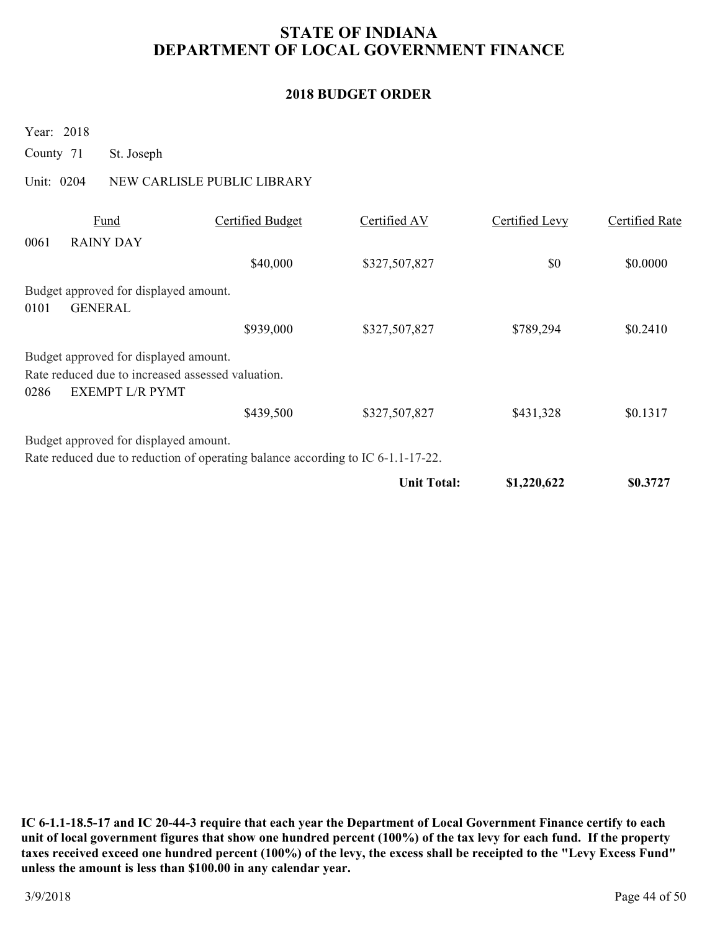### **2018 BUDGET ORDER**

Year: 2018

County 71 St. Joseph

### Unit: 0204 NEW CARLISLE PUBLIC LIBRARY

|      |                                                                             |                                                                                 | <b>Unit Total:</b> | \$1,220,622    | \$0.3727       |
|------|-----------------------------------------------------------------------------|---------------------------------------------------------------------------------|--------------------|----------------|----------------|
|      |                                                                             | Rate reduced due to reduction of operating balance according to IC 6-1.1-17-22. |                    |                |                |
|      | Budget approved for displayed amount.                                       |                                                                                 |                    |                |                |
|      |                                                                             | \$439,500                                                                       | \$327,507,827      | \$431,328      | \$0.1317       |
| 0286 | Rate reduced due to increased assessed valuation.<br><b>EXEMPT L/R PYMT</b> |                                                                                 |                    |                |                |
|      | Budget approved for displayed amount.                                       |                                                                                 |                    |                |                |
|      |                                                                             | \$939,000                                                                       | \$327,507,827      | \$789,294      | \$0.2410       |
| 0101 | <b>GENERAL</b>                                                              |                                                                                 |                    |                |                |
|      | Budget approved for displayed amount.                                       |                                                                                 |                    |                |                |
|      |                                                                             | \$40,000                                                                        | \$327,507,827      | \$0            | \$0.0000       |
| 0061 | <b>RAINY DAY</b>                                                            |                                                                                 |                    |                |                |
|      | Fund                                                                        | Certified Budget                                                                | Certified AV       | Certified Levy | Certified Rate |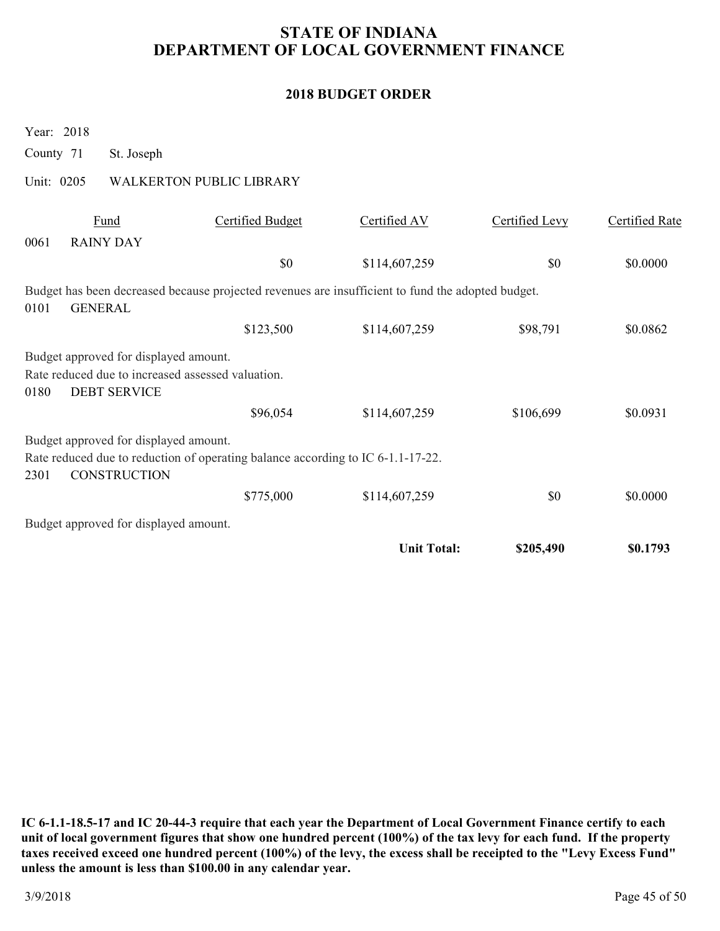### **2018 BUDGET ORDER**

|            | Year: 2018 |                                                              |                                                                                                   |                    |                |                       |
|------------|------------|--------------------------------------------------------------|---------------------------------------------------------------------------------------------------|--------------------|----------------|-----------------------|
| County 71  |            | St. Joseph                                                   |                                                                                                   |                    |                |                       |
| Unit: 0205 |            |                                                              | <b>WALKERTON PUBLIC LIBRARY</b>                                                                   |                    |                |                       |
| 0061       |            | Fund<br><b>RAINY DAY</b>                                     | Certified Budget                                                                                  | Certified AV       | Certified Levy | <b>Certified Rate</b> |
|            |            |                                                              | \$0                                                                                               | \$114,607,259      | \$0            | \$0.0000              |
| 0101       |            | <b>GENERAL</b>                                               | Budget has been decreased because projected revenues are insufficient to fund the adopted budget. |                    |                |                       |
|            |            |                                                              | \$123,500                                                                                         | \$114,607,259      | \$98,791       | \$0.0862              |
| 0180       |            | Budget approved for displayed amount.<br><b>DEBT SERVICE</b> | Rate reduced due to increased assessed valuation.                                                 |                    |                |                       |
|            |            |                                                              | \$96,054                                                                                          | \$114,607,259      | \$106,699      | \$0.0931              |
| 2301       |            | Budget approved for displayed amount.<br><b>CONSTRUCTION</b> | Rate reduced due to reduction of operating balance according to IC 6-1.1-17-22.                   |                    |                |                       |
|            |            |                                                              | \$775,000                                                                                         | \$114,607,259      | \$0            | \$0.0000              |
|            |            | Budget approved for displayed amount.                        |                                                                                                   |                    |                |                       |
|            |            |                                                              |                                                                                                   | <b>Unit Total:</b> | \$205,490      | \$0.1793              |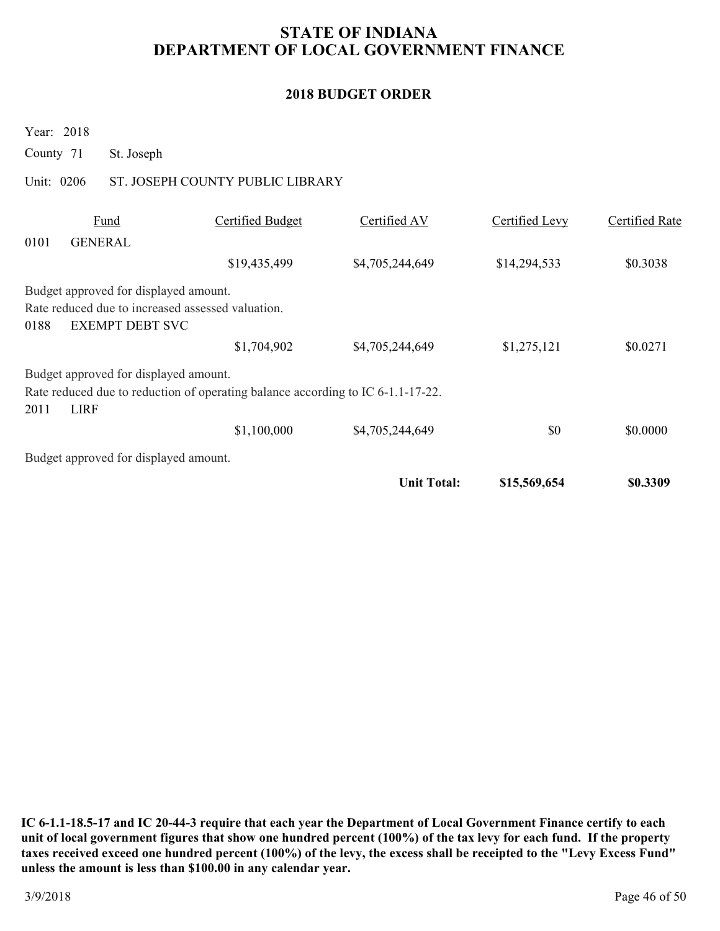### **2018 BUDGET ORDER**

Year: 2018

County 71 St. Joseph

### Unit: 0206 ST. JOSEPH COUNTY PUBLIC LIBRARY

|      | Fund                                              | Certified Budget                                                                | Certified AV       | Certified Levy | Certified Rate |
|------|---------------------------------------------------|---------------------------------------------------------------------------------|--------------------|----------------|----------------|
| 0101 | <b>GENERAL</b>                                    |                                                                                 |                    |                |                |
|      |                                                   | \$19,435,499                                                                    | \$4,705,244,649    | \$14,294,533   | \$0.3038       |
|      | Budget approved for displayed amount.             |                                                                                 |                    |                |                |
|      | Rate reduced due to increased assessed valuation. |                                                                                 |                    |                |                |
| 0188 | <b>EXEMPT DEBT SVC</b>                            |                                                                                 |                    |                |                |
|      |                                                   | \$1,704,902                                                                     | \$4,705,244,649    | \$1,275,121    | \$0.0271       |
|      | Budget approved for displayed amount.             |                                                                                 |                    |                |                |
|      |                                                   | Rate reduced due to reduction of operating balance according to IC 6-1.1-17-22. |                    |                |                |
| 2011 | <b>LIRF</b>                                       |                                                                                 |                    |                |                |
|      |                                                   | \$1,100,000                                                                     | \$4,705,244,649    | \$0            | \$0.0000       |
|      | Budget approved for displayed amount.             |                                                                                 |                    |                |                |
|      |                                                   |                                                                                 | <b>Unit Total:</b> | \$15,569,654   | \$0.3309       |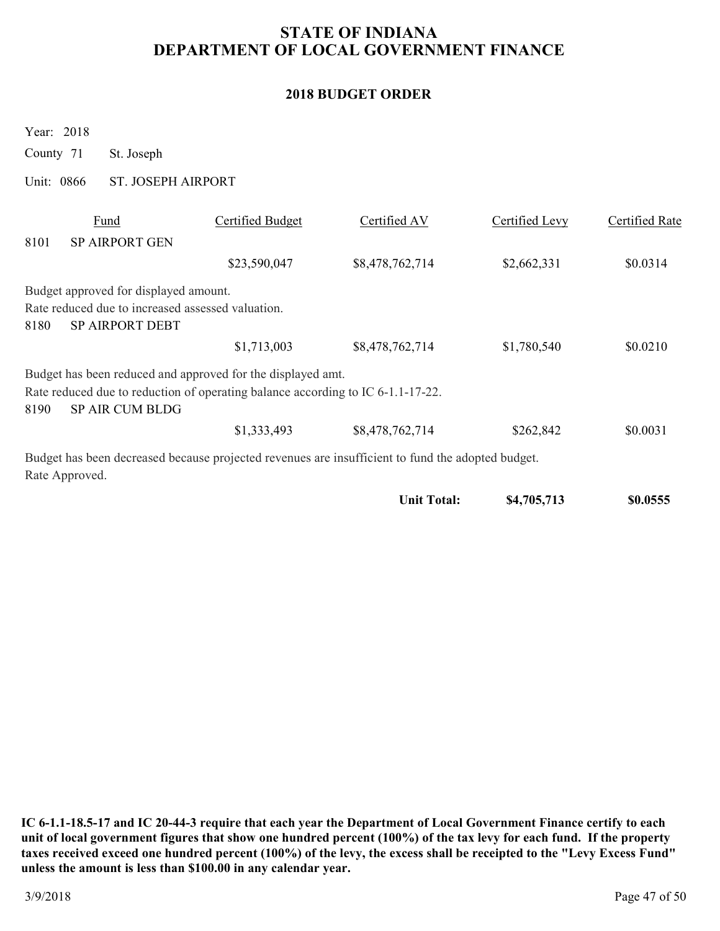### **2018 BUDGET ORDER**

Year: 2018

County 71 St. Joseph

Unit: 0866 ST. JOSEPH AIRPORT

|      | Fund                                                                        | Certified Budget                                                                | Certified AV                                                                                      | Certified Levy | Certified Rate |
|------|-----------------------------------------------------------------------------|---------------------------------------------------------------------------------|---------------------------------------------------------------------------------------------------|----------------|----------------|
| 8101 | <b>SP AIRPORT GEN</b>                                                       |                                                                                 |                                                                                                   |                |                |
|      |                                                                             | \$23,590,047                                                                    | \$8,478,762,714                                                                                   | \$2,662,331    | \$0.0314       |
|      | Budget approved for displayed amount.                                       |                                                                                 |                                                                                                   |                |                |
| 8180 | Rate reduced due to increased assessed valuation.<br><b>SP AIRPORT DEBT</b> |                                                                                 |                                                                                                   |                |                |
|      |                                                                             | \$1,713,003                                                                     | \$8,478,762,714                                                                                   | \$1,780,540    | \$0.0210       |
|      |                                                                             | Budget has been reduced and approved for the displayed amt.                     |                                                                                                   |                |                |
| 8190 | <b>SP AIR CUM BLDG</b>                                                      | Rate reduced due to reduction of operating balance according to IC 6-1.1-17-22. |                                                                                                   |                |                |
|      |                                                                             | \$1,333,493                                                                     | \$8,478,762,714                                                                                   | \$262,842      | \$0.0031       |
|      |                                                                             |                                                                                 | Budget has been decreased because projected revenues are insufficient to fund the adopted budget. |                |                |
|      | Rate Approved.                                                              |                                                                                 |                                                                                                   |                |                |

| Unit Total: | \$4,705,713 | \$0.0555 |
|-------------|-------------|----------|
|-------------|-------------|----------|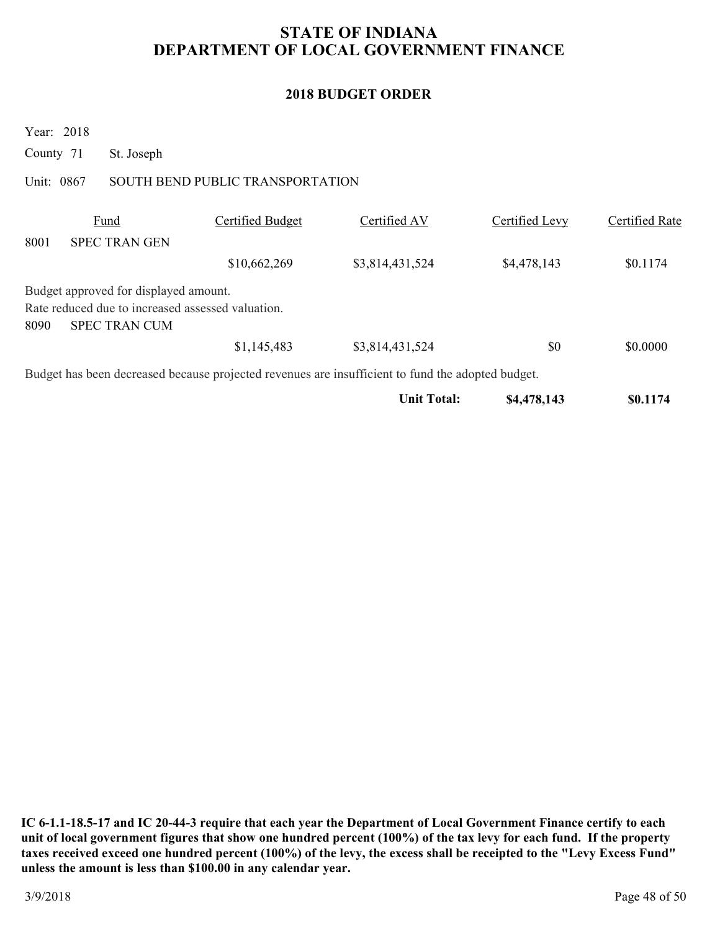### **2018 BUDGET ORDER**

Year: 2018

County 71 St. Joseph

### Unit: 0867 SOUTH BEND PUBLIC TRANSPORTATION

|      | Fund                                              | Certified Budget | Certified AV                                                                                      | Certified Levy | Certified Rate |
|------|---------------------------------------------------|------------------|---------------------------------------------------------------------------------------------------|----------------|----------------|
| 8001 | <b>SPEC TRAN GEN</b>                              |                  |                                                                                                   |                |                |
|      |                                                   | \$10,662,269     | \$3,814,431,524                                                                                   | \$4,478,143    | \$0.1174       |
|      | Budget approved for displayed amount.             |                  |                                                                                                   |                |                |
|      | Rate reduced due to increased assessed valuation. |                  |                                                                                                   |                |                |
| 8090 | <b>SPEC TRAN CUM</b>                              |                  |                                                                                                   |                |                |
|      |                                                   | \$1,145,483      | \$3,814,431,524                                                                                   | \$0            | \$0.0000       |
|      |                                                   |                  | Budget has been decreased because projected revenues are insufficient to fund the adopted budget. |                |                |

| \$4,478,143<br>Unit Total: | \$0.1174 |
|----------------------------|----------|
|----------------------------|----------|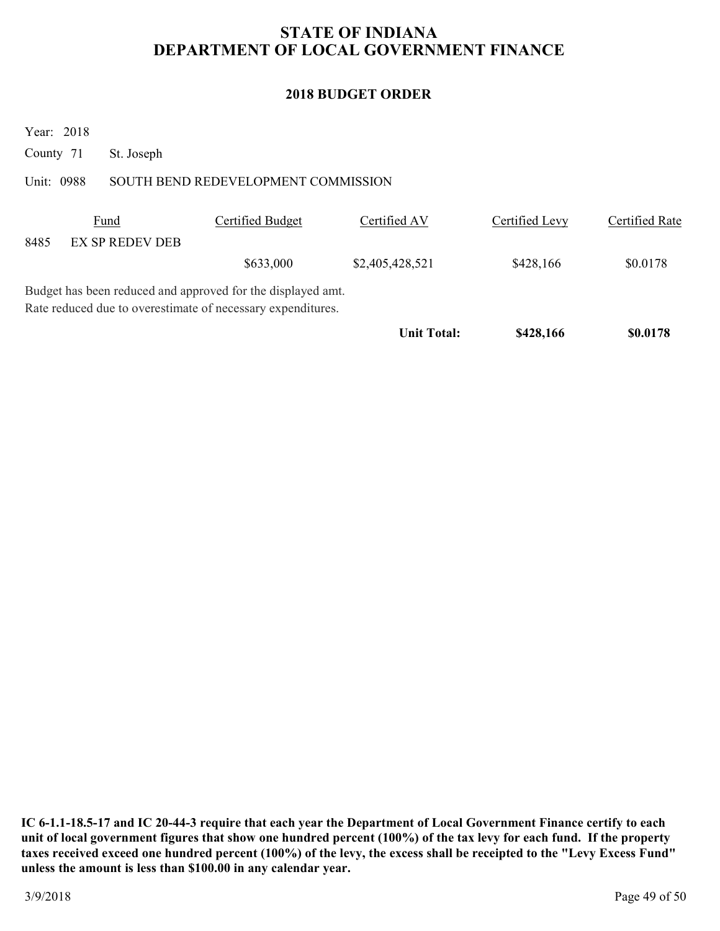### **2018 BUDGET ORDER**

Year: 2018

County 71 St. Joseph

### Unit: 0988 SOUTH BEND REDEVELOPMENT COMMISSION

|      | <b>Fund</b>                                                 | Certified Budget | Certified AV       | Certified Levy | Certified Rate |
|------|-------------------------------------------------------------|------------------|--------------------|----------------|----------------|
| 8485 | <b>EX SP REDEV DEB</b>                                      |                  |                    |                |                |
|      |                                                             | \$633,000        | \$2,405,428,521    | \$428,166      | \$0.0178       |
|      | Budget has been reduced and approved for the displayed amt. |                  |                    |                |                |
|      | Rate reduced due to overestimate of necessary expenditures. |                  |                    |                |                |
|      |                                                             |                  | <b>Unit Total:</b> | \$428,166      | \$0.0178       |